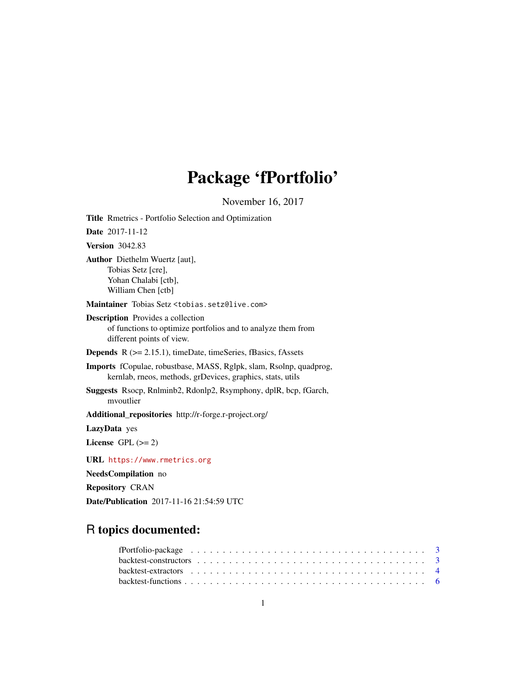# Package 'fPortfolio'

November 16, 2017

<span id="page-0-0"></span>Title Rmetrics - Portfolio Selection and Optimization Date 2017-11-12 Version 3042.83 Author Diethelm Wuertz [aut], Tobias Setz [cre], Yohan Chalabi [ctb], William Chen [ctb] Maintainer Tobias Setz <tobias.setz@live.com> Description Provides a collection of functions to optimize portfolios and to analyze them from different points of view. Depends R (>= 2.15.1), timeDate, timeSeries, fBasics, fAssets Imports fCopulae, robustbase, MASS, Rglpk, slam, Rsolnp, quadprog, kernlab, rneos, methods, grDevices, graphics, stats, utils Suggests Rsocp, Rnlminb2, Rdonlp2, Rsymphony, dplR, bcp, fGarch, mvoutlier Additional\_repositories http://r-forge.r-project.org/ LazyData yes License GPL  $(>= 2)$ URL <https://www.rmetrics.org> NeedsCompilation no

Repository CRAN Date/Publication 2017-11-16 21:54:59 UTC

# R topics documented: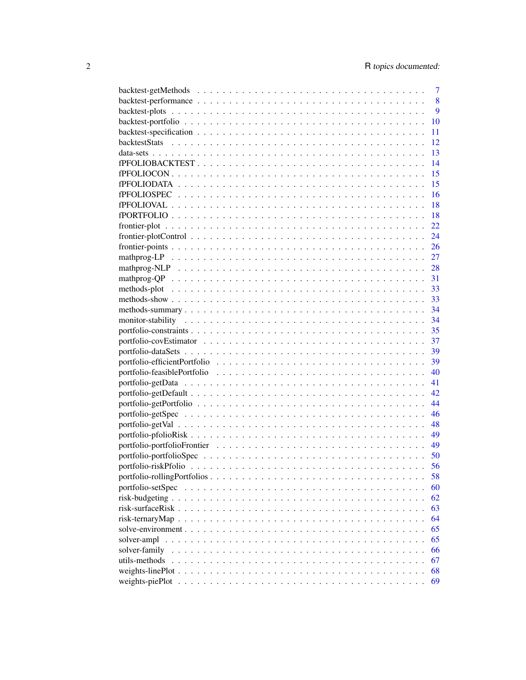| 8<br>$\mathbf{Q}$<br>10<br>11<br>12<br>13<br>14<br>15<br>15<br>16<br>18<br>18<br>22 |
|-------------------------------------------------------------------------------------|
|                                                                                     |
|                                                                                     |
|                                                                                     |
|                                                                                     |
|                                                                                     |
|                                                                                     |
|                                                                                     |
|                                                                                     |
|                                                                                     |
|                                                                                     |
|                                                                                     |
|                                                                                     |
|                                                                                     |
| 24                                                                                  |
| 26                                                                                  |
| 27                                                                                  |
| - 28                                                                                |
| 31                                                                                  |
| 33                                                                                  |
| 33                                                                                  |
|                                                                                     |
|                                                                                     |
|                                                                                     |
|                                                                                     |
|                                                                                     |
|                                                                                     |
|                                                                                     |
|                                                                                     |
|                                                                                     |
| 44                                                                                  |
| 46                                                                                  |
| 48                                                                                  |
| 49                                                                                  |
| 49                                                                                  |
|                                                                                     |
|                                                                                     |
|                                                                                     |
| 58                                                                                  |
| 60                                                                                  |
| 62                                                                                  |
| 63                                                                                  |
| 64                                                                                  |
| 65                                                                                  |
| 65                                                                                  |
| 66                                                                                  |
| solver-family<br>utils-methods<br>67                                                |
| 68                                                                                  |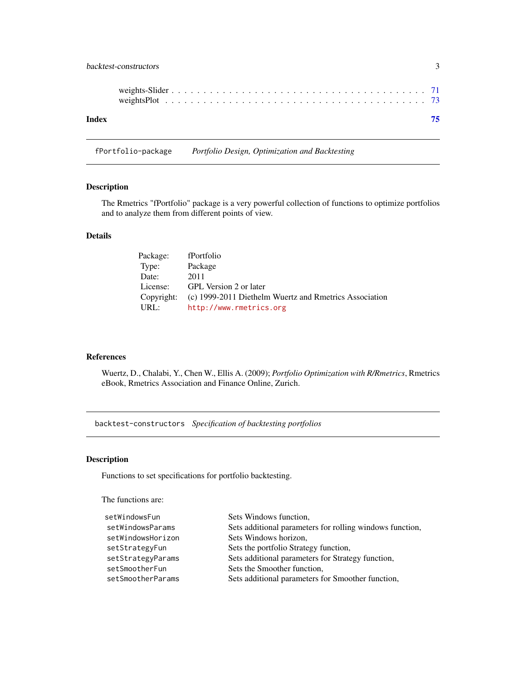# <span id="page-2-0"></span>backtest-constructors 3

| Index |  |  |  |  |  |  |  |  |  |  |  |  |  |  |  | 75 |
|-------|--|--|--|--|--|--|--|--|--|--|--|--|--|--|--|----|
|       |  |  |  |  |  |  |  |  |  |  |  |  |  |  |  |    |

fPortfolio-package *Portfolio Design, Optimization and Backtesting*

# Description

The Rmetrics "fPortfolio" package is a very powerful collection of functions to optimize portfolios and to analyze them from different points of view.

# Details

| Package:   | fPortfolio                                             |
|------------|--------------------------------------------------------|
| Type:      | Package                                                |
| Date:      | 2011                                                   |
| License:   | GPL Version 2 or later                                 |
| Copyright: | (c) 1999-2011 Diethelm Wuertz and Rmetrics Association |
| URL:       | http://www.rmetrics.org                                |

#### References

Wuertz, D., Chalabi, Y., Chen W., Ellis A. (2009); *Portfolio Optimization with R/Rmetrics*, Rmetrics eBook, Rmetrics Association and Finance Online, Zurich.

backtest-constructors *Specification of backtesting portfolios*

#### Description

Functions to set specifications for portfolio backtesting.

The functions are:

| setWindowsFun     | Sets Windows function,                                   |
|-------------------|----------------------------------------------------------|
| setWindowsParams  | Sets additional parameters for rolling windows function, |
| setWindowsHorizon | Sets Windows horizon,                                    |
| setStrategyFun    | Sets the portfolio Strategy function,                    |
| setStrategyParams | Sets additional parameters for Strategy function,        |
| setSmootherFun    | Sets the Smoother function,                              |
| setSmootherParams | Sets additional parameters for Smoother function,        |
|                   |                                                          |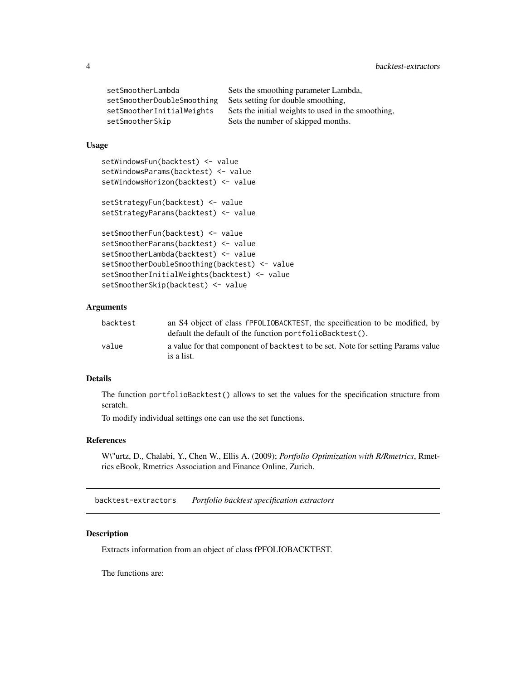<span id="page-3-0"></span>

| setSmootherLambda          | Sets the smoothing parameter Lambda,               |
|----------------------------|----------------------------------------------------|
| setSmootherDoubleSmoothing | Sets setting for double smoothing.                 |
| setSmootherInitialWeights  | Sets the initial weights to used in the smoothing, |
| setSmootherSkip            | Sets the number of skipped months.                 |

# Usage

```
setWindowsFun(backtest) <- value
setWindowsParams(backtest) <- value
setWindowsHorizon(backtest) <- value
```

```
setStrategyFun(backtest) <- value
setStrategyParams(backtest) <- value
```

```
setSmootherFun(backtest) <- value
setSmootherParams(backtest) <- value
setSmootherLambda(backtest) <- value
setSmootherDoubleSmoothing(backtest) <- value
setSmootherInitialWeights(backtest) <- value
setSmootherSkip(backtest) <- value
```
# Arguments

| backtest | an S4 object of class fPFOLIOBACKTEST, the specification to be modified, by                   |
|----------|-----------------------------------------------------------------------------------------------|
|          | default the default of the function portfolioBacktest().                                      |
| value    | a value for that component of backtest to be set. Note for setting Params value<br>is a list. |

# Details

The function portfolioBacktest() allows to set the values for the specification structure from scratch.

To modify individual settings one can use the set functions.

# References

W\"urtz, D., Chalabi, Y., Chen W., Ellis A. (2009); *Portfolio Optimization with R/Rmetrics*, Rmetrics eBook, Rmetrics Association and Finance Online, Zurich.

backtest-extractors *Portfolio backtest specification extractors*

# Description

Extracts information from an object of class fPFOLIOBACKTEST.

The functions are: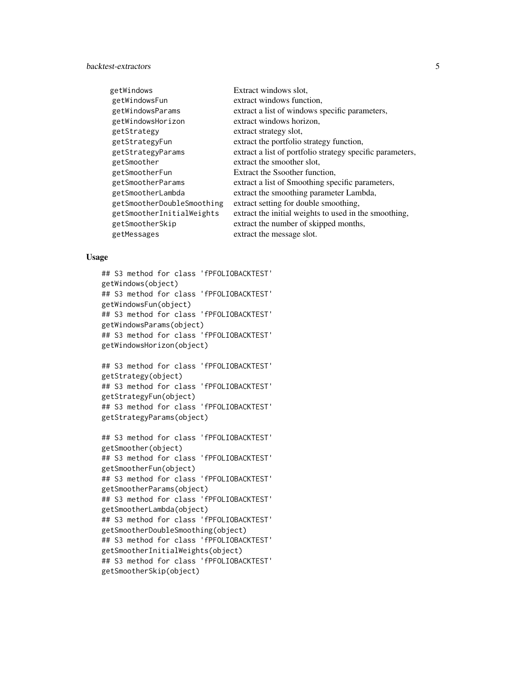# backtest-extractors 5

| Extract windows slot.                                     |
|-----------------------------------------------------------|
| extract windows function,                                 |
| extract a list of windows specific parameters,            |
| extract windows horizon,                                  |
| extract strategy slot,                                    |
| extract the portfolio strategy function,                  |
| extract a list of portfolio strategy specific parameters, |
| extract the smoother slot,                                |
| Extract the Ssoother function,                            |
| extract a list of Smoothing specific parameters,          |
| extract the smoothing parameter Lambda,                   |
| extract setting for double smoothing,                     |
| extract the initial weights to used in the smoothing,     |
| extract the number of skipped months,                     |
| extract the message slot.                                 |
|                                                           |

#### Usage

## S3 method for class 'fPFOLIOBACKTEST' getWindows(object) ## S3 method for class 'fPFOLIOBACKTEST' getWindowsFun(object) ## S3 method for class 'fPFOLIOBACKTEST' getWindowsParams(object) ## S3 method for class 'fPFOLIOBACKTEST' getWindowsHorizon(object)

## S3 method for class 'fPFOLIOBACKTEST' getStrategy(object) ## S3 method for class 'fPFOLIOBACKTEST' getStrategyFun(object) ## S3 method for class 'fPFOLIOBACKTEST' getStrategyParams(object)

## S3 method for class 'fPFOLIOBACKTEST' getSmoother(object) ## S3 method for class 'fPFOLIOBACKTEST' getSmootherFun(object) ## S3 method for class 'fPFOLIOBACKTEST' getSmootherParams(object) ## S3 method for class 'fPFOLIOBACKTEST' getSmootherLambda(object) ## S3 method for class 'fPFOLIOBACKTEST' getSmootherDoubleSmoothing(object) ## S3 method for class 'fPFOLIOBACKTEST' getSmootherInitialWeights(object) ## S3 method for class 'fPFOLIOBACKTEST' getSmootherSkip(object)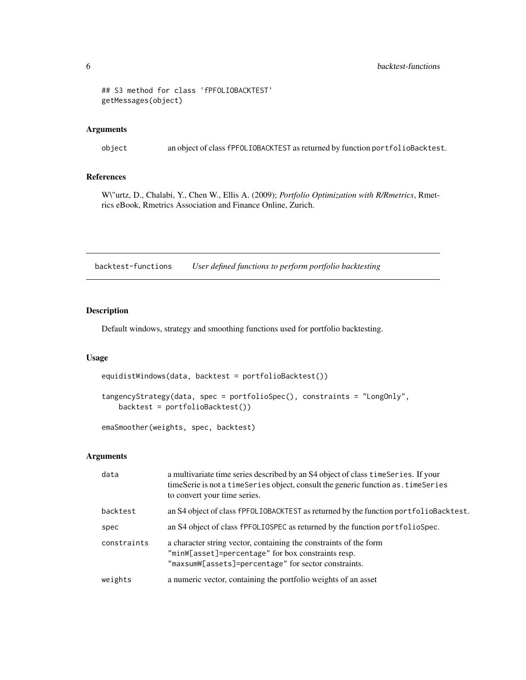#### <span id="page-5-0"></span>6 backtest-functions

```
## S3 method for class 'fPFOLIOBACKTEST'
getMessages(object)
```
#### Arguments

object an object of class fPFOLIOBACKTEST as returned by function portfolioBacktest.

# References

W\"urtz, D., Chalabi, Y., Chen W., Ellis A. (2009); *Portfolio Optimization with R/Rmetrics*, Rmetrics eBook, Rmetrics Association and Finance Online, Zurich.

backtest-functions *User defined functions to perform portfolio backtesting*

# Description

Default windows, strategy and smoothing functions used for portfolio backtesting.

#### Usage

```
equidistWindows(data, backtest = portfolioBacktest())
```

```
tangencyStrategy(data, spec = portfolioSpec(), constraints = "LongOnly",
   backtest = portfolioBacktest())
```
emaSmoother(weights, spec, backtest)

| data        | a multivariate time series described by an S4 object of class time Series. If your<br>timeSerie is not a timeSeries object, consult the generic function as . timeSeries<br>to convert your time series. |
|-------------|----------------------------------------------------------------------------------------------------------------------------------------------------------------------------------------------------------|
| backtest    | an S4 object of class fPFOLIOBACKTEST as returned by the function portfolioBacktest.                                                                                                                     |
| spec        | an S4 object of class fPFOLIOSPEC as returned by the function portfolioSpec.                                                                                                                             |
| constraints | a character string vector, containing the constraints of the form<br>"minW[asset]=percentage" for box constraints resp.<br>"maxsumW[assets]=percentage" for sector constraints.                          |
| weights     | a numeric vector, containing the portfolio weights of an asset                                                                                                                                           |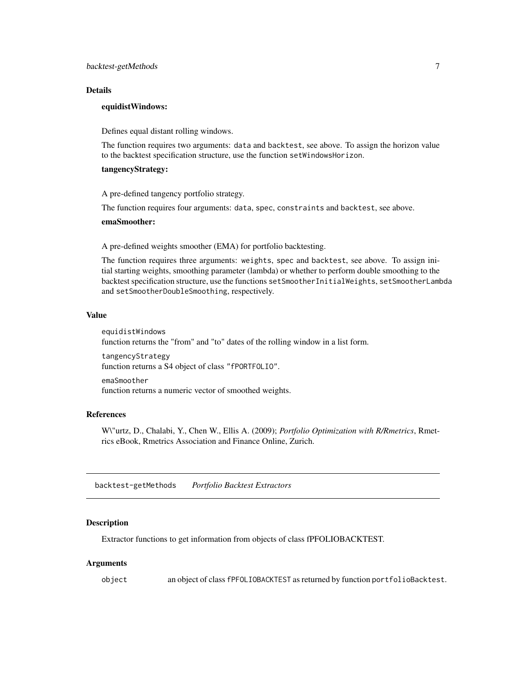#### <span id="page-6-0"></span>Details

#### equidistWindows:

Defines equal distant rolling windows.

The function requires two arguments: data and backtest, see above. To assign the horizon value to the backtest specification structure, use the function setWindowsHorizon.

### tangencyStrategy:

A pre-defined tangency portfolio strategy.

The function requires four arguments: data, spec, constraints and backtest, see above.

#### emaSmoother:

A pre-defined weights smoother (EMA) for portfolio backtesting.

The function requires three arguments: weights, spec and backtest, see above. To assign initial starting weights, smoothing parameter (lambda) or whether to perform double smoothing to the backtest specification structure, use the functions setSmootherInitialWeights, setSmootherLambda and setSmootherDoubleSmoothing, respectively.

#### Value

equidistWindows function returns the "from" and "to" dates of the rolling window in a list form.

tangencyStrategy function returns a S4 object of class "fPORTFOLIO".

emaSmoother function returns a numeric vector of smoothed weights.

#### References

W\"urtz, D., Chalabi, Y., Chen W., Ellis A. (2009); *Portfolio Optimization with R/Rmetrics*, Rmetrics eBook, Rmetrics Association and Finance Online, Zurich.

backtest-getMethods *Portfolio Backtest Extractors*

#### Description

Extractor functions to get information from objects of class fPFOLIOBACKTEST.

#### Arguments

object an object of class fPFOLIOBACKTEST as returned by function portfolioBacktest.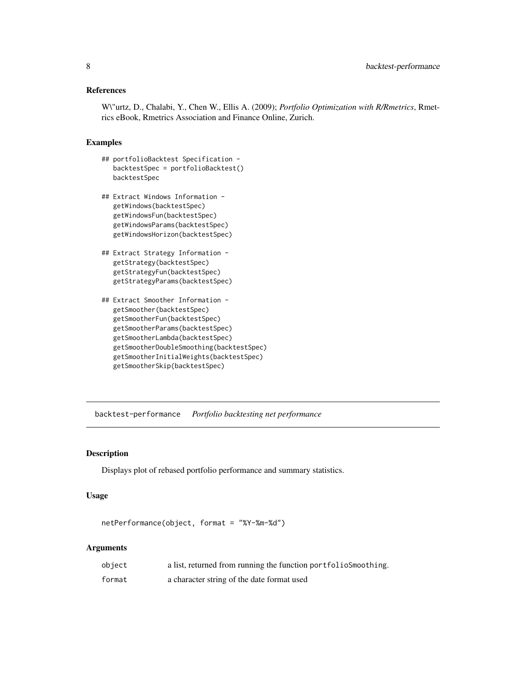# <span id="page-7-0"></span>References

W\"urtz, D., Chalabi, Y., Chen W., Ellis A. (2009); *Portfolio Optimization with R/Rmetrics*, Rmetrics eBook, Rmetrics Association and Finance Online, Zurich.

#### Examples

- ## portfolioBacktest Specification backtestSpec = portfolioBacktest() backtestSpec
- ## Extract Windows Information getWindows(backtestSpec) getWindowsFun(backtestSpec) getWindowsParams(backtestSpec) getWindowsHorizon(backtestSpec)
- ## Extract Strategy Information getStrategy(backtestSpec) getStrategyFun(backtestSpec) getStrategyParams(backtestSpec)
- ## Extract Smoother Information getSmoother(backtestSpec) getSmootherFun(backtestSpec) getSmootherParams(backtestSpec) getSmootherLambda(backtestSpec) getSmootherDoubleSmoothing(backtestSpec) getSmootherInitialWeights(backtestSpec) getSmootherSkip(backtestSpec)

backtest-performance *Portfolio backtesting net performance*

# Description

Displays plot of rebased portfolio performance and summary statistics.

# Usage

```
netPerformance(object, format = "%Y-%m-%d")
```

| object | a list, returned from running the function portfolio Smoothing. |
|--------|-----------------------------------------------------------------|
| format | a character string of the date format used                      |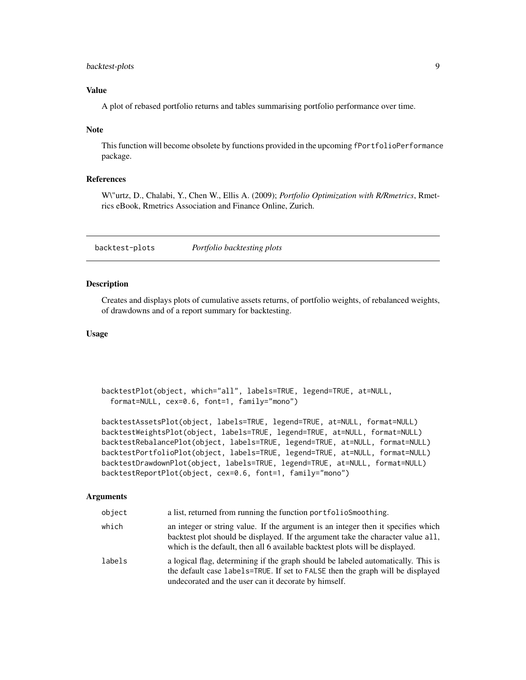# <span id="page-8-0"></span>backtest-plots 9

# Value

A plot of rebased portfolio returns and tables summarising portfolio performance over time.

#### Note

This function will become obsolete by functions provided in the upcoming fPortfolioPerformance package.

# References

W\"urtz, D., Chalabi, Y., Chen W., Ellis A. (2009); *Portfolio Optimization with R/Rmetrics*, Rmetrics eBook, Rmetrics Association and Finance Online, Zurich.

backtest-plots *Portfolio backtesting plots*

#### Description

Creates and displays plots of cumulative assets returns, of portfolio weights, of rebalanced weights, of drawdowns and of a report summary for backtesting.

# Usage

```
backtestPlot(object, which="all", labels=TRUE, legend=TRUE, at=NULL,
 format=NULL, cex=0.6, font=1, family="mono")
```
backtestAssetsPlot(object, labels=TRUE, legend=TRUE, at=NULL, format=NULL) backtestWeightsPlot(object, labels=TRUE, legend=TRUE, at=NULL, format=NULL) backtestRebalancePlot(object, labels=TRUE, legend=TRUE, at=NULL, format=NULL) backtestPortfolioPlot(object, labels=TRUE, legend=TRUE, at=NULL, format=NULL) backtestDrawdownPlot(object, labels=TRUE, legend=TRUE, at=NULL, format=NULL) backtestReportPlot(object, cex=0.6, font=1, family="mono")

| object | a list, returned from running the function portfolioSmoothing.                                                                                                                                                                                        |
|--------|-------------------------------------------------------------------------------------------------------------------------------------------------------------------------------------------------------------------------------------------------------|
| which  | an integer or string value. If the argument is an integer then it specifies which<br>backtest plot should be displayed. If the argument take the character value all,<br>which is the default, then all 6 available backtest plots will be displayed. |
| labels | a logical flag, determining if the graph should be labeled automatically. This is<br>the default case labels=TRUE. If set to FALSE then the graph will be displayed<br>undecorated and the user can it decorate by himself.                           |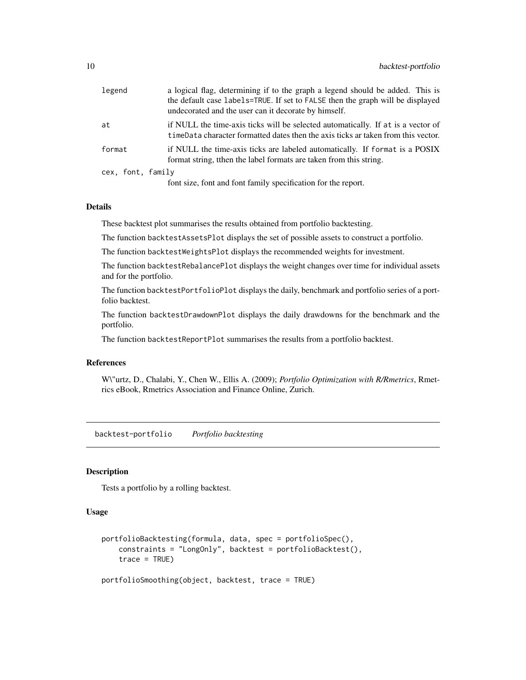<span id="page-9-0"></span>

| legend            | a logical flag, determining if to the graph a legend should be added. This is<br>the default case labels=TRUE. If set to FALSE then the graph will be displayed<br>undecorated and the user can it decorate by himself. |
|-------------------|-------------------------------------------------------------------------------------------------------------------------------------------------------------------------------------------------------------------------|
| at                | if NULL the time-axis ticks will be selected automatically. If at is a vector of<br>timeData character formatted dates then the axis ticks ar taken from this vector.                                                   |
| format            | if NULL the time-axis ticks are labeled automatically. If format is a POSIX<br>format string, then the label formats are taken from this string.                                                                        |
| cex, font, family |                                                                                                                                                                                                                         |
|                   | font size, font and font family specification for the report.                                                                                                                                                           |

#### Details

These backtest plot summarises the results obtained from portfolio backtesting.

The function backtestAssetsPlot displays the set of possible assets to construct a portfolio.

The function backtestWeightsPlot displays the recommended weights for investment.

The function backtestRebalancePlot displays the weight changes over time for individual assets and for the portfolio.

The function backtestPortfolioPlot displays the daily, benchmark and portfolio series of a portfolio backtest.

The function backtestDrawdownPlot displays the daily drawdowns for the benchmark and the portfolio.

The function backtestReportPlot summarises the results from a portfolio backtest.

# References

W\"urtz, D., Chalabi, Y., Chen W., Ellis A. (2009); *Portfolio Optimization with R/Rmetrics*, Rmetrics eBook, Rmetrics Association and Finance Online, Zurich.

backtest-portfolio *Portfolio backtesting*

# Description

Tests a portfolio by a rolling backtest.

# Usage

```
portfolioBacktesting(formula, data, spec = portfolioSpec(),
   constraints = "LongOnly", backtest = portfolioBacktest(),
   trace = TRUE)
```
portfolioSmoothing(object, backtest, trace = TRUE)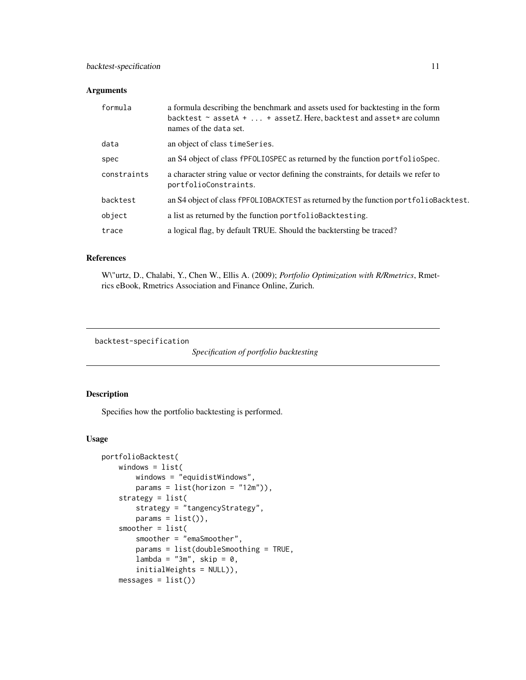<span id="page-10-0"></span>

| formula     | a formula describing the benchmark and assets used for backtesting in the form<br>backtest $\sim$ assetA +  + assetZ. Here, backtest and asset $*$ are column<br>names of the data set. |
|-------------|-----------------------------------------------------------------------------------------------------------------------------------------------------------------------------------------|
| data        | an object of class timeSeries.                                                                                                                                                          |
| spec        | an S4 object of class fPFOLIOSPEC as returned by the function portfolioSpec.                                                                                                            |
| constraints | a character string value or vector defining the constraints, for details we refer to<br>portfolioConstraints.                                                                           |
| backtest    | an S4 object of class fPFOLIOBACKTEST as returned by the function portfolioBacktest.                                                                                                    |
| object      | a list as returned by the function portfolioBacktesting.                                                                                                                                |
| trace       | a logical flag, by default TRUE. Should the backtersting be traced?                                                                                                                     |

#### References

W\"urtz, D., Chalabi, Y., Chen W., Ellis A. (2009); *Portfolio Optimization with R/Rmetrics*, Rmetrics eBook, Rmetrics Association and Finance Online, Zurich.

backtest-specification

*Specification of portfolio backtesting*

# Description

Specifies how the portfolio backtesting is performed.

# Usage

```
portfolioBacktest(
   windows = list(
       windows = "equidistWindows",
       params = list(horizon = "12m")),
   strategy = list(
       strategy = "tangencyStrategy",
       params = list(),
   smoother = list(
       smoother = "emaSmoother",
       params = list(doubleSmoothing = TRUE,
       lambda = "3m", skip = 0,initialWeights = NULL)),
   mess = list()
```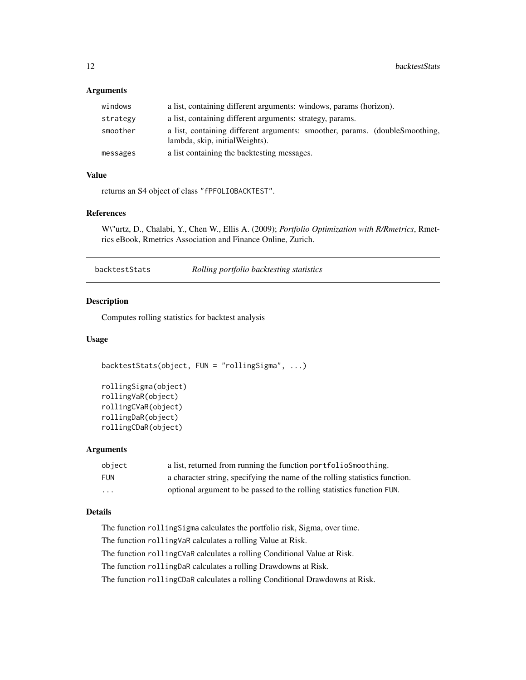<span id="page-11-0"></span>

| windows  | a list, containing different arguments: windows, params (horizon).                                             |
|----------|----------------------------------------------------------------------------------------------------------------|
| strategy | a list, containing different arguments: strategy, params.                                                      |
| smoother | a list, containing different arguments: smoother, params. (doubleSmoothing,<br>lambda, skip, initial Weights). |
| messages | a list containing the backtesting messages.                                                                    |

# Value

returns an S4 object of class "fPFOLIOBACKTEST".

#### References

W\"urtz, D., Chalabi, Y., Chen W., Ellis A. (2009); *Portfolio Optimization with R/Rmetrics*, Rmetrics eBook, Rmetrics Association and Finance Online, Zurich.

| backtestStats | Rolling portfolio backtesting statistics |
|---------------|------------------------------------------|
|---------------|------------------------------------------|

#### Description

Computes rolling statistics for backtest analysis

#### Usage

```
backtestStats(object, FUN = "rollingSigma", ...)
```

```
rollingSigma(object)
rollingVaR(object)
rollingCVaR(object)
rollingDaR(object)
rollingCDaR(object)
```
#### Arguments

| obiect     | a list, returned from running the function portfolios moothing.             |
|------------|-----------------------------------------------------------------------------|
| <b>FUN</b> | a character string, specifying the name of the rolling statistics function. |
| $\cdots$   | optional argument to be passed to the rolling statistics function FUN.      |

# Details

The function rollingSigma calculates the portfolio risk, Sigma, over time.

The function rollingVaR calculates a rolling Value at Risk.

The function rollingCVaR calculates a rolling Conditional Value at Risk.

The function rollingDaR calculates a rolling Drawdowns at Risk.

The function rollingCDaR calculates a rolling Conditional Drawdowns at Risk.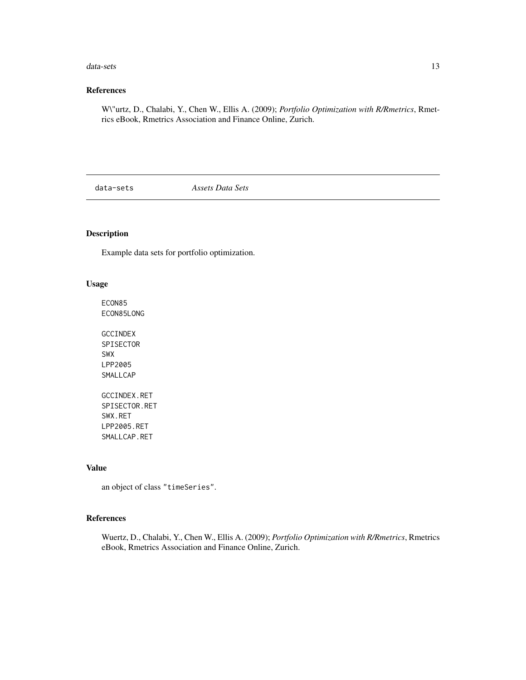#### <span id="page-12-0"></span>data-sets 13

# References

W\"urtz, D., Chalabi, Y., Chen W., Ellis A. (2009); *Portfolio Optimization with R/Rmetrics*, Rmetrics eBook, Rmetrics Association and Finance Online, Zurich.

data-sets *Assets Data Sets*

# Description

Example data sets for portfolio optimization.

# Usage

ECON85 ECON85LONG

GCCINDEX SPISECTOR SWX LPP2005 SMALLCAP GCCINDEX.RET

SPISECTOR.RET SWX.RET LPP2005.RET SMALLCAP.RET

# Value

an object of class "timeSeries".

#### References

Wuertz, D., Chalabi, Y., Chen W., Ellis A. (2009); *Portfolio Optimization with R/Rmetrics*, Rmetrics eBook, Rmetrics Association and Finance Online, Zurich.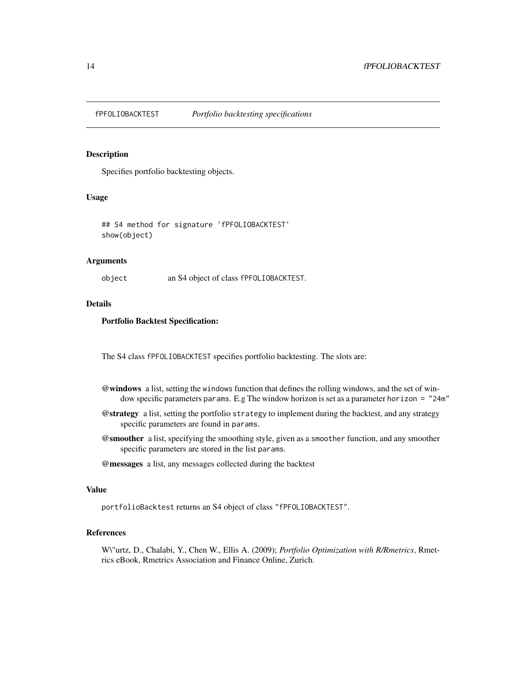<span id="page-13-0"></span>

#### Description

Specifies portfolio backtesting objects.

# Usage

## S4 method for signature 'fPFOLIOBACKTEST' show(object)

# Arguments

object an S4 object of class fPFOLIOBACKTEST.

# Details

#### Portfolio Backtest Specification:

The S4 class fPFOLIOBACKTEST specifies portfolio backtesting. The slots are:

- @windows a list, setting the windows function that defines the rolling windows, and the set of window specific parameters params. E.g The window horizon is set as a parameter horizon = "24m"
- @strategy a list, setting the portfolio strategy to implement during the backtest, and any strategy specific parameters are found in params.
- @smoother a list, specifying the smoothing style, given as a smoother function, and any smoother specific parameters are stored in the list params.
- @messages a list, any messages collected during the backtest

#### Value

portfolioBacktest returns an S4 object of class "fPFOLIOBACKTEST".

# References

W\"urtz, D., Chalabi, Y., Chen W., Ellis A. (2009); *Portfolio Optimization with R/Rmetrics*, Rmetrics eBook, Rmetrics Association and Finance Online, Zurich.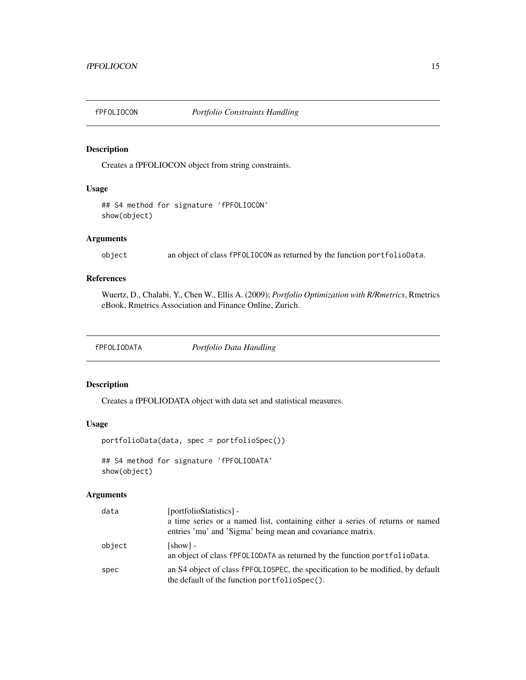<span id="page-14-0"></span>

# Description

Creates a fPFOLIOCON object from string constraints.

# Usage

## S4 method for signature 'fPFOLIOCON' show(object)

# Arguments

object an object of class fPFOLIOCON as returned by the function portfolioData.

# References

Wuertz, D., Chalabi, Y., Chen W., Ellis A. (2009); *Portfolio Optimization with R/Rmetrics*, Rmetrics eBook, Rmetrics Association and Finance Online, Zurich.

| fPFOLIODATA | Portfolio Data Handling |
|-------------|-------------------------|
|             |                         |

# Description

Creates a fPFOLIODATA object with data set and statistical measures.

#### Usage

```
portfolioData(data, spec = portfolioSpec())
```
## S4 method for signature 'fPFOLIODATA' show(object)

| data   | [portfolioStatistics] -<br>a time series or a named list, containing either a series of returns or named<br>entries 'mu' and 'Sigma' being mean and covariance matrix. |
|--------|------------------------------------------------------------------------------------------------------------------------------------------------------------------------|
| object | [show] -<br>an object of class fPFOLIODATA as returned by the function portfolioData.                                                                                  |
| spec   | an S4 object of class fPFOLIOSPEC, the specification to be modified, by default<br>the default of the function portfolioSpec().                                        |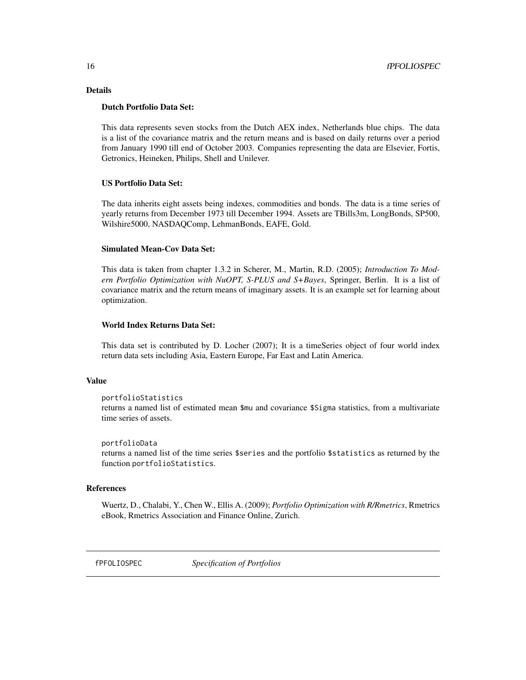# <span id="page-15-0"></span>Details

#### Dutch Portfolio Data Set:

This data represents seven stocks from the Dutch AEX index, Netherlands blue chips. The data is a list of the covariance matrix and the return means and is based on daily returns over a period from January 1990 till end of October 2003. Companies representing the data are Elsevier, Fortis, Getronics, Heineken, Philips, Shell and Unilever.

#### US Portfolio Data Set:

The data inherits eight assets being indexes, commodities and bonds. The data is a time series of yearly returns from December 1973 till December 1994. Assets are TBills3m, LongBonds, SP500, Wilshire5000, NASDAQComp, LehmanBonds, EAFE, Gold.

#### Simulated Mean-Cov Data Set:

This data is taken from chapter 1.3.2 in Scherer, M., Martin, R.D. (2005); *Introduction To Modern Portfolio Optimization with NuOPT, S-PLUS and S+Bayes*, Springer, Berlin. It is a list of covariance matrix and the return means of imaginary assets. It is an example set for learning about optimization.

# World Index Returns Data Set:

This data set is contributed by D. Locher (2007); It is a timeSeries object of four world index return data sets including Asia, Eastern Europe, Far East and Latin America.

#### Value

```
portfolioStatistics
```
returns a named list of estimated mean \$mu and covariance \$Sigma statistics, from a multivariate time series of assets.

```
portfolioData
```
returns a named list of the time series \$series and the portfolio \$statistics as returned by the function portfolioStatistics.

#### References

Wuertz, D., Chalabi, Y., Chen W., Ellis A. (2009); *Portfolio Optimization with R/Rmetrics*, Rmetrics eBook, Rmetrics Association and Finance Online, Zurich.

fPFOLIOSPEC *Specification of Portfolios*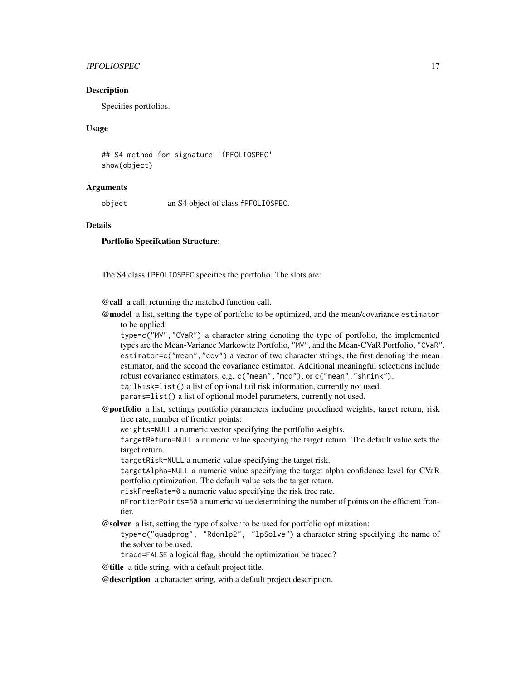# fPFOLIOSPEC 17

#### Description

Specifies portfolios.

# Usage

## S4 method for signature 'fPFOLIOSPEC' show(object)

#### Arguments

object an S4 object of class fPFOLIOSPEC.

#### **Details**

#### Portfolio Specifcation Structure:

The S4 class fPFOLIOSPEC specifies the portfolio. The slots are:

@call a call, returning the matched function call.

@model a list, setting the type of portfolio to be optimized, and the mean/covariance estimator to be applied:

type=c("MV","CVaR") a character string denoting the type of portfolio, the implemented types are the Mean-Variance Markowitz Portfolio, "MV", and the Mean-CVaR Portfolio, "CVaR". estimator=c("mean","cov") a vector of two character strings, the first denoting the mean estimator, and the second the covariance estimator. Additional meaningful selections include robust covariance estimators, e.g. c("mean","mcd"), or c("mean","shrink"). tailRisk=list() a list of optional tail risk information, currently not used.

params=list() a list of optional model parameters, currently not used.

@portfolio a list, settings portfolio parameters including predefined weights, target return, risk free rate, number of frontier points:

weights=NULL a numeric vector specifying the portfolio weights.

targetReturn=NULL a numeric value specifying the target return. The default value sets the target return.

targetRisk=NULL a numeric value specifying the target risk.

targetAlpha=NULL a numeric value specifying the target alpha confidence level for CVaR portfolio optimization. The default value sets the target return.

riskFreeRate=0 a numeric value specifying the risk free rate.

nFrontierPoints=50 a numeric value determining the number of points on the efficient frontier.

- @solver a list, setting the type of solver to be used for portfolio optimization:
	- type=c("quadprog", "Rdonlp2", "lpSolve") a character string specifying the name of the solver to be used.

trace=FALSE a logical flag, should the optimization be traced?

@title a title string, with a default project title.

@description a character string, with a default project description.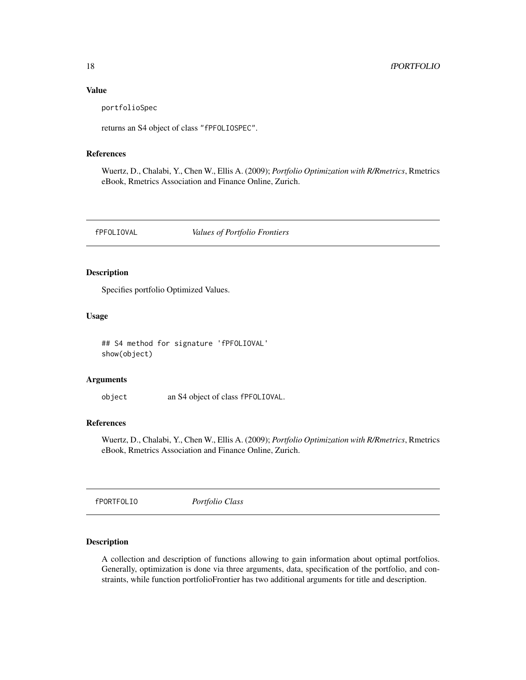#### Value

portfolioSpec

returns an S4 object of class "fPFOLIOSPEC".

#### References

Wuertz, D., Chalabi, Y., Chen W., Ellis A. (2009); *Portfolio Optimization with R/Rmetrics*, Rmetrics eBook, Rmetrics Association and Finance Online, Zurich.

fPFOLIOVAL *Values of Portfolio Frontiers*

#### Description

Specifies portfolio Optimized Values.

# Usage

## S4 method for signature 'fPFOLIOVAL' show(object)

#### Arguments

object an S4 object of class fPFOLIOVAL.

# References

Wuertz, D., Chalabi, Y., Chen W., Ellis A. (2009); *Portfolio Optimization with R/Rmetrics*, Rmetrics eBook, Rmetrics Association and Finance Online, Zurich.

fPORTFOLIO *Portfolio Class*

#### Description

A collection and description of functions allowing to gain information about optimal portfolios. Generally, optimization is done via three arguments, data, specification of the portfolio, and constraints, while function portfolioFrontier has two additional arguments for title and description.

<span id="page-17-0"></span>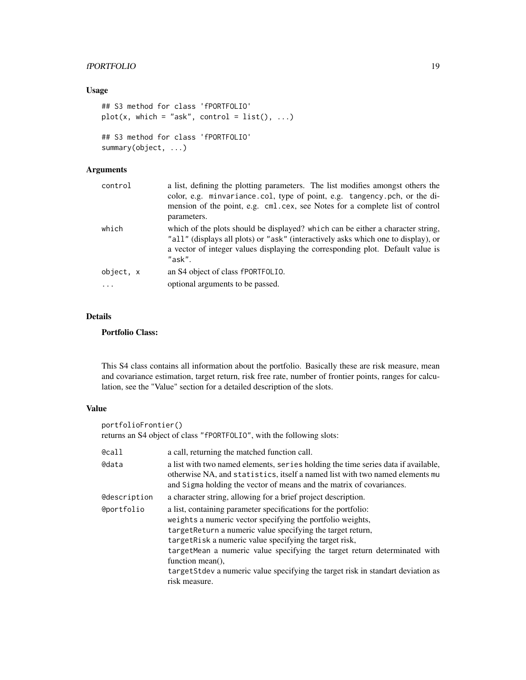# fPORTFOLIO 19

#### Usage

```
## S3 method for class 'fPORTFOLIO'
plot(x, which = "ask", control = list(), ...)## S3 method for class 'fPORTFOLIO'
summary(object, ...)
```
# Arguments

| control               | a list, defining the plotting parameters. The list modifies amongst others the<br>color, e.g. minvariance.col, type of point, e.g. tangency.pch, or the di-<br>mension of the point, e.g. cml.cex, see Notes for a complete list of control<br>parameters.       |
|-----------------------|------------------------------------------------------------------------------------------------------------------------------------------------------------------------------------------------------------------------------------------------------------------|
| which                 | which of the plots should be displayed? which can be either a character string,<br>"all" (displays all plots) or "ask" (interactively asks which one to display), or<br>a vector of integer values displaying the corresponding plot. Default value is<br>"ask". |
| object, x<br>$\cdots$ | an S4 object of class fPORTFOLIO.<br>optional arguments to be passed.                                                                                                                                                                                            |

# Details

#### Portfolio Class:

This S4 class contains all information about the portfolio. Basically these are risk measure, mean and covariance estimation, target return, risk free rate, number of frontier points, ranges for calculation, see the "Value" section for a detailed description of the slots.

# Value

```
portfolioFrontier()
returns an S4 object of class "fPORTFOLIO", with the following slots:
@call a call, returning the matched function call.
@data a list with two named elements, series holding the time series data if available,
                  otherwise NA, and statistics, itself a named list with two named elements mu
                  and Sigma holding the vector of means and the matrix of covariances.
@description a character string, allowing for a brief project description.
@portfolio a list, containing parameter specifications for the portfolio:
                  weights a numeric vector specifying the portfolio weights,
                  targetReturn a numeric value specifying the target return,
                  targetRisk a numeric value specifying the target risk,
                  targetMean a numeric value specifying the target return determinated with
                  function mean(),
                  targetStdev a numeric value specifying the target risk in standart deviation as
                  risk measure.
```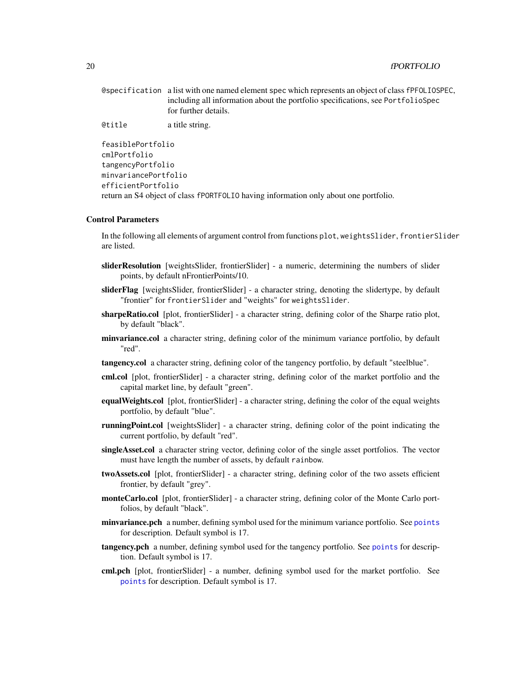| @specification a list with one named element spec which represents an object of class fPFOLIOSPEC, |
|----------------------------------------------------------------------------------------------------|
| including all information about the portfolio specifications, see PortfolioSpec                    |
| for further details.                                                                               |

@title a title string.

```
feasiblePortfolio
cmlPortfolio
tangencyPortfolio
minvariancePortfolio
efficientPortfolio
return an S4 object of class fPORTFOLIO having information only about one portfolio.
```
#### Control Parameters

In the following all elements of argument control from functions plot, weightsSlider, frontierSlider are listed.

- sliderResolution [weightsSlider, frontierSlider] a numeric, determining the numbers of slider points, by default nFrontierPoints/10.
- sliderFlag [weightsSlider, frontierSlider] a character string, denoting the slidertype, by default "frontier" for frontierSlider and "weights" for weightsSlider.
- sharpeRatio.col [plot, frontierSlider] a character string, defining color of the Sharpe ratio plot, by default "black".
- minvariance.col a character string, defining color of the minimum variance portfolio, by default "red".
- tangency.col a character string, defining color of the tangency portfolio, by default "steelblue".
- cml.col [plot, frontierSlider] a character string, defining color of the market portfolio and the capital market line, by default "green".
- equalWeights.col [plot, frontierSlider] a character string, defining the color of the equal weights portfolio, by default "blue".
- runningPoint.col [weightsSlider] a character string, defining color of the point indicating the current portfolio, by default "red".
- singleAsset.col a character string vector, defining color of the single asset portfolios. The vector must have length the number of assets, by default rainbow.
- twoAssets.col [plot, frontierSlider] a character string, defining color of the two assets efficient frontier, by default "grey".
- **monteCarlo.col** [plot, frontierSlider] a character string, defining color of the Monte Carlo portfolios, by default "black".
- minvariance.pch a number, defining symbol used for the minimum variance portfolio. See [points](#page-0-0) for description. Default symbol is 17.
- tangency.pch a number, defining symbol used for the tangency portfolio. See [points](#page-0-0) for description. Default symbol is 17.
- cml.pch [plot, frontierSlider] a number, defining symbol used for the market portfolio. See [points](#page-0-0) for description. Default symbol is 17.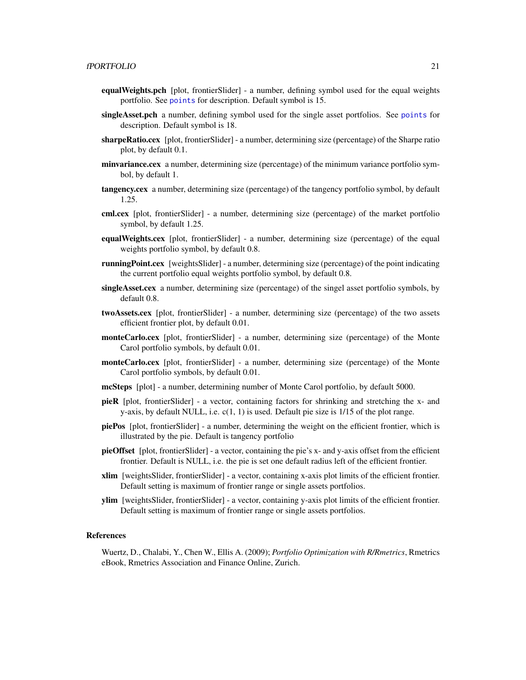- equalWeights.pch [plot, frontierSlider] a number, defining symbol used for the equal weights portfolio. See [points](#page-0-0) for description. Default symbol is 15.
- singleAsset.pch a number, defining symbol used for the single asset portfolios. See [points](#page-0-0) for description. Default symbol is 18.
- sharpeRatio.cex [plot, frontierSlider] a number, determining size (percentage) of the Sharpe ratio plot, by default 0.1.
- **minvariance.cex** a number, determining size (percentage) of the minimum variance portfolio symbol, by default 1.
- tangency.cex a number, determining size (percentage) of the tangency portfolio symbol, by default 1.25.
- cml.cex [plot, frontierSlider] a number, determining size (percentage) of the market portfolio symbol, by default 1.25.
- equalWeights.cex [plot, frontierSlider] a number, determining size (percentage) of the equal weights portfolio symbol, by default 0.8.
- **runningPoint.cex** [weightsSlider] a number, determining size (percentage) of the point indicating the current portfolio equal weights portfolio symbol, by default 0.8.
- singleAsset.cex a number, determining size (percentage) of the singel asset portfolio symbols, by default 0.8.
- twoAssets.cex [plot, frontierSlider] a number, determining size (percentage) of the two assets efficient frontier plot, by default 0.01.
- **monteCarlo.cex** [plot, frontierSlider] a number, determining size (percentage) of the Monte Carol portfolio symbols, by default 0.01.
- monteCarlo.cex [plot, frontierSlider] a number, determining size (percentage) of the Monte Carol portfolio symbols, by default 0.01.
- mcSteps [plot] a number, determining number of Monte Carol portfolio, by default 5000.
- pieR [plot, frontierSlider] a vector, containing factors for shrinking and stretching the x- and y-axis, by default NULL, i.e.  $c(1, 1)$  is used. Default pie size is  $1/15$  of the plot range.
- piePos [plot, frontierSlider] a number, determining the weight on the efficient frontier, which is illustrated by the pie. Default is tangency portfolio
- pieOffset [plot, frontierSlider] a vector, containing the pie's x- and y-axis offset from the efficient frontier. Default is NULL, i.e. the pie is set one default radius left of the efficient frontier.
- xlim [weightsSlider, frontierSlider] a vector, containing x-axis plot limits of the efficient frontier. Default setting is maximum of frontier range or single assets portfolios.
- ylim [weightsSlider, frontierSlider] a vector, containing y-axis plot limits of the efficient frontier. Default setting is maximum of frontier range or single assets portfolios.

#### References

Wuertz, D., Chalabi, Y., Chen W., Ellis A. (2009); *Portfolio Optimization with R/Rmetrics*, Rmetrics eBook, Rmetrics Association and Finance Online, Zurich.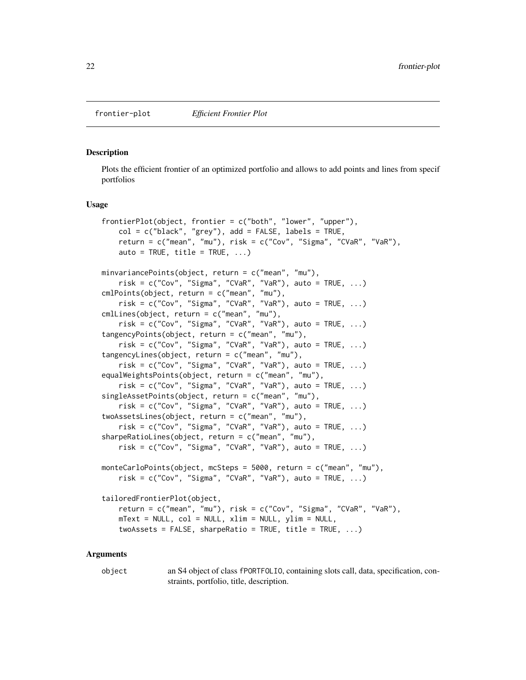#### <span id="page-21-0"></span>**Description**

Plots the efficient frontier of an optimized portfolio and allows to add points and lines from specif portfolios

#### Usage

```
frontierPlot(object, frontier = c("both", "lower", "upper"),
   col = c("black", "grey"), add = FALSE, labels = TRUE,return = c("mean", "mu"), risk = c("Cov", "Sigma", "CVaR", "VaR"),
   auto = TRUE, title = TRUE, \ldots)
minvariancePoints(object, return = c("mean", "mu"),
    risk = c("Cov", "Sigma", "CVaR", "VaR"), auto = TRUE, ...)cmlPoints(object, return = c("mean", "mu"),
    risk = c("Cov", "Sigma", "CVaR", "VaR"), auto = TRUE, ...)
cmlLines(object, return = c("mean", "mu"),
   risk = c("Cov", "Sigma", "CVaR", "VaR"), auto = TRUE, ...)tangencyPoints(object, return = c("mean", "mu"),
    risk = c("Cov", "Sigma", "CVaR", "VaR"), auto = TRUE, ...)tangencyLines(object, return = c("mean", "mu"),
   risk = c("Cov", "Sigma", "CVaR", "VaR"), auto = TRUE, ...)equalWeightsPoints(object, return = c("mean", "mu"),
    risk = c("Cov", "Sigma", "CVaR", "VaR"), auto = TRUE, ...)
singleAssetPoints(object, return = c("mean", "mu"),
   risk = c("Cov", "Sigma", "CVaR", "VaR"), auto = TRUE, ...)
twoAssetsLines(object, return = c("mean", "mu"),
    risk = c("Cov", "Sigma", "CVaR", "VaR"), auto = TRUE, ...)sharpeRatioLines(object, return = c("mean", "mu"),
   risk = c("Cov", "Sigma", "CVaR", "VaR"), auto = TRUE, ...)monteCarloPoints(object, mcSteps = 5000, return = c("mean", "mu"),
   risk = c("Cov", "Sigma", "CVaR", "VaR"), auto = TRUE, ...)tailoredFrontierPlot(object,
   return = c("mean", "mu"), risk = c("Cov", "Sigma", "CVaR", "VaR"),
   mText = NULL, col = NULL, xlim = NULL, ylim = NULL,twoAssets = FALSE, sharpeRatio = TRUE, title = TRUE, ...)
```
#### Arguments

object an S4 object of class fPORTFOLIO, containing slots call, data, specification, constraints, portfolio, title, description.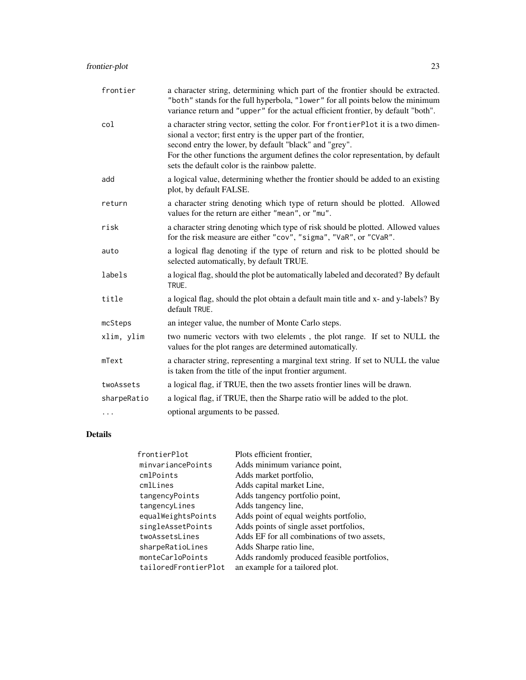# frontier-plot 23

| frontier    | a character string, determining which part of the frontier should be extracted.<br>"both" stands for the full hyperbola, "lower" for all points below the minimum<br>variance return and "upper" for the actual efficient frontier, by default "both".                                                                                                |
|-------------|-------------------------------------------------------------------------------------------------------------------------------------------------------------------------------------------------------------------------------------------------------------------------------------------------------------------------------------------------------|
| col         | a character string vector, setting the color. For frontierPlot it is a two dimen-<br>sional a vector; first entry is the upper part of the frontier,<br>second entry the lower, by default "black" and "grey".<br>For the other functions the argument defines the color representation, by default<br>sets the default color is the rainbow palette. |
| add         | a logical value, determining whether the frontier should be added to an existing<br>plot, by default FALSE.                                                                                                                                                                                                                                           |
| return      | a character string denoting which type of return should be plotted. Allowed<br>values for the return are either "mean", or "mu".                                                                                                                                                                                                                      |
| risk        | a character string denoting which type of risk should be plotted. Allowed values<br>for the risk measure are either "cov", "sigma", "VaR", or "CVaR".                                                                                                                                                                                                 |
| auto        | a logical flag denoting if the type of return and risk to be plotted should be<br>selected automatically, by default TRUE.                                                                                                                                                                                                                            |
| labels      | a logical flag, should the plot be automatically labeled and decorated? By default<br>TRUE.                                                                                                                                                                                                                                                           |
| title       | a logical flag, should the plot obtain a default main title and x- and y-labels? By<br>default TRUE.                                                                                                                                                                                                                                                  |
| mcSteps     | an integer value, the number of Monte Carlo steps.                                                                                                                                                                                                                                                                                                    |
| xlim, ylim  | two numeric vectors with two elelemts, the plot range. If set to NULL the<br>values for the plot ranges are determined automatically.                                                                                                                                                                                                                 |
| mText       | a character string, representing a marginal text string. If set to NULL the value<br>is taken from the title of the input frontier argument.                                                                                                                                                                                                          |
| twoAssets   | a logical flag, if TRUE, then the two assets frontier lines will be drawn.                                                                                                                                                                                                                                                                            |
| sharpeRatio | a logical flag, if TRUE, then the Sharpe ratio will be added to the plot.                                                                                                                                                                                                                                                                             |
| .           | optional arguments to be passed.                                                                                                                                                                                                                                                                                                                      |

# Details

| frontierPlot         | Plots efficient frontier.                   |
|----------------------|---------------------------------------------|
| minvariancePoints    | Adds minimum variance point,                |
| cmlPoints            | Adds market portfolio,                      |
| cmlLines             | Adds capital market Line,                   |
| tangencyPoints       | Adds tangency portfolio point,              |
| tangencyLines        | Adds tangency line,                         |
| equalWeightsPoints   | Adds point of equal weights portfolio,      |
| singleAssetPoints    | Adds points of single asset portfolios,     |
| twoAssetsLines       | Adds EF for all combinations of two assets, |
| sharpeRatioLines     | Adds Sharpe ratio line,                     |
| monteCarloPoints     | Adds randomly produced feasible portfolios, |
| tailoredFrontierPlot | an example for a tailored plot.             |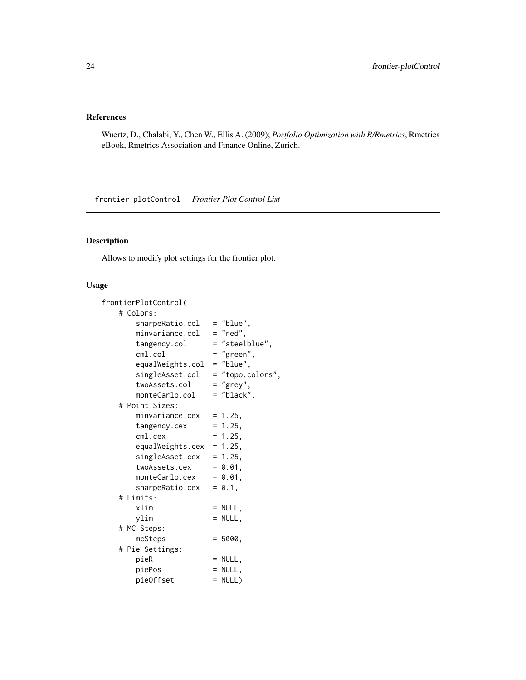# <span id="page-23-0"></span>References

Wuertz, D., Chalabi, Y., Chen W., Ellis A. (2009); *Portfolio Optimization with R/Rmetrics*, Rmetrics eBook, Rmetrics Association and Finance Online, Zurich.

frontier-plotControl *Frontier Plot Control List*

# Description

Allows to modify plot settings for the frontier plot.

# Usage

| frontierPlotControl( |                  |
|----------------------|------------------|
| # Colors:            |                  |
| sharpeRatio.col      | $=$ "blue",      |
| minvariance.col      | $=$ "red",       |
| tangency.col         | = "steelblue",   |
| cm1.col              | = "green",       |
| equalWeights.col     | $=$ "blue",      |
| singleAsset.col      | = "topo.colors", |
| twoAssets.col        | $=$ "grey",      |
| monteCarlo.col       | = "black".       |
| # Point Sizes:       |                  |
| minvariance.cex      | $= 1.25,$        |
| tangency.cex         | $= 1.25,$        |
| $cm1.$ cex           | $= 1.25,$        |
| equalWeights.cex     | $= 1.25,$        |
| singleAsset.cex      | $= 1.25,$        |
| twoAssets.cex        | $= 0.01,$        |
| monteCarlo.cex       | $= 0.01,$        |
| sharpeRatio.cex      | $= 0.1$ .        |
| # Limits:            |                  |
| xlim                 | $= NULL,$        |
| ylim                 | $= NULL,$        |
| # MC Steps:          |                  |
| mcSteps              | $= 5000.$        |
| # Pie Settings:      |                  |
| pieR                 | $=$ NULL,        |
| piePos               | $= NULL,$        |
| pieOffset            | $= NULL$         |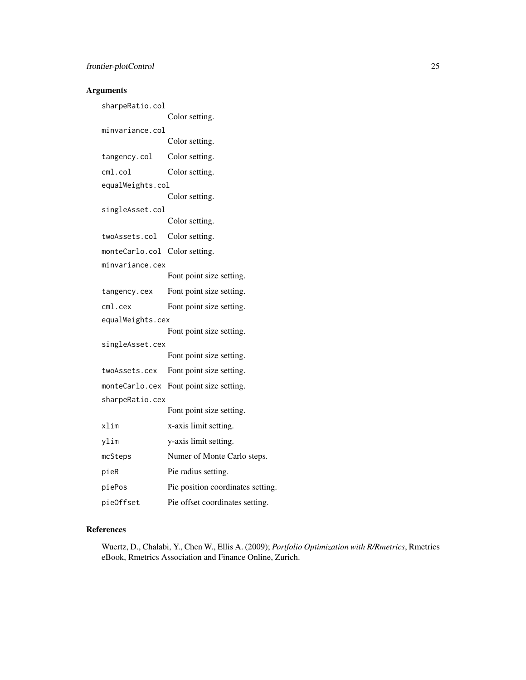| sharpeRatio.col               |                                   |
|-------------------------------|-----------------------------------|
|                               | Color setting.                    |
| minvariance.col               |                                   |
|                               | Color setting.                    |
| tangency.col                  | Color setting.                    |
| cm1.col                       | Color setting.                    |
| equalWeights.col              |                                   |
|                               | Color setting.                    |
| singleAsset.col               |                                   |
|                               | Color setting.                    |
| twoAssets.col                 | Color setting.                    |
| monteCarlo.col Color setting. |                                   |
| minvariance.cex               |                                   |
|                               | Font point size setting.          |
| tangency.cex                  | Font point size setting.          |
| $cm1.$ cex                    | Font point size setting.          |
| equalWeights.cex              |                                   |
|                               | Font point size setting.          |
| singleAsset.cex               |                                   |
|                               | Font point size setting.          |
| twoAssets.cex                 | Font point size setting.          |
| monteCarlo.cex                | Font point size setting.          |
| sharpeRatio.cex               |                                   |
|                               | Font point size setting.          |
| xlim                          | x-axis limit setting.             |
| ylim                          | y-axis limit setting.             |
| mcSteps                       | Numer of Monte Carlo steps.       |
| pieR                          | Pie radius setting.               |
| piePos                        | Pie position coordinates setting. |
| pieOffset                     | Pie offset coordinates setting.   |

# References

Wuertz, D., Chalabi, Y., Chen W., Ellis A. (2009); *Portfolio Optimization with R/Rmetrics*, Rmetrics eBook, Rmetrics Association and Finance Online, Zurich.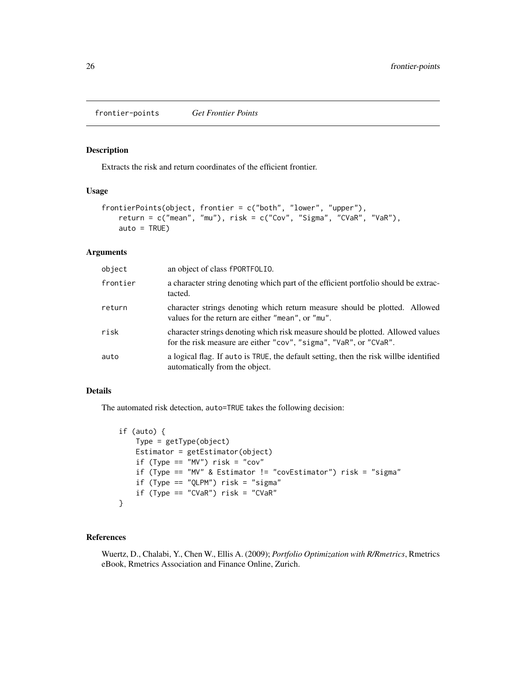<span id="page-25-0"></span>frontier-points *Get Frontier Points*

# Description

Extracts the risk and return coordinates of the efficient frontier.

# Usage

```
frontierPoints(object, frontier = c("both", "lower", "upper"),
   return = c("mean", "mu"), risk = c("Cov", "Sigma", "CVaR", "VaR"),
   auto = TRUE)
```
# Arguments

| object   | an object of class fPORTFOLIO.                                                                                                                       |
|----------|------------------------------------------------------------------------------------------------------------------------------------------------------|
| frontier | a character string denoting which part of the efficient portfolio should be extrac-<br>tacted.                                                       |
| return   | character strings denoting which return measure should be plotted. Allowed<br>values for the return are either "mean", or "mu".                      |
| risk     | character strings denoting which risk measure should be plotted. Allowed values<br>for the risk measure are either "cov", "sigma", "VaR", or "CVaR". |
| auto     | a logical flag. If auto is TRUE, the default setting, then the risk will be identified<br>automatically from the object.                             |

#### Details

The automated risk detection, auto=TRUE takes the following decision:

```
if (auto) {
   Type = getType(object)
   Estimator = getEstimator(object)
   if (Type == "MV") risk = "cov"
   if (Type == "MV" & Estimator != "covEstimator") risk = "sigma"
   if (Type == "QLPM") risk = "sigma"
   if (Type == "CVaR") risk = "CVaR"}
```
# References

Wuertz, D., Chalabi, Y., Chen W., Ellis A. (2009); *Portfolio Optimization with R/Rmetrics*, Rmetrics eBook, Rmetrics Association and Finance Online, Zurich.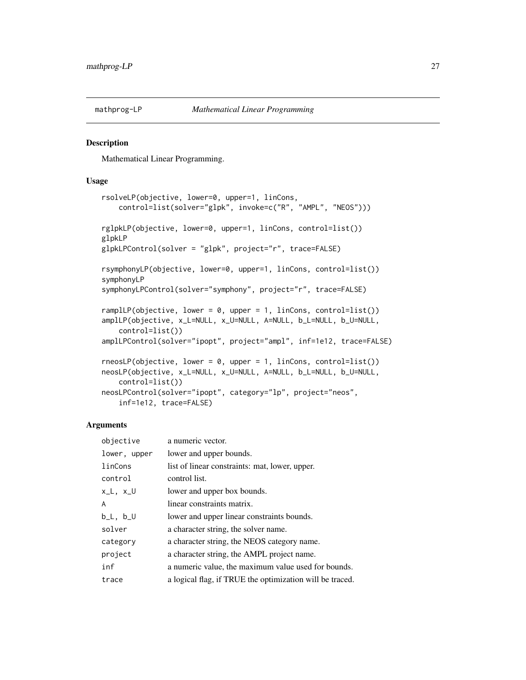<span id="page-26-0"></span>

#### Description

Mathematical Linear Programming.

## Usage

```
rsolveLP(objective, lower=0, upper=1, linCons,
   control=list(solver="glpk", invoke=c("R", "AMPL", "NEOS")))
rglpkLP(objective, lower=0, upper=1, linCons, control=list())
glpkLP
glpkLPControl(solver = "glpk", project="r", trace=FALSE)
rsymphonyLP(objective, lower=0, upper=1, linCons, control=list())
symphonyLP
symphonyLPControl(solver="symphony", project="r", trace=FALSE)
rampllP(objective, lower = 0, upper = 1, linCons, control-list()amplLP(objective, x_L=NULL, x_U=NULL, A=NULL, b_L=NULL, b_U=NULL,
    control=list())
amplLPControl(solver="ipopt", project="ampl", inf=1e12, trace=FALSE)
rneosLP(objective, lower = 0, upper = 1, linCons, control=list())neosLP(objective, x_L=NULL, x_U=NULL, A=NULL, b_L=NULL, b_U=NULL,
   control=list())
neosLPControl(solver="ipopt", category="lp", project="neos",
    inf=1e12, trace=FALSE)
```

| objective     | a numeric vector.                                        |
|---------------|----------------------------------------------------------|
| lower, upper  | lower and upper bounds.                                  |
| linCons       | list of linear constraints: mat, lower, upper.           |
| control       | control list.                                            |
| x_L, x_U      | lower and upper box bounds.                              |
| A             | linear constraints matrix.                               |
| $b_L$ , $b_U$ | lower and upper linear constraints bounds.               |
| solver        | a character string, the solver name.                     |
| category      | a character string, the NEOS category name.              |
| project       | a character string, the AMPL project name.               |
| inf           | a numeric value, the maximum value used for bounds.      |
| trace         | a logical flag, if TRUE the optimization will be traced. |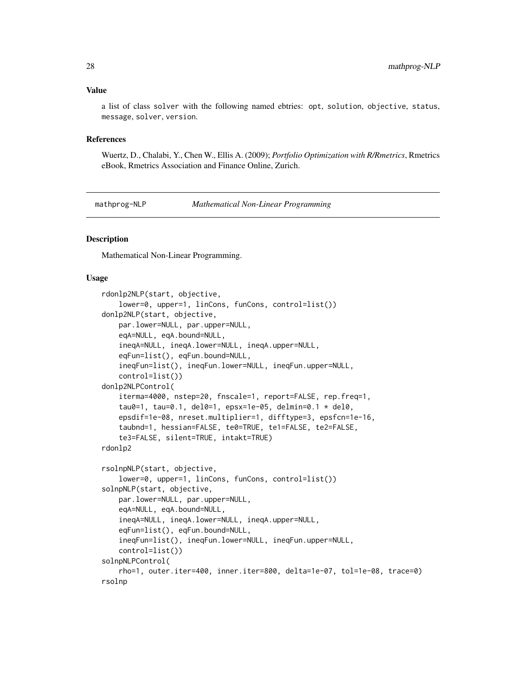#### <span id="page-27-0"></span>Value

a list of class solver with the following named ebtries: opt, solution, objective, status, message, solver, version.

#### References

Wuertz, D., Chalabi, Y., Chen W., Ellis A. (2009); *Portfolio Optimization with R/Rmetrics*, Rmetrics eBook, Rmetrics Association and Finance Online, Zurich.

mathprog-NLP *Mathematical Non-Linear Programming*

## Description

Mathematical Non-Linear Programming.

#### Usage

```
rdonlp2NLP(start, objective,
   lower=0, upper=1, linCons, funCons, control=list())
donlp2NLP(start, objective,
   par.lower=NULL, par.upper=NULL,
    eqA=NULL, eqA.bound=NULL,
    ineqA=NULL, ineqA.lower=NULL, ineqA.upper=NULL,
    eqFun=list(), eqFun.bound=NULL,
    ineqFun=list(), ineqFun.lower=NULL, ineqFun.upper=NULL,
    control=list())
donlp2NLPControl(
   iterma=4000, nstep=20, fnscale=1, report=FALSE, rep.freq=1,
    tau0=1, tau=0.1, del0=1, epsx=1e-05, delmin=0.1 * del0,
    epsdif=1e-08, nreset.multiplier=1, difftype=3, epsfcn=1e-16,
    taubnd=1, hessian=FALSE, te0=TRUE, te1=FALSE, te2=FALSE,
    te3=FALSE, silent=TRUE, intakt=TRUE)
rdonlp2
rsolnpNLP(start, objective,
    lower=0, upper=1, linCons, funCons, control=list())
solnpNLP(start, objective,
   par.lower=NULL, par.upper=NULL,
    eqA=NULL, eqA.bound=NULL,
    ineqA=NULL, ineqA.lower=NULL, ineqA.upper=NULL,
    eqFun=list(), eqFun.bound=NULL,
    ineqFun=list(), ineqFun.lower=NULL, ineqFun.upper=NULL,
   control=list())
solnpNLPControl(
    rho=1, outer.iter=400, inner.iter=800, delta=1e-07, tol=1e-08, trace=0)
rsolnp
```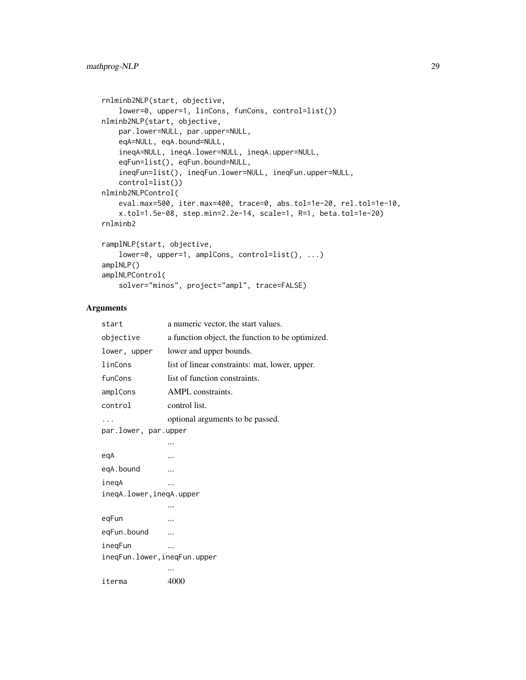```
rnlminb2NLP(start, objective,
   lower=0, upper=1, linCons, funCons, control=list())
nlminb2NLP(start, objective,
   par.lower=NULL, par.upper=NULL,
   eqA=NULL, eqA.bound=NULL,
   ineqA=NULL, ineqA.lower=NULL, ineqA.upper=NULL,
   eqFun=list(), eqFun.bound=NULL,
   ineqFun=list(), ineqFun.lower=NULL, ineqFun.upper=NULL,
   control=list())
nlminb2NLPControl(
   eval.max=500, iter.max=400, trace=0, abs.tol=1e-20, rel.tol=1e-10,
   x.tol=1.5e-08, step.min=2.2e-14, scale=1, R=1, beta.tol=1e-20)
rnlminb2
ramplNLP(start, objective,
   lower=0, upper=1, amplCons, control=list(), ...)
```

```
amplNLP()
amplNLPControl(
   solver="minos", project="ampl", trace=FALSE)
```

| start                        | a numeric vector, the start values.              |  |  |  |
|------------------------------|--------------------------------------------------|--|--|--|
| objective                    | a function object, the function to be optimized. |  |  |  |
| lower, upper                 | lower and upper bounds.                          |  |  |  |
| linCons                      | list of linear constraints: mat, lower, upper.   |  |  |  |
| funCons                      | list of function constraints.                    |  |  |  |
| amplCons                     | AMPL constraints.                                |  |  |  |
| control                      | control list.                                    |  |  |  |
| .                            | optional arguments to be passed.                 |  |  |  |
| par.lower, par.upper         |                                                  |  |  |  |
|                              |                                                  |  |  |  |
| egA                          |                                                  |  |  |  |
| eqA.bound                    |                                                  |  |  |  |
| inegA                        |                                                  |  |  |  |
| ineqA.lower,ineqA.upper      |                                                  |  |  |  |
|                              |                                                  |  |  |  |
| eqFun                        |                                                  |  |  |  |
| eqFun.bound                  |                                                  |  |  |  |
| ineqFun                      |                                                  |  |  |  |
| ineqFun.lower, ineqFun.upper |                                                  |  |  |  |
|                              |                                                  |  |  |  |
| iterma                       | 4000                                             |  |  |  |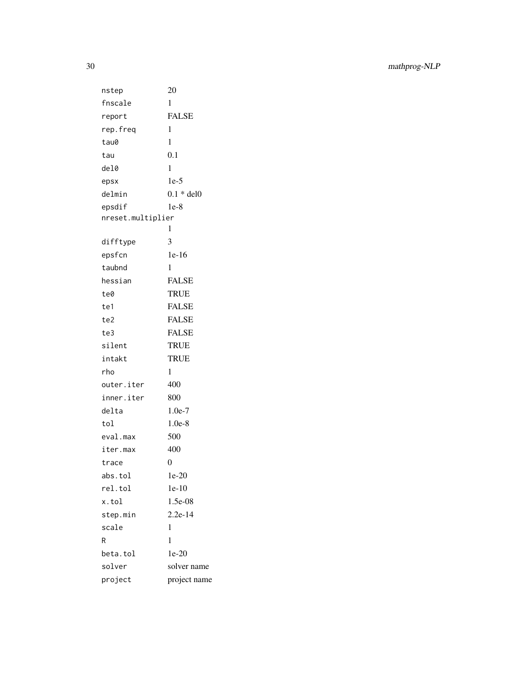30 mathprog-NLP

nstep 20 fnscale 1 report FALSE rep.freq 1 tau0 1 tau 0.1 del0 1 epsx 1e-5 delmin 0.1 \* del0 epsdif 1e-8 nreset.multiplier 1 difftype 3 epsfcn 1e-16 taubnd 1 hessian FALSE te0 TRUE te1 FALSE te2 FALSE te3 FALSE silent TRUE intakt TRUE rho 1 outer.iter 400 inner.iter 800 delta 1.0e-7 tol 1.0e-8 eval.max 500 iter.max 400 trace 0 abs.tol 1e-20 rel.tol 1e-10 x.tol 1.5e-08 step.min 2.2e-14 scale 1 R  $1$ beta.tol 1e-20 solver solver name project project name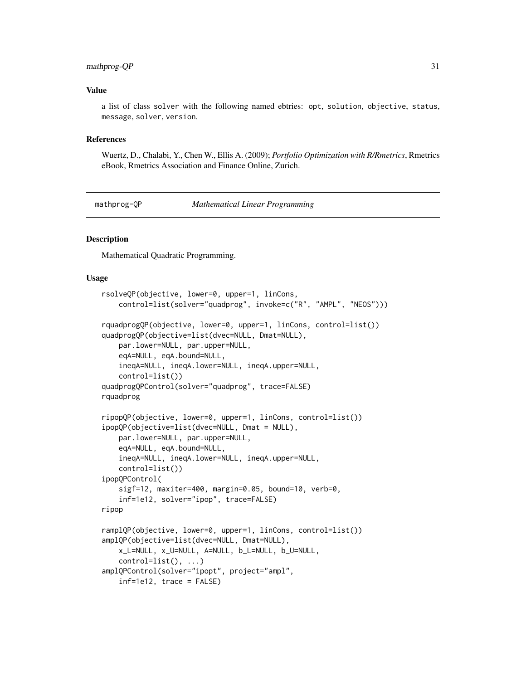#### <span id="page-30-0"></span>mathprog-QP 31

#### Value

a list of class solver with the following named ebtries: opt, solution, objective, status, message, solver, version.

#### References

Wuertz, D., Chalabi, Y., Chen W., Ellis A. (2009); *Portfolio Optimization with R/Rmetrics*, Rmetrics eBook, Rmetrics Association and Finance Online, Zurich.

mathprog-QP *Mathematical Linear Programming*

## **Description**

Mathematical Quadratic Programming.

#### Usage

```
rsolveQP(objective, lower=0, upper=1, linCons,
   control=list(solver="quadprog", invoke=c("R", "AMPL", "NEOS")))
rquadprogQP(objective, lower=0, upper=1, linCons, control=list())
quadprogQP(objective=list(dvec=NULL, Dmat=NULL),
   par.lower=NULL, par.upper=NULL,
   eqA=NULL, eqA.bound=NULL,
   ineqA=NULL, ineqA.lower=NULL, ineqA.upper=NULL,
   control=list())
quadprogQPControl(solver="quadprog", trace=FALSE)
rquadprog
ripopQP(objective, lower=0, upper=1, linCons, control=list())
ipopQP(objective=list(dvec=NULL, Dmat = NULL),
   par.lower=NULL, par.upper=NULL,
   eqA=NULL, eqA.bound=NULL,
   ineqA=NULL, ineqA.lower=NULL, ineqA.upper=NULL,
   control=list())
ipopQPControl(
   sigf=12, maxiter=400, margin=0.05, bound=10, verb=0,
   inf=1e12, solver="ipop", trace=FALSE)
ripop
ramplQP(objective, lower=0, upper=1, linCons, control=list())
amplQP(objective=list(dvec=NULL, Dmat=NULL),
   x_L=NULL, x_U=NULL, A=NULL, b_L=NULL, b_U=NULL,
   control=list(), ...)
amplQPControl(solver="ipopt", project="ampl",
   inf=1e12, trace = FALSE)
```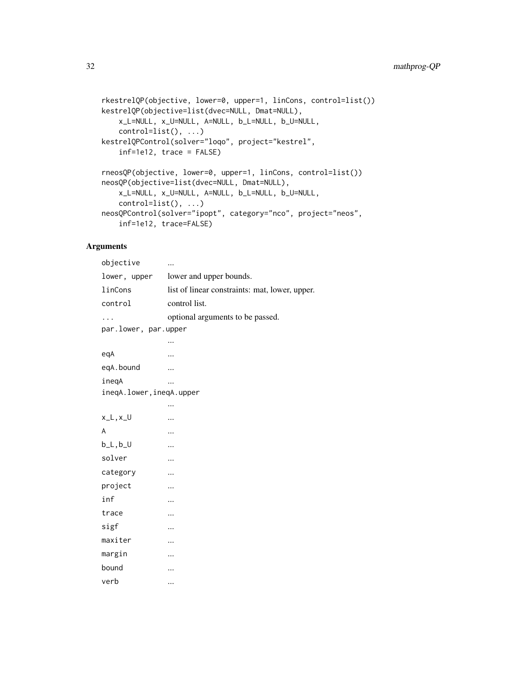```
rkestrelQP(objective, lower=0, upper=1, linCons, control=list())
kestrelQP(objective=list(dvec=NULL, Dmat=NULL),
    x_L=NULL, x_U=NULL, A=NULL, b_L=NULL, b_U=NULL,
    control=list(), ...)
kestrelQPControl(solver="loqo", project="kestrel",
    inf=1e12, trace = FALSE)
rneosQP(objective, lower=0, upper=1, linCons, control=list())
neosQP(objective=list(dvec=NULL, Dmat=NULL),
    x_L=NULL, x_U=NULL, A=NULL, b_L=NULL, b_U=NULL,
    control=list(), ...)
neosQPControl(solver="ipopt", category="nco", project="neos",
    inf=1e12, trace=FALSE)
```

| objective                |                                                |  |  |  |
|--------------------------|------------------------------------------------|--|--|--|
| lower, upper             | lower and upper bounds.                        |  |  |  |
| linCons                  | list of linear constraints: mat, lower, upper. |  |  |  |
| control                  | control list.                                  |  |  |  |
| .                        | optional arguments to be passed.               |  |  |  |
| par.lower, par.upper     |                                                |  |  |  |
|                          |                                                |  |  |  |
| eqA                      |                                                |  |  |  |
| eqA.bound                |                                                |  |  |  |
| inegA                    |                                                |  |  |  |
| ineqA.lower, ineqA.upper |                                                |  |  |  |
|                          |                                                |  |  |  |
| $x_l, x_l$               |                                                |  |  |  |
| A                        |                                                |  |  |  |
| $b_L, b_U$               |                                                |  |  |  |
| solver                   |                                                |  |  |  |
| category                 |                                                |  |  |  |
| project                  |                                                |  |  |  |
| inf                      |                                                |  |  |  |
| trace                    |                                                |  |  |  |
| sigf                     |                                                |  |  |  |
| maxiter                  |                                                |  |  |  |
| margin                   |                                                |  |  |  |
| bound                    |                                                |  |  |  |
| verb                     |                                                |  |  |  |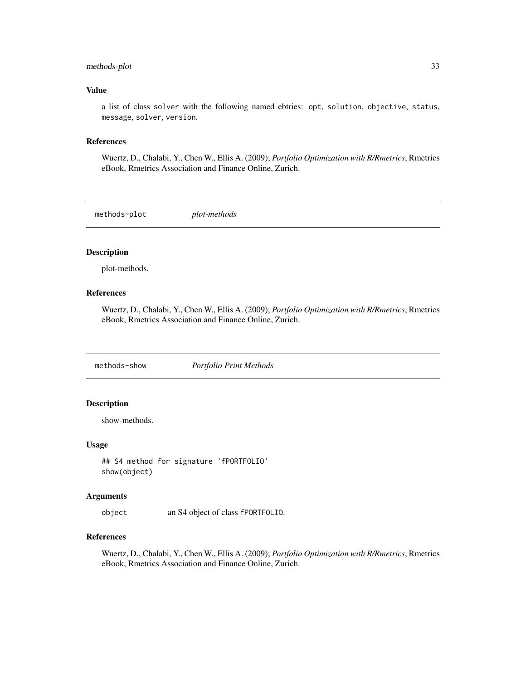# <span id="page-32-0"></span>methods-plot 33

#### Value

a list of class solver with the following named ebtries: opt, solution, objective, status, message, solver, version.

### References

Wuertz, D., Chalabi, Y., Chen W., Ellis A. (2009); *Portfolio Optimization with R/Rmetrics*, Rmetrics eBook, Rmetrics Association and Finance Online, Zurich.

methods-plot *plot-methods*

#### Description

plot-methods.

# References

Wuertz, D., Chalabi, Y., Chen W., Ellis A. (2009); *Portfolio Optimization with R/Rmetrics*, Rmetrics eBook, Rmetrics Association and Finance Online, Zurich.

methods-show *Portfolio Print Methods*

#### Description

show-methods.

# Usage

```
## S4 method for signature 'fPORTFOLIO'
show(object)
```
#### Arguments

object an S4 object of class fPORTFOLIO.

#### References

Wuertz, D., Chalabi, Y., Chen W., Ellis A. (2009); *Portfolio Optimization with R/Rmetrics*, Rmetrics eBook, Rmetrics Association and Finance Online, Zurich.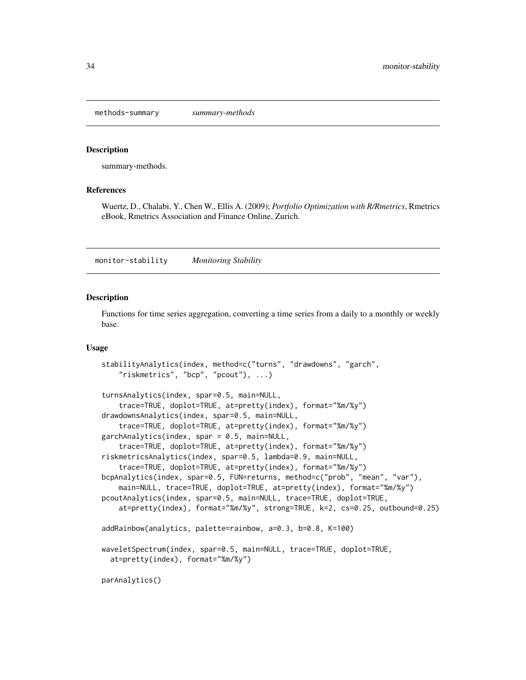<span id="page-33-0"></span>methods-summary *summary-methods*

#### Description

summary-methods.

#### References

Wuertz, D., Chalabi, Y., Chen W., Ellis A. (2009); *Portfolio Optimization with R/Rmetrics*, Rmetrics eBook, Rmetrics Association and Finance Online, Zurich.

monitor-stability *Monitoring Stability*

# Description

Functions for time series aggregation, converting a time series from a daily to a monthly or weekly base.

#### Usage

```
stabilityAnalytics(index, method=c("turns", "drawdowns", "garch",
    "riskmetrics", "bcp", "pcout"), ...)
turnsAnalytics(index, spar=0.5, main=NULL,
    trace=TRUE, doplot=TRUE, at=pretty(index), format="%m/%y")
drawdownsAnalytics(index, spar=0.5, main=NULL,
    trace=TRUE, doplot=TRUE, at=pretty(index), format="%m/%y")
garchAnalytics(index, spar = 0.5, main=NULL,
    trace=TRUE, doplot=TRUE, at=pretty(index), format="%m/%y")
riskmetricsAnalytics(index, spar=0.5, lambda=0.9, main=NULL,
    trace=TRUE, doplot=TRUE, at=pretty(index), format="%m/%y")
bcpAnalytics(index, spar=0.5, FUN=returns, method=c("prob", "mean", "var"),
   main=NULL, trace=TRUE, doplot=TRUE, at=pretty(index), format="%m/%y")
pcoutAnalytics(index, spar=0.5, main=NULL, trace=TRUE, doplot=TRUE,
   at=pretty(index), format="%m/%y", strong=TRUE, k=2, cs=0.25, outbound=0.25)
addRainbow(analytics, palette=rainbow, a=0.3, b=0.8, K=100)
waveletSpectrum(index, spar=0.5, main=NULL, trace=TRUE, doplot=TRUE,
  at=pretty(index), format="%m/%y")
parAnalytics()
```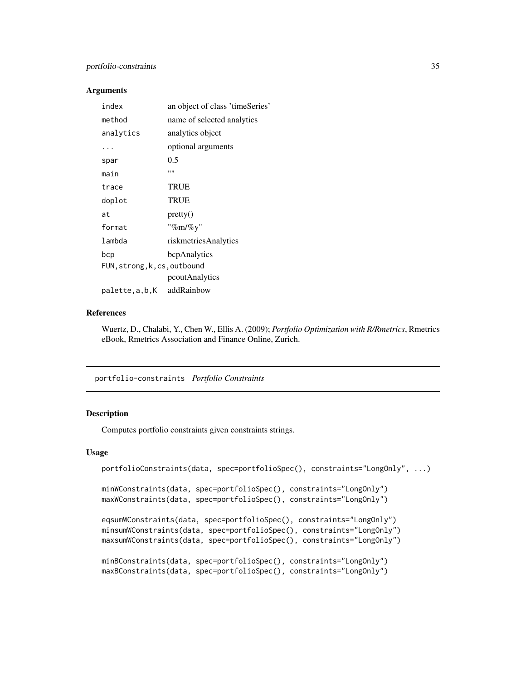<span id="page-34-0"></span>

| index                        | an object of class 'timeSeries' |  |  |
|------------------------------|---------------------------------|--|--|
| method                       | name of selected analytics      |  |  |
| analytics                    | analytics object                |  |  |
| .                            | optional arguments              |  |  |
| spar                         | 0.5                             |  |  |
| main                         | ,,,,                            |  |  |
| trace                        | <b>TRUE</b>                     |  |  |
| doplot                       | TRUE                            |  |  |
| at                           | pretry()                        |  |  |
| format                       | "%m/%y"                         |  |  |
| lambda                       | riskmetricsAnalytics            |  |  |
| bcp                          | bcpAnalytics                    |  |  |
| FUN, strong, k, cs, outbound |                                 |  |  |
|                              | pcoutAnalytics                  |  |  |
| palette,a,b,K                | addRainbow                      |  |  |

#### References

Wuertz, D., Chalabi, Y., Chen W., Ellis A. (2009); *Portfolio Optimization with R/Rmetrics*, Rmetrics eBook, Rmetrics Association and Finance Online, Zurich.

portfolio-constraints *Portfolio Constraints*

#### Description

Computes portfolio constraints given constraints strings.

# Usage

```
portfolioConstraints(data, spec=portfolioSpec(), constraints="LongOnly", ...)
minWConstraints(data, spec=portfolioSpec(), constraints="LongOnly")
maxWConstraints(data, spec=portfolioSpec(), constraints="LongOnly")
```

```
eqsumWConstraints(data, spec=portfolioSpec(), constraints="LongOnly")
minsumWConstraints(data, spec=portfolioSpec(), constraints="LongOnly")
maxsumWConstraints(data, spec=portfolioSpec(), constraints="LongOnly")
```

```
minBConstraints(data, spec=portfolioSpec(), constraints="LongOnly")
maxBConstraints(data, spec=portfolioSpec(), constraints="LongOnly")
```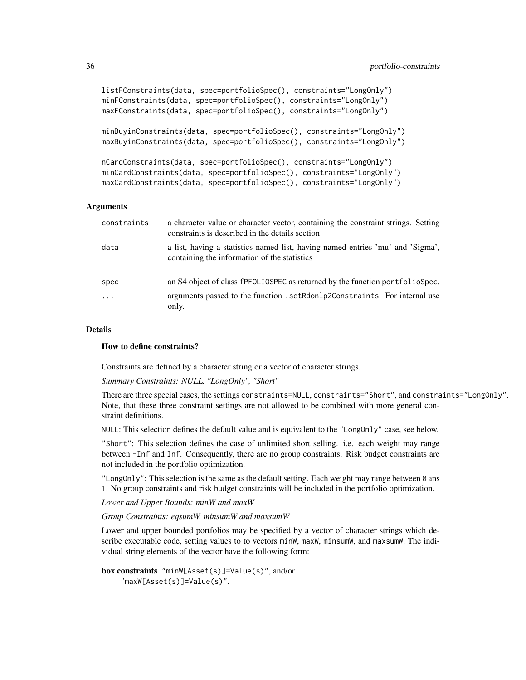```
listFConstraints(data, spec=portfolioSpec(), constraints="LongOnly")
minFConstraints(data, spec=portfolioSpec(), constraints="LongOnly")
maxFConstraints(data, spec=portfolioSpec(), constraints="LongOnly")
```

```
minBuyinConstraints(data, spec=portfolioSpec(), constraints="LongOnly")
maxBuyinConstraints(data, spec=portfolioSpec(), constraints="LongOnly")
```

```
nCardConstraints(data, spec=portfolioSpec(), constraints="LongOnly")
minCardConstraints(data, spec=portfolioSpec(), constraints="LongOnly")
maxCardConstraints(data, spec=portfolioSpec(), constraints="LongOnly")
```

| constraints | a character value or character vector, containing the constraint strings. Setting<br>constraints is described in the details section |
|-------------|--------------------------------------------------------------------------------------------------------------------------------------|
| data        | a list, having a statistics named list, having named entries 'mu' and 'Sigma',<br>containing the information of the statistics       |
| spec        | an S4 object of class fPFOLIOSPEC as returned by the function portfolioSpec.                                                         |
| $\cdots$    | arguments passed to the function . setRdonlp2Constraints. For internal use<br>only.                                                  |

#### Details

#### How to define constraints?

Constraints are defined by a character string or a vector of character strings.

*Summary Constraints: NULL, "LongOnly", "Short"*

There are three special cases, the settings constraints=NULL, constraints="Short", and constraints="LongOnly". Note, that these three constraint settings are not allowed to be combined with more general constraint definitions.

NULL: This selection defines the default value and is equivalent to the "LongOnly" case, see below.

"Short": This selection defines the case of unlimited short selling. i.e. each weight may range between -Inf and Inf. Consequently, there are no group constraints. Risk budget constraints are not included in the portfolio optimization.

"LongOnly": This selection is the same as the default setting. Each weight may range between  $\theta$  ans 1. No group constraints and risk budget constraints will be included in the portfolio optimization.

*Lower and Upper Bounds: minW and maxW*

*Group Constraints: eqsumW, minsumW and maxsumW*

Lower and upper bounded portfolios may be specified by a vector of character strings which describe executable code, setting values to to vectors minW, maxW, minsumW, and maxsumW. The individual string elements of the vector have the following form:

```
box constraints "minW[Asset(s)]=Value(s)", and/or
    "maxW[Asset(s)]=Value(s)".
```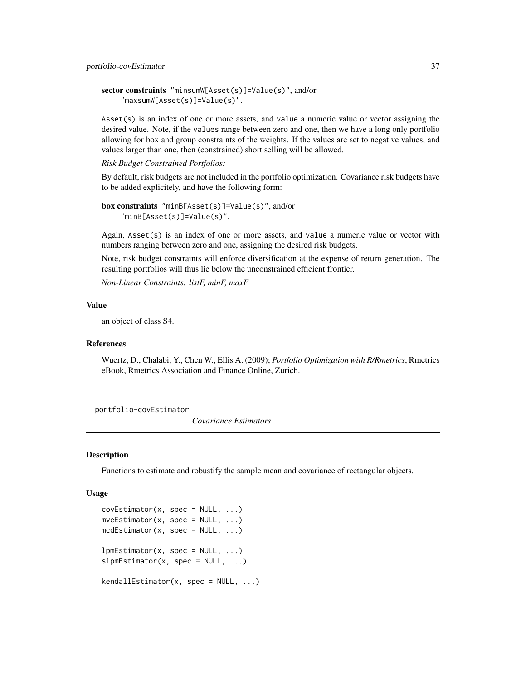```
sector constraints "minsumW[Asset(s)]=Value(s)", and/or
    "maxsumW[Asset(s)]=Value(s)".
```
Asset(s) is an index of one or more assets, and value a numeric value or vector assigning the desired value. Note, if the values range between zero and one, then we have a long only portfolio allowing for box and group constraints of the weights. If the values are set to negative values, and values larger than one, then (constrained) short selling will be allowed.

*Risk Budget Constrained Portfolios:*

By default, risk budgets are not included in the portfolio optimization. Covariance risk budgets have to be added explicitely, and have the following form:

```
box constraints "minB[Asset(s)]=Value(s)", and/or
    "minB[Asset(s)]=Value(s)".
```
Again, Asset(s) is an index of one or more assets, and value a numeric value or vector with numbers ranging between zero and one, assigning the desired risk budgets.

Note, risk budget constraints will enforce diversification at the expense of return generation. The resulting portfolios will thus lie below the unconstrained efficient frontier.

*Non-Linear Constraints: listF, minF, maxF*

#### Value

an object of class S4.

#### References

Wuertz, D., Chalabi, Y., Chen W., Ellis A. (2009); *Portfolio Optimization with R/Rmetrics*, Rmetrics eBook, Rmetrics Association and Finance Online, Zurich.

portfolio-covEstimator

*Covariance Estimators*

#### Description

Functions to estimate and robustify the sample mean and covariance of rectangular objects.

```
covEstimator(x, spec = NULL, ...)mveEstimator(x, spec = NULL, ...)medEstimator(x, spec = NULL, ...)lpmEstimator(x, spec = NULL, ...)slpmEstimator(x, spec = NULL, ...)kendallEstimator(x, spec = NULL, ...)
```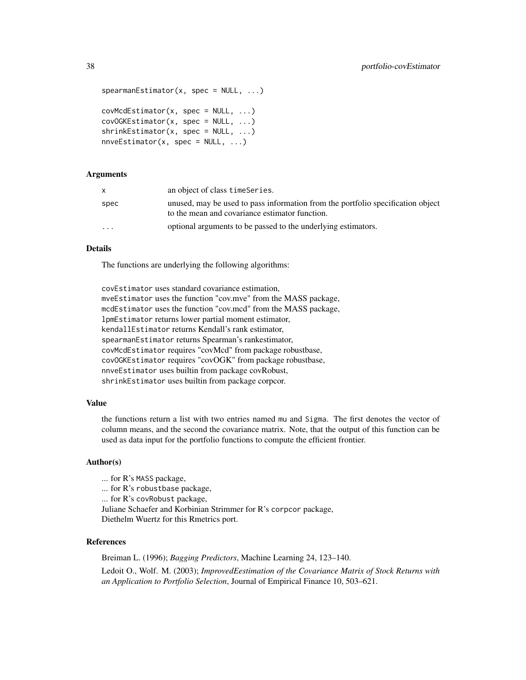```
spearmanEstimator(x, spec = NULL, ...)covMcdEstimator(x, spec = NULL, ...)
```

```
covOGKEstimator(x, spec = NULL, ...)shrinkEstimator(x, spec = NULL, ...)nnnveEstimator(x, spec = NULL, ...)
```
### Arguments

|         | an object of class time Series.                                                                                                   |
|---------|-----------------------------------------------------------------------------------------------------------------------------------|
| spec    | unused, may be used to pass information from the portfolio specification object<br>to the mean and covariance estimator function. |
| $\cdot$ | optional arguments to be passed to the underlying estimators.                                                                     |

### Details

The functions are underlying the following algorithms:

covEstimator uses standard covariance estimation, mveEstimator uses the function "cov.mve" from the MASS package, mcdEstimator uses the function "cov.mcd" from the MASS package, lpmEstimator returns lower partial moment estimator, kendallEstimator returns Kendall's rank estimator, spearmanEstimator returns Spearman's rankestimator, covMcdEstimator requires "covMcd" from package robustbase, covOGKEstimator requires "covOGK" from package robustbase, nnveEstimator uses builtin from package covRobust, shrinkEstimator uses builtin from package corpcor.

#### Value

the functions return a list with two entries named mu and Sigma. The first denotes the vector of column means, and the second the covariance matrix. Note, that the output of this function can be used as data input for the portfolio functions to compute the efficient frontier.

### Author(s)

- ... for R's MASS package,
- ... for R's robustbase package,

... for R's covRobust package,

Juliane Schaefer and Korbinian Strimmer for R's corpcor package, Diethelm Wuertz for this Rmetrics port.

#### References

Breiman L. (1996); *Bagging Predictors*, Machine Learning 24, 123–140. Ledoit O., Wolf. M. (2003); *ImprovedEestimation of the Covariance Matrix of Stock Returns with an Application to Portfolio Selection*, Journal of Empirical Finance 10, 503–621.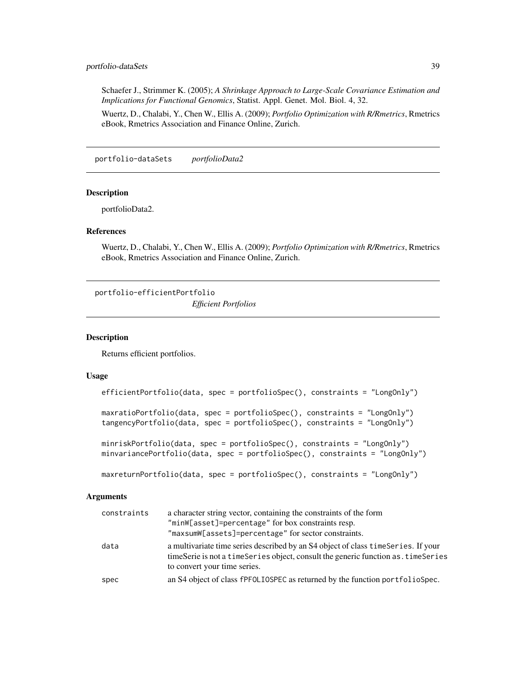### portfolio-dataSets 39

Schaefer J., Strimmer K. (2005); *A Shrinkage Approach to Large-Scale Covariance Estimation and Implications for Functional Genomics*, Statist. Appl. Genet. Mol. Biol. 4, 32.

Wuertz, D., Chalabi, Y., Chen W., Ellis A. (2009); *Portfolio Optimization with R/Rmetrics*, Rmetrics eBook, Rmetrics Association and Finance Online, Zurich.

portfolio-dataSets *portfolioData2*

### Description

portfolioData2.

# References

Wuertz, D., Chalabi, Y., Chen W., Ellis A. (2009); *Portfolio Optimization with R/Rmetrics*, Rmetrics eBook, Rmetrics Association and Finance Online, Zurich.

portfolio-efficientPortfolio

*Efficient Portfolios*

#### Description

Returns efficient portfolios.

#### Usage

```
efficientPortfolio(data, spec = portfolioSpec(), constraints = "LongOnly")
maxratioPortfolio(data, spec = portfolioSpec(), constraints = "LongOnly")
tangencyPortfolio(data, spec = portfolioSpec(), constraints = "LongOnly")
minriskPortfolio(data, spec = portfolioSpec(), constraints = "LongOnly")
minvariancePortfolio(data, spec = portfolioSpec(), constraints = "LongOnly")
```

```
maxreturnPortfolio(data, spec = portfolioSpec(), constraints = "LongOnly")
```
### Arguments

| constraints | a character string vector, containing the constraints of the form                                                                                                                                        |
|-------------|----------------------------------------------------------------------------------------------------------------------------------------------------------------------------------------------------------|
|             | "minW[asset]=percentage" for box constraints resp.                                                                                                                                                       |
|             | "maxsumW[assets]=percentage" for sector constraints.                                                                                                                                                     |
| data        | a multivariate time series described by an S4 object of class time Series. If your<br>timeSerie is not a timeSeries object, consult the generic function as . timeSeries<br>to convert your time series. |
| spec        | an S4 object of class fPFOLIOSPEC as returned by the function portfolioSpec.                                                                                                                             |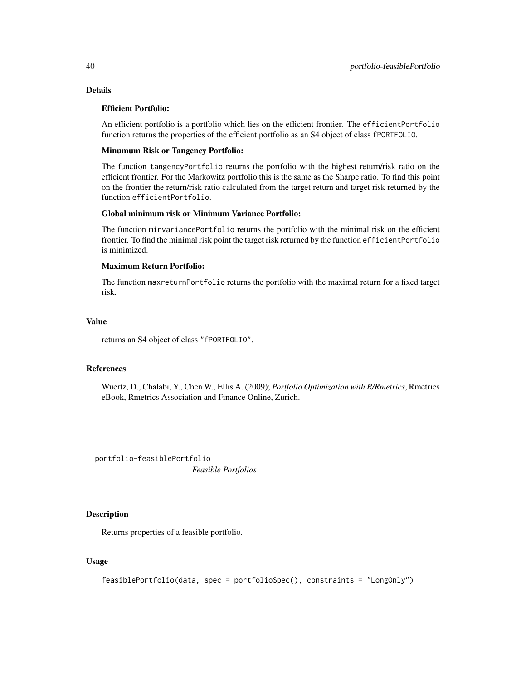# Details

### Efficient Portfolio:

An efficient portfolio is a portfolio which lies on the efficient frontier. The efficientPortfolio function returns the properties of the efficient portfolio as an S4 object of class fPORTFOLIO.

### Minumum Risk or Tangency Portfolio:

The function tangencyPortfolio returns the portfolio with the highest return/risk ratio on the efficient frontier. For the Markowitz portfolio this is the same as the Sharpe ratio. To find this point on the frontier the return/risk ratio calculated from the target return and target risk returned by the function efficientPortfolio.

### Global minimum risk or Minimum Variance Portfolio:

The function minvariancePortfolio returns the portfolio with the minimal risk on the efficient frontier. To find the minimal risk point the target risk returned by the function efficientPortfolio is minimized.

# Maximum Return Portfolio:

The function maxreturnPortfolio returns the portfolio with the maximal return for a fixed target risk.

### Value

returns an S4 object of class "fPORTFOLIO".

### References

Wuertz, D., Chalabi, Y., Chen W., Ellis A. (2009); *Portfolio Optimization with R/Rmetrics*, Rmetrics eBook, Rmetrics Association and Finance Online, Zurich.

portfolio-feasiblePortfolio *Feasible Portfolios*

### Description

Returns properties of a feasible portfolio.

```
feasiblePortfolio(data, spec = portfolioSpec(), constraints = "LongOnly")
```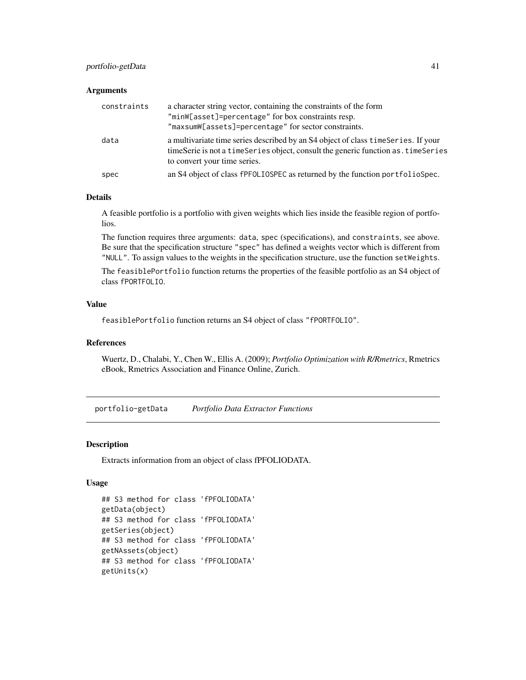# portfolio-getData 41

#### **Arguments**

| constraints | a character string vector, containing the constraints of the form<br>"minW[asset]=percentage" for box constraints resp.<br>"maxsumW[assets]=percentage" for sector constraints.                        |
|-------------|--------------------------------------------------------------------------------------------------------------------------------------------------------------------------------------------------------|
| data        | a multivariate time series described by an S4 object of class time Series. If your<br>timeSerie is not a timeSeries object, consult the generic function as timeSeries<br>to convert your time series. |
| spec        | an S4 object of class fPFOLIOSPEC as returned by the function portfolioSpec.                                                                                                                           |

### Details

A feasible portfolio is a portfolio with given weights which lies inside the feasible region of portfolios.

The function requires three arguments: data, spec (specifications), and constraints, see above. Be sure that the specification structure "spec" has defined a weights vector which is different from "NULL". To assign values to the weights in the specification structure, use the function setWeights.

The feasiblePortfolio function returns the properties of the feasible portfolio as an S4 object of class fPORTFOLIO.

### Value

feasiblePortfolio function returns an S4 object of class "fPORTFOLIO".

#### References

Wuertz, D., Chalabi, Y., Chen W., Ellis A. (2009); *Portfolio Optimization with R/Rmetrics*, Rmetrics eBook, Rmetrics Association and Finance Online, Zurich.

portfolio-getData *Portfolio Data Extractor Functions*

#### Description

Extracts information from an object of class fPFOLIODATA.

```
## S3 method for class 'fPFOLIODATA'
getData(object)
## S3 method for class 'fPFOLIODATA'
getSeries(object)
## S3 method for class 'fPFOLIODATA'
getNAssets(object)
## S3 method for class 'fPFOLIODATA'
getUnits(x)
```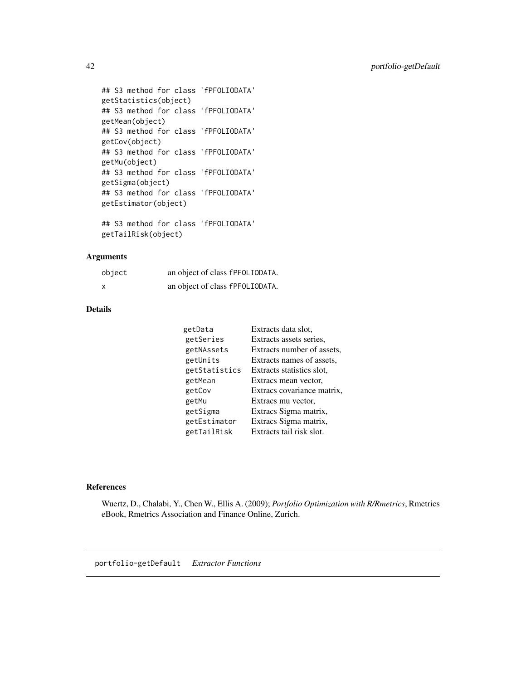```
## S3 method for class 'fPFOLIODATA'
getStatistics(object)
## S3 method for class 'fPFOLIODATA'
getMean(object)
## S3 method for class 'fPFOLIODATA'
getCov(object)
## S3 method for class 'fPFOLIODATA'
getMu(object)
## S3 method for class 'fPFOLIODATA'
getSigma(object)
## S3 method for class 'fPFOLIODATA'
getEstimator(object)
## S3 method for class 'fPFOLIODATA'
```

```
getTailRisk(object)
```
# Arguments

| object | an object of class fPF0LI0DATA. |  |
|--------|---------------------------------|--|
| x      | an object of class fPFOLIODATA. |  |

# Details

| getData       | Extracts data slot,        |
|---------------|----------------------------|
| getSeries     | Extracts assets series,    |
| getNAssets    | Extracts number of assets, |
| getUnits      | Extracts names of assets,  |
| getStatistics | Extracts statistics slot,  |
| getMean       | Extracs mean vector,       |
| getCov        | Extracs covariance matrix, |
| getMu         | Extracs mu vector,         |
| getSigma      | Extracs Sigma matrix,      |
| getEstimator  | Extracs Sigma matrix,      |
| getTailRisk   | Extracts tail risk slot.   |

# References

Wuertz, D., Chalabi, Y., Chen W., Ellis A. (2009); *Portfolio Optimization with R/Rmetrics*, Rmetrics eBook, Rmetrics Association and Finance Online, Zurich.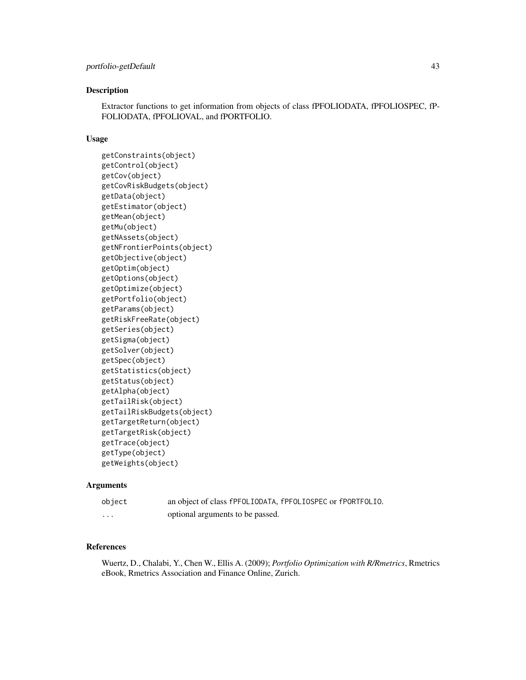### Description

Extractor functions to get information from objects of class fPFOLIODATA, fPFOLIOSPEC, fP-FOLIODATA, fPFOLIOVAL, and fPORTFOLIO.

### Usage

```
getConstraints(object)
getControl(object)
getCov(object)
getCovRiskBudgets(object)
getData(object)
getEstimator(object)
getMean(object)
getMu(object)
getNAssets(object)
getNFrontierPoints(object)
getObjective(object)
getOptim(object)
getOptions(object)
getOptimize(object)
getPortfolio(object)
getParams(object)
getRiskFreeRate(object)
getSeries(object)
getSigma(object)
getSolver(object)
getSpec(object)
getStatistics(object)
getStatus(object)
getAlpha(object)
getTailRisk(object)
getTailRiskBudgets(object)
getTargetReturn(object)
getTargetRisk(object)
getTrace(object)
getType(object)
getWeights(object)
```
### Arguments

object an object of class fPFOLIODATA, fPFOLIOSPEC or fPORTFOLIO. ... optional arguments to be passed.

### References

Wuertz, D., Chalabi, Y., Chen W., Ellis A. (2009); *Portfolio Optimization with R/Rmetrics*, Rmetrics eBook, Rmetrics Association and Finance Online, Zurich.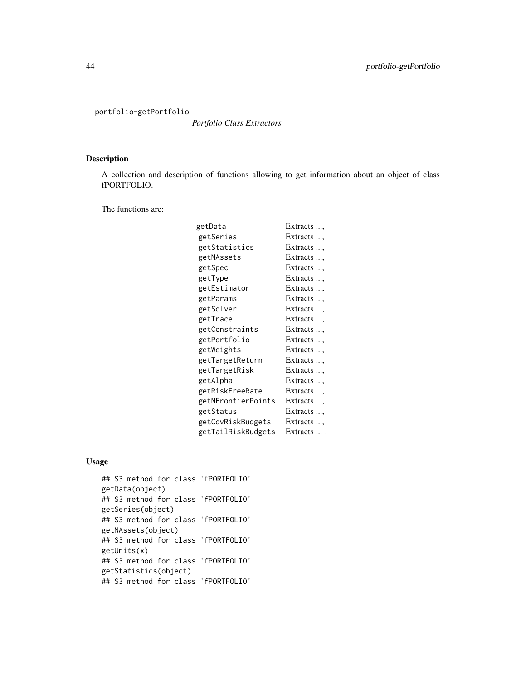portfolio-getPortfolio

*Portfolio Class Extractors*

# Description

A collection and description of functions allowing to get information about an object of class fPORTFOLIO.

The functions are:

| getData            | Extracts , |
|--------------------|------------|
| getSeries          | Extracts , |
| getStatistics      | Extracts , |
| getNAssets         | Extracts , |
| getSpec            | Extracts , |
| getType            | Extracts   |
| getEstimator       | Extracts   |
| getParams          | Extracts   |
| getSolver          | Extracts , |
| getTrace           | Extracts , |
| getConstraints     | Extracts , |
| getPortfolio       | Extracts   |
| getWeights         | Extracts , |
| getTargetReturn    | Extracts , |
| getTargetRisk      | Extracts , |
| getAlpha           | Extracts   |
| getRiskFreeRate    | Extracts , |
| getNFrontierPoints | Extracts , |
| getStatus          | Extracts , |
| getCovRiskBudgets  | Extracts   |
| getTailRiskBudgets | Extracts   |
|                    |            |

```
## S3 method for class 'fPORTFOLIO'
getData(object)
## S3 method for class 'fPORTFOLIO'
getSeries(object)
## S3 method for class 'fPORTFOLIO'
getNAssets(object)
## S3 method for class 'fPORTFOLIO'
getUnits(x)
## S3 method for class 'fPORTFOLIO'
getStatistics(object)
## S3 method for class 'fPORTFOLIO'
```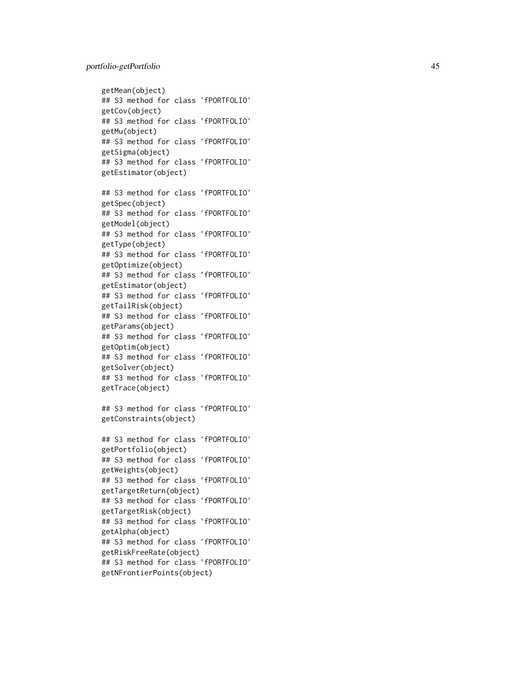```
getMean(object)
## S3 method for class 'fPORTFOLIO'
getCov(object)
## S3 method for class 'fPORTFOLIO'
getMu(object)
## S3 method for class 'fPORTFOLIO'
getSigma(object)
## S3 method for class 'fPORTFOLIO'
getEstimator(object)
## S3 method for class 'fPORTFOLIO'
getSpec(object)
## S3 method for class 'fPORTFOLIO'
getModel(object)
## S3 method for class 'fPORTFOLIO'
getType(object)
## S3 method for class 'fPORTFOLIO'
getOptimize(object)
## S3 method for class 'fPORTFOLIO'
getEstimator(object)
## S3 method for class 'fPORTFOLIO'
getTailRisk(object)
## S3 method for class 'fPORTFOLIO'
getParams(object)
## S3 method for class 'fPORTFOLIO'
getOptim(object)
## S3 method for class 'fPORTFOLIO'
getSolver(object)
## S3 method for class 'fPORTFOLIO'
getTrace(object)
## S3 method for class 'fPORTFOLIO'
getConstraints(object)
## S3 method for class 'fPORTFOLIO'
getPortfolio(object)
## S3 method for class 'fPORTFOLIO'
getWeights(object)
## S3 method for class 'fPORTFOLIO'
getTargetReturn(object)
## S3 method for class 'fPORTFOLIO'
getTargetRisk(object)
## S3 method for class 'fPORTFOLIO'
getAlpha(object)
## S3 method for class 'fPORTFOLIO'
getRiskFreeRate(object)
## S3 method for class 'fPORTFOLIO'
getNFrontierPoints(object)
```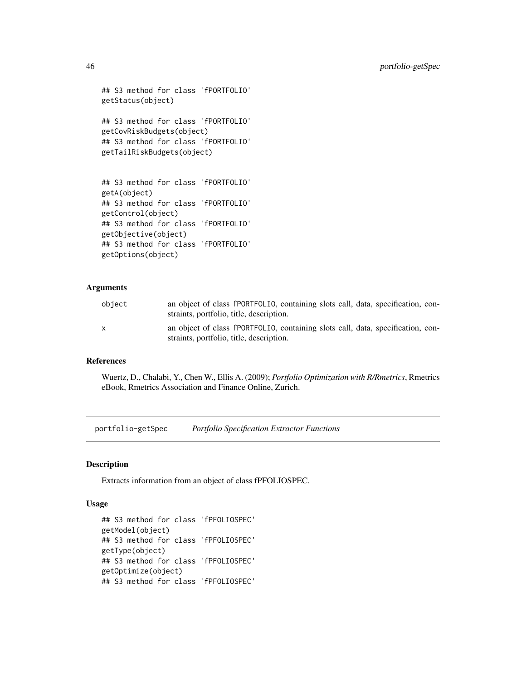```
## S3 method for class 'fPORTFOLIO'
getStatus(object)
## S3 method for class 'fPORTFOLIO'
getCovRiskBudgets(object)
## S3 method for class 'fPORTFOLIO'
getTailRiskBudgets(object)
## S3 method for class 'fPORTFOLIO'
getA(object)
## S3 method for class 'fPORTFOLIO'
getControl(object)
## S3 method for class 'fPORTFOLIO'
```

```
getObjective(object)
## S3 method for class 'fPORTFOLIO'
getOptions(object)
```
#### Arguments

| object       | an object of class fPORTFOLIO, containing slots call, data, specification, con-<br>straints, portfolio, title, description. |
|--------------|-----------------------------------------------------------------------------------------------------------------------------|
| $\mathbf{x}$ | an object of class fPORTFOLIO, containing slots call, data, specification, con-<br>straints, portfolio, title, description. |

### References

Wuertz, D., Chalabi, Y., Chen W., Ellis A. (2009); *Portfolio Optimization with R/Rmetrics*, Rmetrics eBook, Rmetrics Association and Finance Online, Zurich.

portfolio-getSpec *Portfolio Specification Extractor Functions*

#### Description

Extracts information from an object of class fPFOLIOSPEC.

```
## S3 method for class 'fPFOLIOSPEC'
getModel(object)
## S3 method for class 'fPFOLIOSPEC'
getType(object)
## S3 method for class 'fPFOLIOSPEC'
getOptimize(object)
## S3 method for class 'fPFOLIOSPEC'
```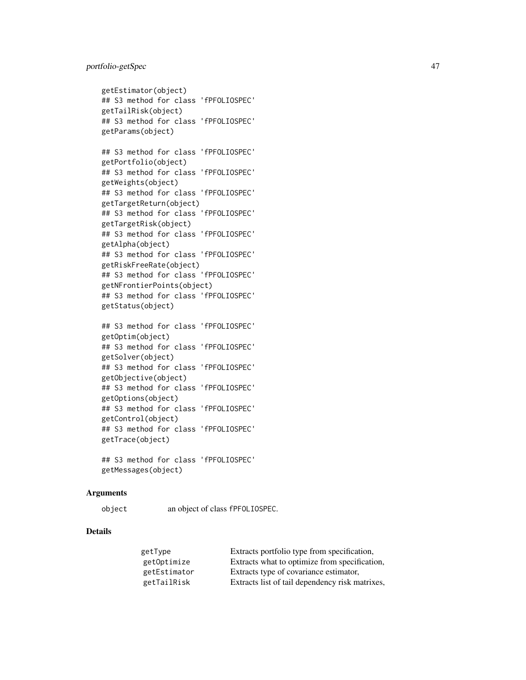# portfolio-getSpec 47

```
getEstimator(object)
## S3 method for class 'fPFOLIOSPEC'
getTailRisk(object)
## S3 method for class 'fPFOLIOSPEC'
getParams(object)
```

```
## S3 method for class 'fPFOLIOSPEC'
getPortfolio(object)
## S3 method for class 'fPFOLIOSPEC'
getWeights(object)
## S3 method for class 'fPFOLIOSPEC'
getTargetReturn(object)
## S3 method for class 'fPFOLIOSPEC'
getTargetRisk(object)
## S3 method for class 'fPFOLIOSPEC'
getAlpha(object)
## S3 method for class 'fPFOLIOSPEC'
getRiskFreeRate(object)
## S3 method for class 'fPFOLIOSPEC'
getNFrontierPoints(object)
## S3 method for class 'fPFOLIOSPEC'
getStatus(object)
```

```
## S3 method for class 'fPFOLIOSPEC'
getOptim(object)
## S3 method for class 'fPFOLIOSPEC'
getSolver(object)
## S3 method for class 'fPFOLIOSPEC'
getObjective(object)
## S3 method for class 'fPFOLIOSPEC'
getOptions(object)
## S3 method for class 'fPFOLIOSPEC'
getControl(object)
## S3 method for class 'fPFOLIOSPEC'
getTrace(object)
```

```
## S3 method for class 'fPFOLIOSPEC'
getMessages(object)
```
### Arguments

object an object of class fPFOLIOSPEC.

### Details

| getType      | Extracts portfolio type from specification,     |
|--------------|-------------------------------------------------|
| getOptimize  | Extracts what to optimize from specification,   |
| getEstimator | Extracts type of covariance estimator,          |
| getTailRisk  | Extracts list of tail dependency risk matrixes, |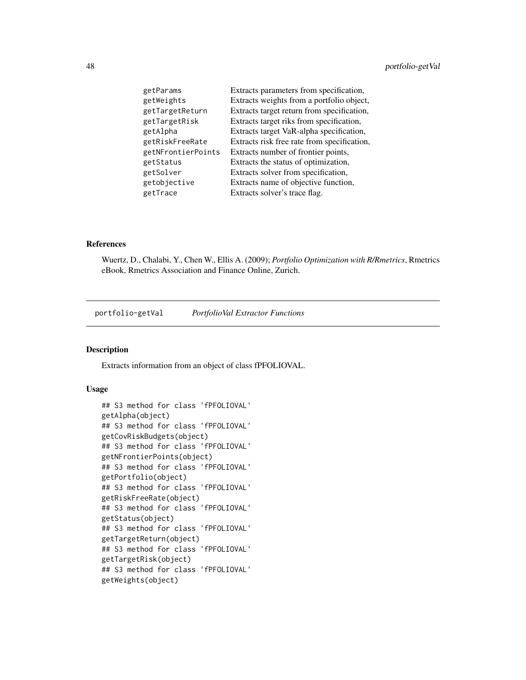| getParams          | Extracts parameters from specification,     |
|--------------------|---------------------------------------------|
| getWeights         | Extracts weights from a portfolio object,   |
| getTargetReturn    | Extracts target return from specification,  |
| getTargetRisk      | Extracts target riks from specification,    |
| getAlpha           | Extracts target VaR-alpha specification,    |
| getRiskFreeRate    | Extracts risk free rate from specification, |
| getNFrontierPoints | Extracts number of frontier points,         |
| getStatus          | Extracts the status of optimization,        |
| getSolver          | Extracts solver from specification,         |
| getobjective       | Extracts name of objective function,        |
| getTrace           | Extracts solver's trace flag.               |

### References

Wuertz, D., Chalabi, Y., Chen W., Ellis A. (2009); *Portfolio Optimization with R/Rmetrics*, Rmetrics eBook, Rmetrics Association and Finance Online, Zurich.

portfolio-getVal *PortfolioVal Extractor Functions*

# Description

Extracts information from an object of class fPFOLIOVAL.

```
## S3 method for class 'fPFOLIOVAL'
getAlpha(object)
## S3 method for class 'fPFOLIOVAL'
getCovRiskBudgets(object)
## S3 method for class 'fPFOLIOVAL'
getNFrontierPoints(object)
## S3 method for class 'fPFOLIOVAL'
getPortfolio(object)
## S3 method for class 'fPFOLIOVAL'
getRiskFreeRate(object)
## S3 method for class 'fPFOLIOVAL'
getStatus(object)
## S3 method for class 'fPFOLIOVAL'
getTargetReturn(object)
## S3 method for class 'fPFOLIOVAL'
getTargetRisk(object)
## S3 method for class 'fPFOLIOVAL'
getWeights(object)
```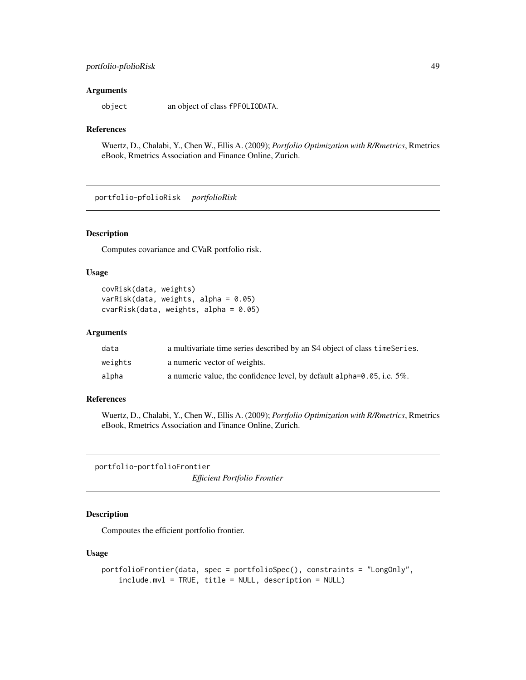# portfolio-pfolioRisk 49

#### **Arguments**

object an object of class fPFOLIODATA.

#### References

Wuertz, D., Chalabi, Y., Chen W., Ellis A. (2009); *Portfolio Optimization with R/Rmetrics*, Rmetrics eBook, Rmetrics Association and Finance Online, Zurich.

portfolio-pfolioRisk *portfolioRisk*

### Description

Computes covariance and CVaR portfolio risk.

### Usage

```
covRisk(data, weights)
varRisk(data, weights, alpha = 0.05)
cvarRisk(data, weights, alpha = 0.05)
```
### Arguments

| data    | a multivariate time series described by an S4 object of class time Series.     |
|---------|--------------------------------------------------------------------------------|
| weights | a numeric vector of weights.                                                   |
| alpha   | a numeric value, the confidence level, by default alpha= $0.05$ , i.e. $5\%$ . |

#### References

Wuertz, D., Chalabi, Y., Chen W., Ellis A. (2009); *Portfolio Optimization with R/Rmetrics*, Rmetrics eBook, Rmetrics Association and Finance Online, Zurich.

portfolio-portfolioFrontier

*Efficient Portfolio Frontier*

# Description

Compoutes the efficient portfolio frontier.

```
portfolioFrontier(data, spec = portfolioSpec(), constraints = "LongOnly",
   include.mvl = TRUE, title = NULL, description = NULL)
```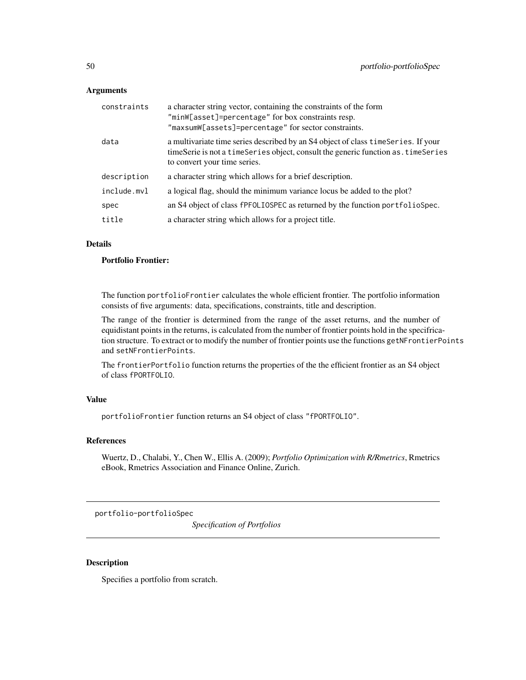### **Arguments**

| constraints | a character string vector, containing the constraints of the form<br>"minW[asset]=percentage" for box constraints resp.<br>"maxsumW[assets]=percentage" for sector constraints.                          |
|-------------|----------------------------------------------------------------------------------------------------------------------------------------------------------------------------------------------------------|
| data        | a multivariate time series described by an S4 object of class time Series. If your<br>timeSerie is not a timeSeries object, consult the generic function as . timeSeries<br>to convert your time series. |
| description | a character string which allows for a brief description.                                                                                                                                                 |
| include.mvl | a logical flag, should the minimum variance locus be added to the plot?                                                                                                                                  |
| spec        | an S4 object of class fPFOLIOSPEC as returned by the function portfolioSpec.                                                                                                                             |
| title       | a character string which allows for a project title.                                                                                                                                                     |

# Details

# Portfolio Frontier:

The function portfolioFrontier calculates the whole efficient frontier. The portfolio information consists of five arguments: data, specifications, constraints, title and description.

The range of the frontier is determined from the range of the asset returns, and the number of equidistant points in the returns, is calculated from the number of frontier points hold in the specifrication structure. To extract or to modify the number of frontier points use the functions getNFrontierPoints and setNFrontierPoints.

The frontierPortfolio function returns the properties of the the efficient frontier as an S4 object of class fPORTFOLIO.

# Value

portfolioFrontier function returns an S4 object of class "fPORTFOLIO".

# References

Wuertz, D., Chalabi, Y., Chen W., Ellis A. (2009); *Portfolio Optimization with R/Rmetrics*, Rmetrics eBook, Rmetrics Association and Finance Online, Zurich.

portfolio-portfolioSpec

*Specification of Portfolios*

# Description

Specifies a portfolio from scratch.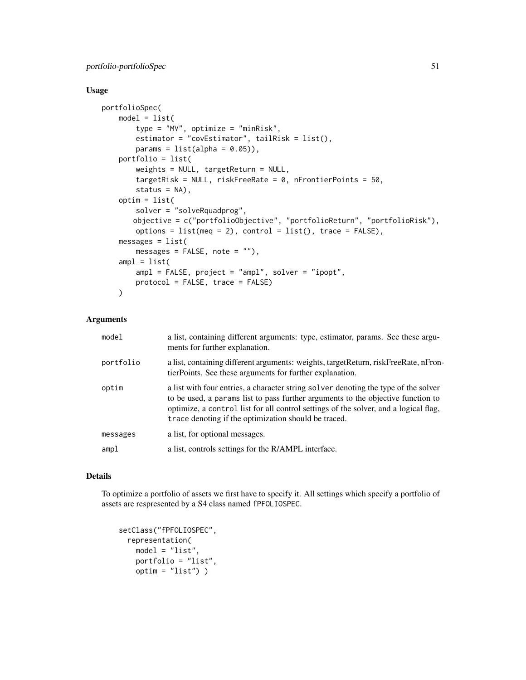# Usage

```
portfolioSpec(
   model = list(type = "MV", optimize = "minRisk",
       estimator = "covEstimator", tailRisk = list(),
       params = list(alpha = 0.05),
   portfolio = list(
       weights = NULL, targetReturn = NULL,
       targetRisk = NULL, riskFreeRate = 0, nFrontierPoints = 50,
       status = NA),
   optim = list(
       solver = "solveRquadprog",
       objective = c("portfolioObjective", "portfolioReturn", "portfolioRisk"),
       options = list(meq = 2), control = list(), trace = FALSE),
   messages = list(messages = FALSE, note = ""),
   ampl = list(ampl = FALSE, project = "ampl", solver = "ipopt",
       protocol = FALSE, trace = FALSE)
   )
```
### Arguments

| model     | a list, containing different arguments: type, estimator, params. See these argu-<br>ments for further explanation.                                                                                                                                                                                                      |
|-----------|-------------------------------------------------------------------------------------------------------------------------------------------------------------------------------------------------------------------------------------------------------------------------------------------------------------------------|
| portfolio | a list, containing different arguments: weights, target Return, risk Free Rate, nFron-<br>tierPoints. See these arguments for further explanation.                                                                                                                                                                      |
| optim     | a list with four entries, a character string solver denoting the type of the solver<br>to be used, a params list to pass further arguments to the objective function to<br>optimize, a control list for all control settings of the solver, and a logical flag,<br>trace denoting if the optimization should be traced. |
| messages  | a list, for optional messages.                                                                                                                                                                                                                                                                                          |
| ampl      | a list, controls settings for the R/AMPL interface.                                                                                                                                                                                                                                                                     |

### Details

To optimize a portfolio of assets we first have to specify it. All settings which specify a portfolio of assets are respresented by a S4 class named fPFOLIOSPEC.

```
setClass("fPFOLIOSPEC",
 representation(
   model = "list".portfolio = "list",
   optim = "list") )
```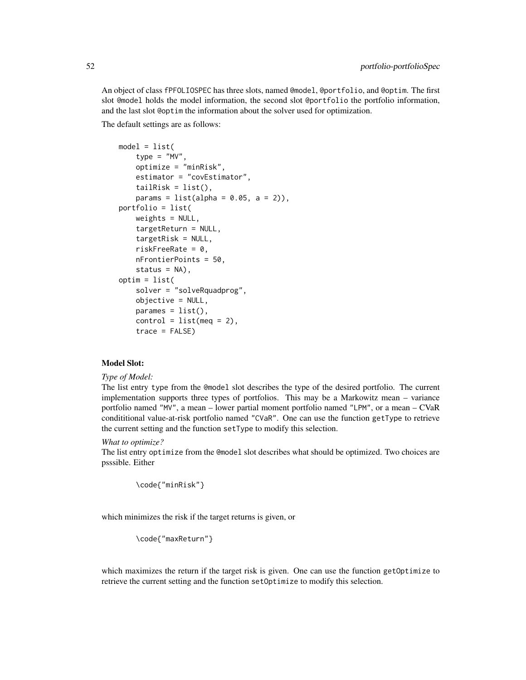An object of class fPFOLIOSPEC has three slots, named @model, @portfolio, and @optim. The first slot @model holds the model information, the second slot @portfolio the portfolio information, and the last slot @optim the information about the solver used for optimization.

The default settings are as follows:

```
model = list(type = "MV",optimize = "minRisk",
   estimator = "covEstimator",
   tailRisk = list(),
   params = list(alpha = 0.05, a = 2)),portfolio = list(
   weights = NULL,targetReturn = NULL,
   targetRisk = NULL,
    riskFreeRate = 0,
   nFrontierPoints = 50,
   status = NA),
optim = list(
   solver = "solveRquadprog",
   objective = NULL,
   params = list(),control = list(meq = 2),
   trace = FALSE)
```
### Model Slot:

#### *Type of Model:*

The list entry type from the @model slot describes the type of the desired portfolio. The current implementation supports three types of portfolios. This may be a Markowitz mean – variance portfolio named "MV", a mean – lower partial moment portfolio named "LPM", or a mean – CVaR condititional value-at-risk portfolio named "CVaR". One can use the function getType to retrieve the current setting and the function setType to modify this selection.

*What to optimize?*

The list entry optimize from the @model slot describes what should be optimized. Two choices are psssible. Either

```
\code{"minRisk"}
```
which minimizes the risk if the target returns is given, or

```
\code{"maxReturn"}
```
which maximizes the return if the target risk is given. One can use the function getOptimize to retrieve the current setting and the function setOptimize to modify this selection.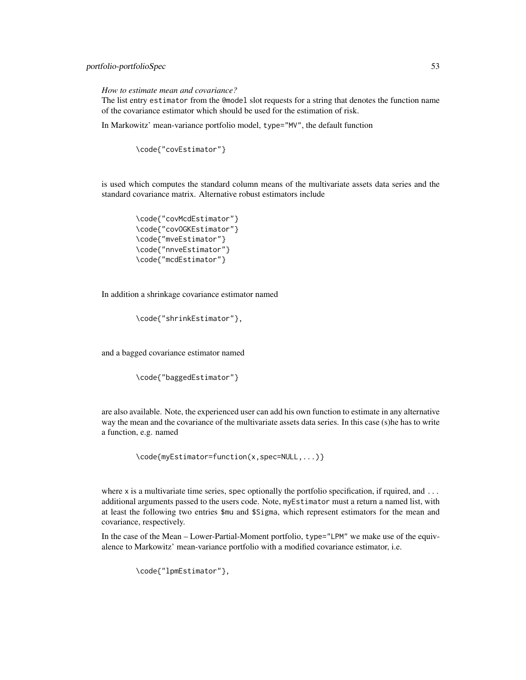# portfolio-portfolioSpec 53

*How to estimate mean and covariance?*

The list entry estimator from the @model slot requests for a string that denotes the function name of the covariance estimator which should be used for the estimation of risk.

In Markowitz' mean-variance portfolio model, type="MV", the default function

```
\code{"covEstimator"}
```
is used which computes the standard column means of the multivariate assets data series and the standard covariance matrix. Alternative robust estimators include

```
\code{"covMcdEstimator"}
\code{"covOGKEstimator"}
\code{"mveEstimator"}
\code{"nnveEstimator"}
\code{"mcdEstimator"}
```
In addition a shrinkage covariance estimator named

\code{"shrinkEstimator"},

and a bagged covariance estimator named

```
\code{"baggedEstimator"}
```
are also available. Note, the experienced user can add his own function to estimate in any alternative way the mean and the covariance of the multivariate assets data series. In this case (s)he has to write a function, e.g. named

```
\code{myEstimator=function(x,spec=NULL,...)}
```
where  $x$  is a multivariate time series, spec optionally the portfolio specification, if rquired, and  $\dots$ additional arguments passed to the users code. Note, myEstimator must a return a named list, with at least the following two entries \$mu and \$Sigma, which represent estimators for the mean and covariance, respectively.

In the case of the Mean – Lower-Partial-Moment portfolio, type="LPM" we make use of the equivalence to Markowitz' mean-variance portfolio with a modified covariance estimator, i.e.

\code{"lpmEstimator"},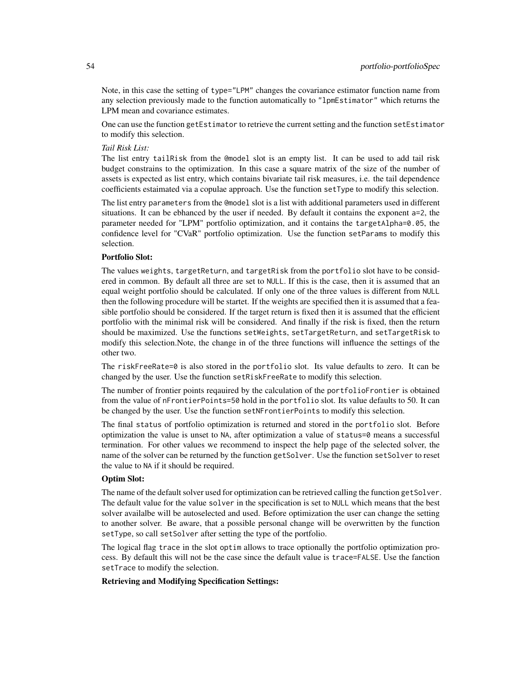Note, in this case the setting of type="LPM" changes the covariance estimator function name from any selection previously made to the function automatically to "lpmEstimator" which returns the LPM mean and covariance estimates.

One can use the function getEstimator to retrieve the current setting and the function setEstimator to modify this selection.

### *Tail Risk List:*

The list entry tailRisk from the @model slot is an empty list. It can be used to add tail risk budget constrains to the optimization. In this case a square matrix of the size of the number of assets is expected as list entry, which contains bivariate tail risk measures, i.e. the tail dependence coefficients estaimated via a copulae approach. Use the function setType to modify this selection.

The list entry parameters from the @model slot is a list with additional parameters used in different situations. It can be ebhanced by the user if needed. By default it contains the exponent a=2, the parameter needed for "LPM" portfolio optimization, and it contains the targetAlpha=0.05, the confidence level for "CVaR" portfolio optimization. Use the function setParams to modify this selection.

### Portfolio Slot:

The values weights, targetReturn, and targetRisk from the portfolio slot have to be considered in common. By default all three are set to NULL. If this is the case, then it is assumed that an equal weight portfolio should be calculated. If only one of the three values is different from NULL then the following procedure will be startet. If the weights are specified then it is assumed that a feasible portfolio should be considered. If the target return is fixed then it is assumed that the efficient portfolio with the minimal risk will be considered. And finally if the risk is fixed, then the return should be maximized. Use the functions setWeights, setTargetReturn, and setTargetRisk to modify this selection.Note, the change in of the three functions will influence the settings of the other two.

The riskFreeRate=0 is also stored in the portfolio slot. Its value defaults to zero. It can be changed by the user. Use the function setRiskFreeRate to modify this selection.

The number of frontier points reqauired by the calculation of the portfolioFrontier is obtained from the value of nFrontierPoints=50 hold in the portfolio slot. Its value defaults to 50. It can be changed by the user. Use the function setNFrontierPoints to modify this selection.

The final status of portfolio optimization is returned and stored in the portfolio slot. Before optimization the value is unset to NA, after optimization a value of status=0 means a successful termination. For other values we recommend to inspect the help page of the selected solver, the name of the solver can be returned by the function getSolver. Use the function setSolver to reset the value to NA if it should be required.

#### Optim Slot:

The name of the default solver used for optimization can be retrieved calling the function getSolver. The default value for the value solver in the specification is set to NULL which means that the best solver availalbe will be autoselected and used. Before optimization the user can change the setting to another solver. Be aware, that a possible personal change will be overwritten by the function setType, so call setSolver after setting the type of the portfolio.

The logical flag trace in the slot optim allows to trace optionally the portfolio optimization process. By default this will not be the case since the default value is trace=FALSE. Use the fanction setTrace to modify the selection.

### Retrieving and Modifying Specification Settings: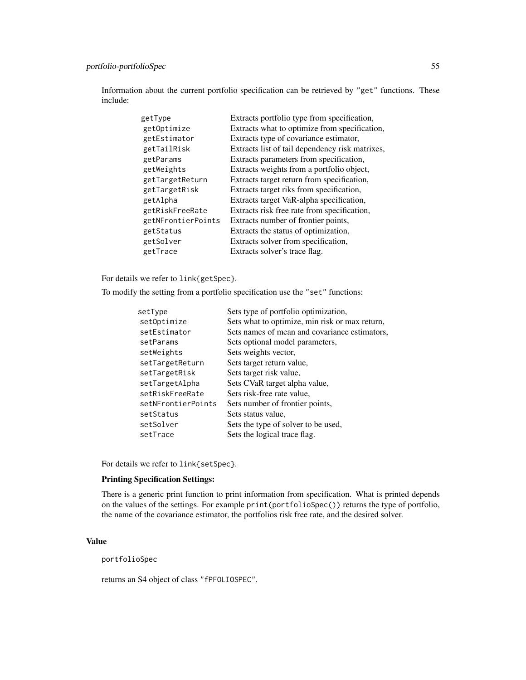# portfolio-portfolioSpec 55

Information about the current portfolio specification can be retrieved by "get" functions. These include:

| getType            | Extracts portfolio type from specification,     |
|--------------------|-------------------------------------------------|
| getOptimize        | Extracts what to optimize from specification,   |
| getEstimator       | Extracts type of covariance estimator,          |
| getTailRisk        | Extracts list of tail dependency risk matrixes, |
| getParams          | Extracts parameters from specification,         |
| getWeights         | Extracts weights from a portfolio object,       |
| getTargetReturn    | Extracts target return from specification,      |
| getTargetRisk      | Extracts target riks from specification,        |
| getAlpha           | Extracts target VaR-alpha specification,        |
| getRiskFreeRate    | Extracts risk free rate from specification,     |
| getNFrontierPoints | Extracts number of frontier points,             |
| getStatus          | Extracts the status of optimization,            |
| getSolver          | Extracts solver from specification,             |
| getTrace           | Extracts solver's trace flag.                   |

For details we refer to link{getSpec}.

To modify the setting from a portfolio specification use the "set" functions:

| setType            | Sets type of portfolio optimization,           |
|--------------------|------------------------------------------------|
| setOptimize        | Sets what to optimize, min risk or max return, |
| setEstimator       | Sets names of mean and covariance estimators,  |
| setParams          | Sets optional model parameters,                |
| setWeights         | Sets weights vector,                           |
| setTargetReturn    | Sets target return value,                      |
| setTargetRisk      | Sets target risk value,                        |
| setTargetAlpha     | Sets CVaR target alpha value,                  |
| setRiskFreeRate    | Sets risk-free rate value,                     |
| setNFrontierPoints | Sets number of frontier points,                |
| setStatus          | Sets status value,                             |
| setSolver          | Sets the type of solver to be used,            |
| setTrace           | Sets the logical trace flag.                   |
|                    |                                                |

For details we refer to link{setSpec}.

### Printing Specification Settings:

There is a generic print function to print information from specification. What is printed depends on the values of the settings. For example print(portfolioSpec()) returns the type of portfolio, the name of the covariance estimator, the portfolios risk free rate, and the desired solver.

#### Value

portfolioSpec

returns an S4 object of class "fPFOLIOSPEC".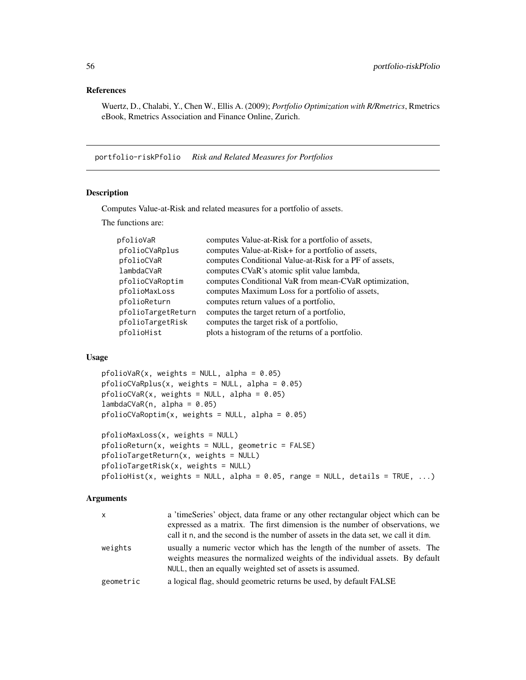# References

Wuertz, D., Chalabi, Y., Chen W., Ellis A. (2009); *Portfolio Optimization with R/Rmetrics*, Rmetrics eBook, Rmetrics Association and Finance Online, Zurich.

portfolio-riskPfolio *Risk and Related Measures for Portfolios*

# Description

Computes Value-at-Risk and related measures for a portfolio of assets.

The functions are:

| pfolioVaR          | computes Value-at-Risk for a portfolio of assets,      |
|--------------------|--------------------------------------------------------|
| pfolioCVaRplus     | computes Value-at-Risk+ for a portfolio of assets,     |
| pfolioCVaR         | computes Conditional Value-at-Risk for a PF of assets, |
| lambdaCVaR         | computes CVaR's atomic split value lambda,             |
| pfolioCVaRoptim    | computes Conditional VaR from mean-CVaR optimization,  |
| pfolioMaxLoss      | computes Maximum Loss for a portfolio of assets,       |
| pfolioReturn       | computes return values of a portfolio,                 |
| pfolioTargetReturn | computes the target return of a portfolio,             |
| pfolioTargetRisk   | computes the target risk of a portfolio,               |
| pfolioHist         | plots a histogram of the returns of a portfolio.       |
|                    |                                                        |

# Usage

```
pfoliovaR(x, weights = NULL, alpha = 0.05)pfolioCVaRplus(x, weights = NULL, alpha = 0.05)
pfoliocVaR(x, weights = NULL, alpha = 0.05)lambdaCVaR(n, alpha = 0.05)pfolioCVaRoptim(x, weights = NULL, alpha = 0.05)pfolioMaxLoss(x, weights = NULL)
pfolioReturn(x, weights = NULL, geometric = FALSE)
pfolioTargetReturn(x, weights = NULL)
pfolioTargetRisk(x, weights = NULL)
```
 $pfolioHist(x, weights = NULL, alpha = 0.05, range = NULL, details = TRUE, ...)$ 

#### **Arguments**

| x         | a 'timeSeries' object, data frame or any other rectangular object which can be<br>expressed as a matrix. The first dimension is the number of observations, we<br>call it n, and the second is the number of assets in the data set, we call it dim. |
|-----------|------------------------------------------------------------------------------------------------------------------------------------------------------------------------------------------------------------------------------------------------------|
| weights   | usually a numeric vector which has the length of the number of assets. The<br>weights measures the normalized weights of the individual assets. By default<br>NULL, then an equally weighted set of assets is assumed.                               |
| geometric | a logical flag, should geometric returns be used, by default FALSE                                                                                                                                                                                   |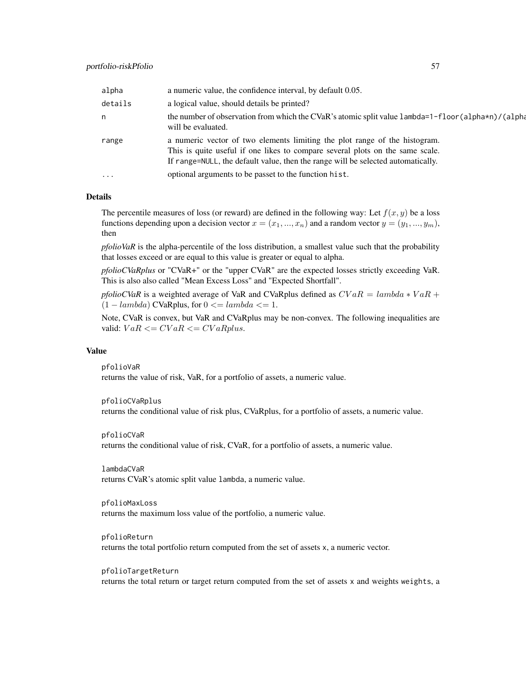| alpha   | a numeric value, the confidence interval, by default 0.05.                                                                                                                                                                                      |
|---------|-------------------------------------------------------------------------------------------------------------------------------------------------------------------------------------------------------------------------------------------------|
| details | a logical value, should details be printed?                                                                                                                                                                                                     |
| n       | the number of observation from which the CVaR's atomic split value 1ambda=1-f1oor (a1pha*n)/(a1pha<br>will be evaluated.                                                                                                                        |
| range   | a numeric vector of two elements limiting the plot range of the histogram.<br>This is quite useful if one likes to compare several plots on the same scale.<br>If range=NULL, the default value, then the range will be selected automatically. |
| $\cdot$ | optional arguments to be passet to the function hist.                                                                                                                                                                                           |

#### Details

The percentile measures of loss (or reward) are defined in the following way: Let  $f(x, y)$  be a loss functions depending upon a decision vector  $x = (x_1, ..., x_n)$  and a random vector  $y = (y_1, ..., y_m)$ , then

*pfolioVaR* is the alpha-percentile of the loss distribution, a smallest value such that the probability that losses exceed or are equal to this value is greater or equal to alpha.

*pfolioCVaRplus* or "CVaR+" or the "upper CVaR" are the expected losses strictly exceeding VaR. This is also also called "Mean Excess Loss" and "Expected Shortfall".

*pfolioCVaR* is a weighted average of VaR and CVaRplus defined as  $CVaR = lambda * VaR +$  $(1 - lambda)$  CVaRplus, for  $0 \leq = lambda \leq 1$ .

Note, CVaR is convex, but VaR and CVaRplus may be non-convex. The following inequalities are valid:  $VaR \leq CVaR \leq CVaRplus.$ 

#### Value

pfolioVaR

returns the value of risk, VaR, for a portfolio of assets, a numeric value.

#### pfolioCVaRplus

returns the conditional value of risk plus, CVaRplus, for a portfolio of assets, a numeric value.

#### pfolioCVaR

returns the conditional value of risk, CVaR, for a portfolio of assets, a numeric value.

lambdaCVaR returns CVaR's atomic split value lambda, a numeric value.

pfolioMaxLoss returns the maximum loss value of the portfolio, a numeric value.

pfolioReturn returns the total portfolio return computed from the set of assets x, a numeric vector.

pfolioTargetReturn returns the total return or target return computed from the set of assets x and weights weights, a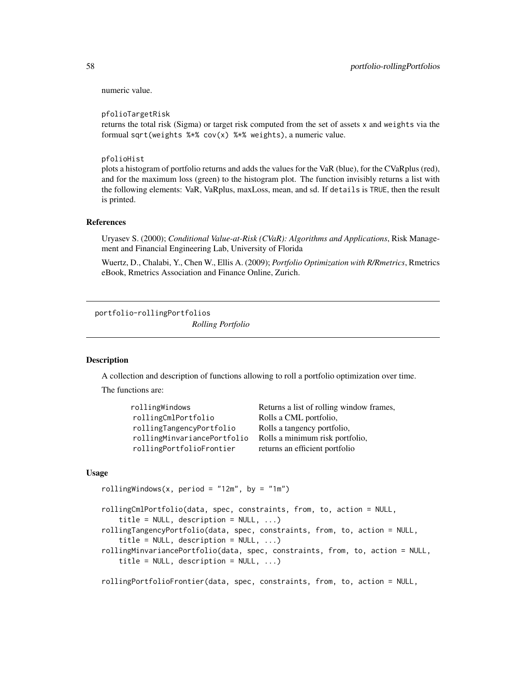numeric value.

pfolioTargetRisk

returns the total risk (Sigma) or target risk computed from the set of assets x and weights via the formual sqrt(weights %\*% cov(x) %\*% weights), a numeric value.

pfolioHist

plots a histogram of portfolio returns and adds the values for the VaR (blue), for the CVaRplus (red), and for the maximum loss (green) to the histogram plot. The function invisibly returns a list with the following elements: VaR, VaRplus, maxLoss, mean, and sd. If details is TRUE, then the result is printed.

### References

Uryasev S. (2000); *Conditional Value-at-Risk (CVaR): Algorithms and Applications*, Risk Management and Financial Engineering Lab, University of Florida

Wuertz, D., Chalabi, Y., Chen W., Ellis A. (2009); *Portfolio Optimization with R/Rmetrics*, Rmetrics eBook, Rmetrics Association and Finance Online, Zurich.

portfolio-rollingPortfolios

*Rolling Portfolio*

### Description

A collection and description of functions allowing to roll a portfolio optimization over time.

The functions are:

| rollingWindows              | Returns a list of rolling window frames, |
|-----------------------------|------------------------------------------|
| rollingCmlPortfolio         | Rolls a CML portfolio,                   |
| rollingTangencyPortfolio    | Rolls a tangency portfolio,              |
| rollingMinvariancePortfolio | Rolls a minimum risk portfolio,          |
| rollingPortfolioFrontier    | returns an efficient portfolio           |

#### Usage

rollingWindows(x, period = "12m", by = "1m")

```
rollingCmlPortfolio(data, spec, constraints, from, to, action = NULL,
   title = NULL, description = NULL, ...)
rollingTangencyPortfolio(data, spec, constraints, from, to, action = NULL,
   title = NULL, description = NULL, ...)
rollingMinvariancePortfolio(data, spec, constraints, from, to, action = NULL,
   title = NULL, description = NULL, ...)
```
rollingPortfolioFrontier(data, spec, constraints, from, to, action = NULL,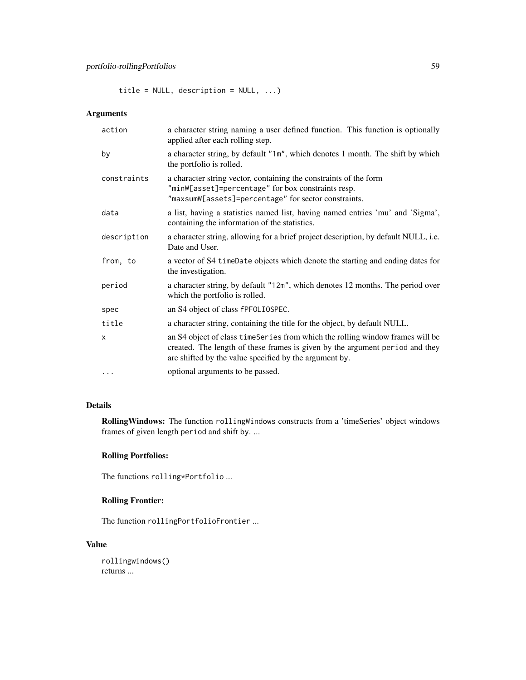title = NULL, description = NULL, ...)

# Arguments

| action       | a character string naming a user defined function. This function is optionally<br>applied after each rolling step.                                                                                                       |
|--------------|--------------------------------------------------------------------------------------------------------------------------------------------------------------------------------------------------------------------------|
| by           | a character string, by default "1m", which denotes 1 month. The shift by which<br>the portfolio is rolled.                                                                                                               |
| constraints  | a character string vector, containing the constraints of the form<br>"minW[asset]=percentage" for box constraints resp.<br>"maxsumW[assets]=percentage" for sector constraints.                                          |
| data         | a list, having a statistics named list, having named entries 'mu' and 'Sigma',<br>containing the information of the statistics.                                                                                          |
| description  | a character string, allowing for a brief project description, by default NULL, i.e.<br>Date and User.                                                                                                                    |
| from, to     | a vector of S4 timeDate objects which denote the starting and ending dates for<br>the investigation.                                                                                                                     |
| period       | a character string, by default "12m", which denotes 12 months. The period over<br>which the portfolio is rolled.                                                                                                         |
| spec         | an S4 object of class fPF0LI0SPEC.                                                                                                                                                                                       |
| title        | a character string, containing the title for the object, by default NULL.                                                                                                                                                |
| $\mathsf{x}$ | an S4 object of class time Series from which the rolling window frames will be<br>created. The length of these frames is given by the argument period and they<br>are shifted by the value specified by the argument by. |
| $\cdots$     | optional arguments to be passed.                                                                                                                                                                                         |

# Details

RollingWindows: The function rollingWindows constructs from a 'timeSeries' object windows frames of given length period and shift by. ...

# Rolling Portfolios:

The functions rolling\*Portfolio ...

### Rolling Frontier:

The function rollingPortfolioFrontier ...

# Value

rollingwindows() returns ...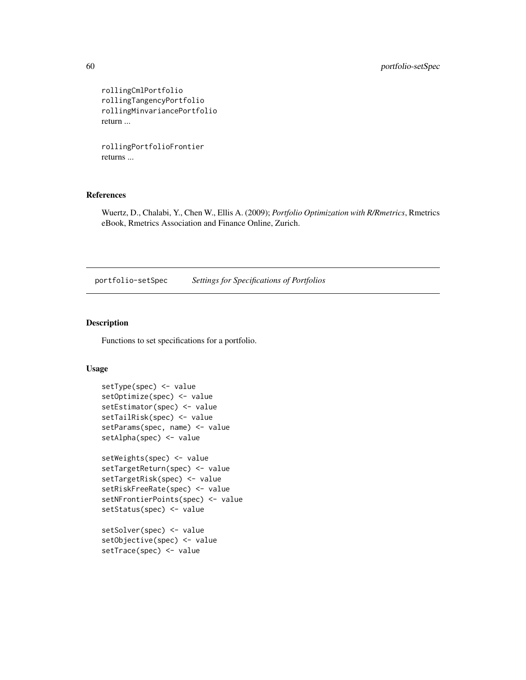```
rollingCmlPortfolio
rollingTangencyPortfolio
rollingMinvariancePortfolio
return ...
```
rollingPortfolioFrontier returns ...

### References

Wuertz, D., Chalabi, Y., Chen W., Ellis A. (2009); *Portfolio Optimization with R/Rmetrics*, Rmetrics eBook, Rmetrics Association and Finance Online, Zurich.

portfolio-setSpec *Settings for Specifications of Portfolios*

### Description

Functions to set specifications for a portfolio.

```
setType(spec) <- value
setOptimize(spec) <- value
setEstimator(spec) <- value
setTailRisk(spec) <- value
setParams(spec, name) <- value
setAlpha(spec) <- value
setWeights(spec) <- value
setTargetReturn(spec) <- value
setTargetRisk(spec) <- value
setRiskFreeRate(spec) <- value
setNFrontierPoints(spec) <- value
setStatus(spec) <- value
setSolver(spec) <- value
setObjective(spec) <- value
setTrace(spec) <- value
```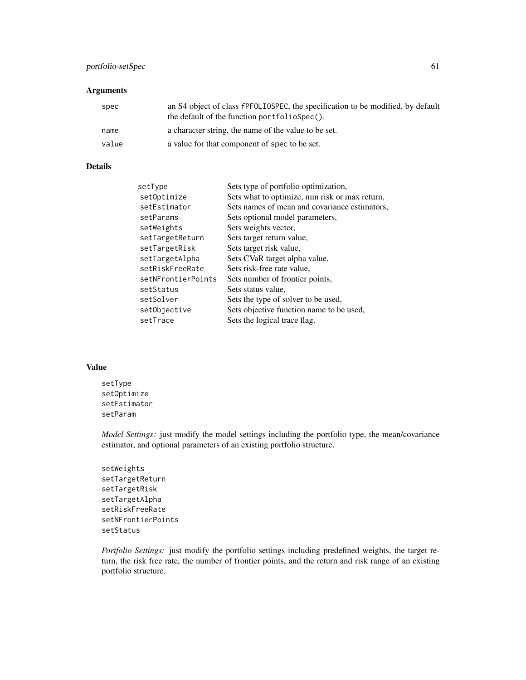# portfolio-setSpec 61

### Arguments

| spec  | an S4 object of class fPFOLIOSPEC, the specification to be modified, by default<br>the default of the function portfolioSpec(). |
|-------|---------------------------------------------------------------------------------------------------------------------------------|
| name  | a character string, the name of the value to be set.                                                                            |
| value | a value for that component of spec to be set.                                                                                   |

# Details

| setType            | Sets type of portfolio optimization,           |
|--------------------|------------------------------------------------|
| setOptimize        | Sets what to optimize, min risk or max return, |
| setEstimator       | Sets names of mean and covariance estimators,  |
| setParams          | Sets optional model parameters,                |
| setWeights         | Sets weights vector,                           |
| setTargetReturn    | Sets target return value,                      |
| setTargetRisk      | Sets target risk value,                        |
| setTargetAlpha     | Sets CVaR target alpha value,                  |
| setRiskFreeRate    | Sets risk-free rate value,                     |
| setNFrontierPoints | Sets number of frontier points,                |
| setStatus          | Sets status value,                             |
| setSolver          | Sets the type of solver to be used,            |
| setObjective       | Sets objective function name to be used,       |
| setTrace           | Sets the logical trace flag.                   |
|                    |                                                |

### Value

setType setOptimize setEstimator setParam

*Model Settings:* just modify the model settings including the portfolio type, the mean/covariance estimator, and optional parameters of an existing portfolio structure.

```
setWeights
setTargetReturn
setTargetRisk
setTargetAlpha
setRiskFreeRate
setNFrontierPoints
setStatus
```
*Portfolio Settings:* just modify the portfolio settings including predefined weights, the target return, the risk free rate, the number of frontier points, and the return and risk range of an existing portfolio structure.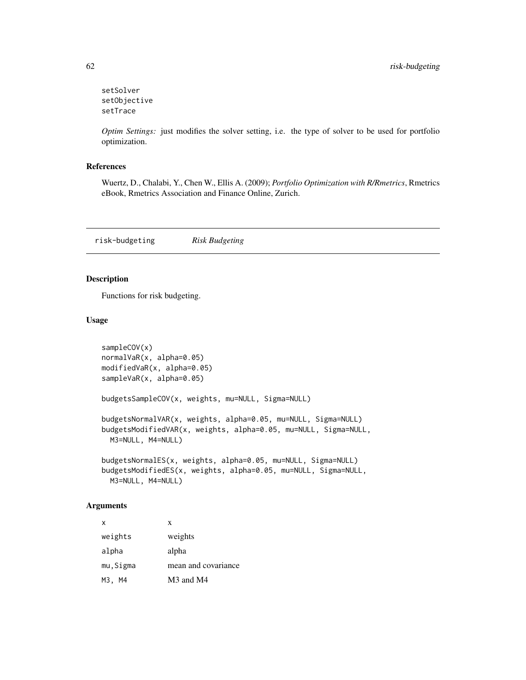```
setSolver
setObjective
setTrace
```
*Optim Settings:* just modifies the solver setting, i.e. the type of solver to be used for portfolio optimization.

### References

Wuertz, D., Chalabi, Y., Chen W., Ellis A. (2009); *Portfolio Optimization with R/Rmetrics*, Rmetrics eBook, Rmetrics Association and Finance Online, Zurich.

risk-budgeting *Risk Budgeting*

# Description

Functions for risk budgeting.

### Usage

```
sampleCOV(x)
normalVaR(x, alpha=0.05)
modifiedVaR(x, alpha=0.05)
sampleVaR(x, alpha=0.05)
budgetsSampleCOV(x, weights, mu=NULL, Sigma=NULL)
budgetsNormalVAR(x, weights, alpha=0.05, mu=NULL, Sigma=NULL)
budgetsModifiedVAR(x, weights, alpha=0.05, mu=NULL, Sigma=NULL,
 M3=NULL, M4=NULL)
budgetsNormalES(x, weights, alpha=0.05, mu=NULL, Sigma=NULL)
budgetsModifiedES(x, weights, alpha=0.05, mu=NULL, Sigma=NULL,
 M3=NULL, M4=NULL)
```
### Arguments

| $\mathsf{x}$ | X                                 |
|--------------|-----------------------------------|
| weights      | weights                           |
| alpha        | alpha                             |
| mu, Sigma    | mean and covariance               |
| M3, M4       | M <sub>3</sub> and M <sub>4</sub> |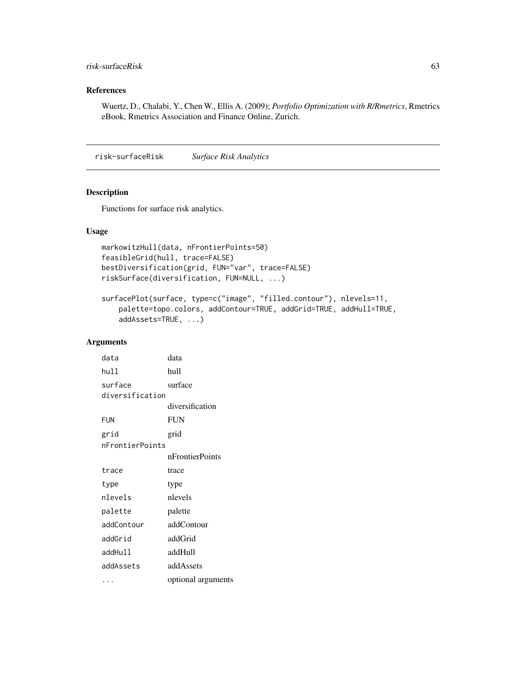### risk-surfaceRisk 63

### References

Wuertz, D., Chalabi, Y., Chen W., Ellis A. (2009); *Portfolio Optimization with R/Rmetrics*, Rmetrics eBook, Rmetrics Association and Finance Online, Zurich.

risk-surfaceRisk *Surface Risk Analytics*

### Description

Functions for surface risk analytics.

### Usage

```
markowitzHull(data, nFrontierPoints=50)
feasibleGrid(hull, trace=FALSE)
bestDiversification(grid, FUN="var", trace=FALSE)
riskSurface(diversification, FUN=NULL, ...)
```

```
surfacePlot(surface, type=c("image", "filled.contour"), nlevels=11,
   palette=topo.colors, addContour=TRUE, addGrid=TRUE, addHull=TRUE,
   addAssets=TRUE, ...)
```
### Arguments

| data            | data               |
|-----------------|--------------------|
| hull            | hull               |
| surface         | surface            |
| diversification |                    |
|                 | diversification    |
| <b>FUN</b>      | FUN                |
| grid            | grid               |
| nFrontierPoints |                    |
|                 | nFrontierPoints    |
| trace           | trace              |
| type            | type               |
| nlevels         | nlevels            |
| palette         | palette            |
| addContour      | addContour         |
| addGrid         | addGrid            |
| addHull         | addHull            |
| addAssets       | addAssets          |
|                 | optional arguments |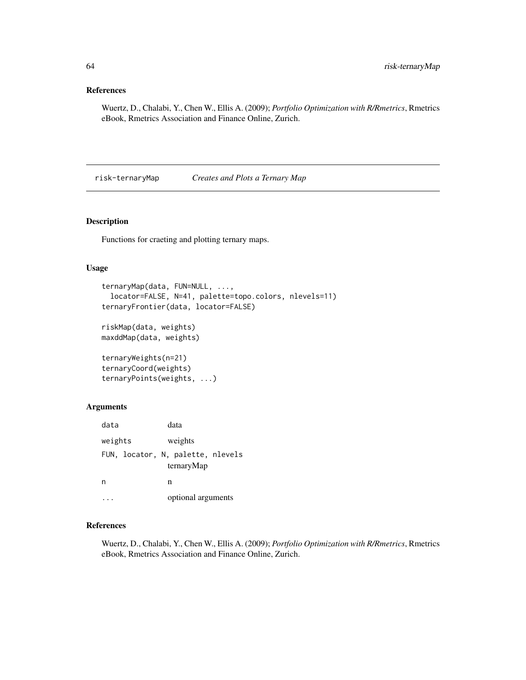### References

Wuertz, D., Chalabi, Y., Chen W., Ellis A. (2009); *Portfolio Optimization with R/Rmetrics*, Rmetrics eBook, Rmetrics Association and Finance Online, Zurich.

risk-ternaryMap *Creates and Plots a Ternary Map*

# Description

Functions for craeting and plotting ternary maps.

### Usage

```
ternaryMap(data, FUN=NULL, ...,
 locator=FALSE, N=41, palette=topo.colors, nlevels=11)
ternaryFrontier(data, locator=FALSE)
riskMap(data, weights)
maxddMap(data, weights)
ternaryWeights(n=21)
```

```
ternaryCoord(weights)
ternaryPoints(weights, ...)
```
### Arguments

| data    |                                   |   | data               |  |
|---------|-----------------------------------|---|--------------------|--|
| weights |                                   |   | weights            |  |
|         | FUN, locator, N, palette, nlevels |   | ternaryMap         |  |
| n       |                                   | n |                    |  |
|         |                                   |   | optional arguments |  |

### References

Wuertz, D., Chalabi, Y., Chen W., Ellis A. (2009); *Portfolio Optimization with R/Rmetrics*, Rmetrics eBook, Rmetrics Association and Finance Online, Zurich.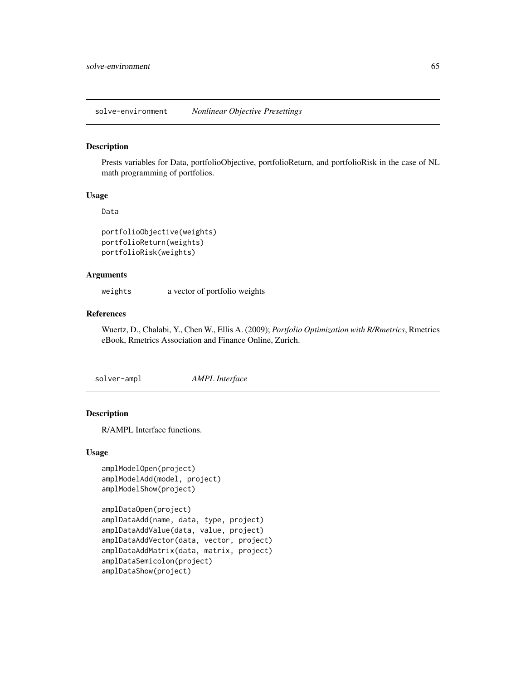solve-environment *Nonlinear Objective Presettings*

#### Description

Prests variables for Data, portfolioObjective, portfolioReturn, and portfolioRisk in the case of NL math programming of portfolios.

### Usage

Data

```
portfolioObjective(weights)
portfolioReturn(weights)
portfolioRisk(weights)
```
### Arguments

weights a vector of portfolio weights

### References

Wuertz, D., Chalabi, Y., Chen W., Ellis A. (2009); *Portfolio Optimization with R/Rmetrics*, Rmetrics eBook, Rmetrics Association and Finance Online, Zurich.

solver-ampl *AMPL Interface*

#### Description

R/AMPL Interface functions.

```
amplModelOpen(project)
amplModelAdd(model, project)
amplModelShow(project)
```

```
amplDataOpen(project)
amplDataAdd(name, data, type, project)
amplDataAddValue(data, value, project)
amplDataAddVector(data, vector, project)
amplDataAddMatrix(data, matrix, project)
amplDataSemicolon(project)
amplDataShow(project)
```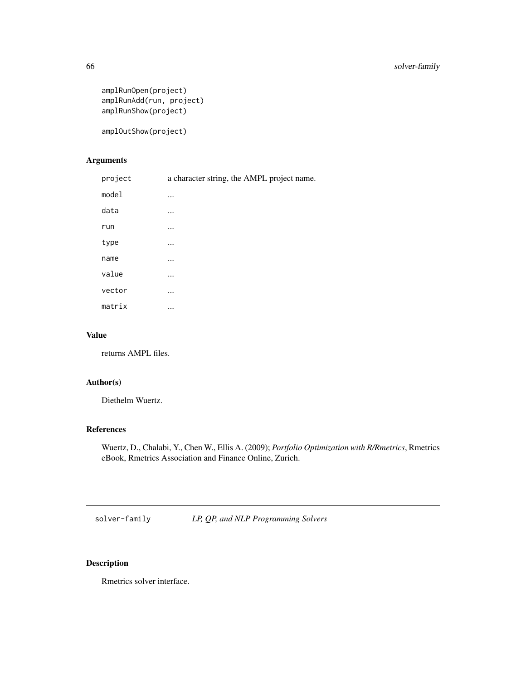```
amplRunOpen(project)
amplRunAdd(run, project)
amplRunShow(project)
```
amplOutShow(project)

# Arguments

| project | a character string, the AMPL project name. |
|---------|--------------------------------------------|
| model   |                                            |
| data    |                                            |
| run     |                                            |
| type    | $\cdots$                                   |
| name    | $\cdots$                                   |
| value   |                                            |
| vector  |                                            |
| matrix  | $\cdots$                                   |
|         |                                            |

# Value

returns AMPL files.

# Author(s)

Diethelm Wuertz.

### References

Wuertz, D., Chalabi, Y., Chen W., Ellis A. (2009); *Portfolio Optimization with R/Rmetrics*, Rmetrics eBook, Rmetrics Association and Finance Online, Zurich.

solver-family *LP, QP, and NLP Programming Solvers*

# Description

Rmetrics solver interface.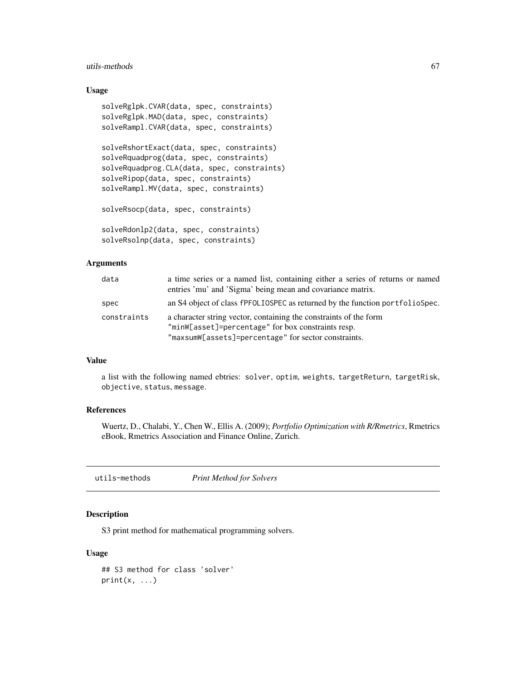### utils-methods 67

### Usage

```
solveRglpk.CVAR(data, spec, constraints)
solveRglpk.MAD(data, spec, constraints)
solveRampl.CVAR(data, spec, constraints)
solveRshortExact(data, spec, constraints)
solveRquadprog(data, spec, constraints)
solveRquadprog.CLA(data, spec, constraints)
solveRipop(data, spec, constraints)
solveRampl.MV(data, spec, constraints)
solveRsocp(data, spec, constraints)
solveRdonlp2(data, spec, constraints)
```
solveRsolnp(data, spec, constraints)

### Arguments

| data        | a time series or a named list, containing either a series of returns or named<br>entries 'mu' and 'Sigma' being mean and covariance matrix.                                     |
|-------------|---------------------------------------------------------------------------------------------------------------------------------------------------------------------------------|
| spec        | an S4 object of class fPFOLIOSPEC as returned by the function portfolioSpec.                                                                                                    |
| constraints | a character string vector, containing the constraints of the form<br>"minW[asset]=percentage" for box constraints resp.<br>"maxsumW[assets]=percentage" for sector constraints. |

#### Value

a list with the following named ebtries: solver, optim, weights, targetReturn, targetRisk, objective, status, message.

### References

Wuertz, D., Chalabi, Y., Chen W., Ellis A. (2009); *Portfolio Optimization with R/Rmetrics*, Rmetrics eBook, Rmetrics Association and Finance Online, Zurich.

utils-methods *Print Method for Solvers*

# Description

S3 print method for mathematical programming solvers.

```
## S3 method for class 'solver'
print(x, \ldots)
```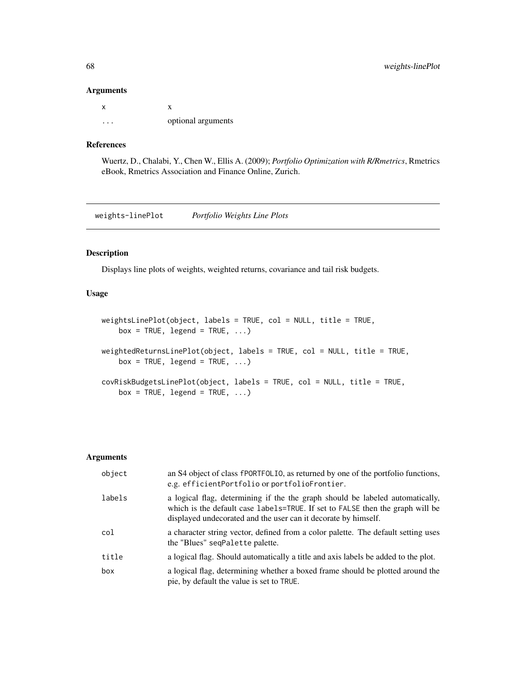#### Arguments

| x |                    |
|---|--------------------|
| . | optional arguments |

### References

Wuertz, D., Chalabi, Y., Chen W., Ellis A. (2009); *Portfolio Optimization with R/Rmetrics*, Rmetrics eBook, Rmetrics Association and Finance Online, Zurich.

weights-linePlot *Portfolio Weights Line Plots*

#### Description

Displays line plots of weights, weighted returns, covariance and tail risk budgets.

# Usage

```
weightsLinePlot(object, labels = TRUE, col = NULL, title = TRUE,
   box = TRUE, legend = TRUE, ...)weightedReturnsLinePlot(object, labels = TRUE, col = NULL, title = TRUE,
   box = TRUE, legend = TRUE, ...)covRiskBudgetsLinePlot(object, labels = TRUE, col = NULL, title = TRUE,
   box = TRUE, legend = TRUE, ...)
```
#### Arguments

| object | an S4 object of class fPORTFOLIO, as returned by one of the portfolio functions,<br>e.g. efficientPortfolio or portfolioFrontier.                                                                                                |
|--------|----------------------------------------------------------------------------------------------------------------------------------------------------------------------------------------------------------------------------------|
| labels | a logical flag, determining if the the graph should be labeled automatically,<br>which is the default case labels=TRUE. If set to FALSE then the graph will be<br>displayed undecorated and the user can it decorate by himself. |
| col    | a character string vector, defined from a color palette. The default setting uses<br>the "Blues" seqPalette palette.                                                                                                             |
| title  | a logical flag. Should automatically a title and axis labels be added to the plot.                                                                                                                                               |
| box    | a logical flag, determining whether a boxed frame should be plotted around the<br>pie, by default the value is set to TRUE.                                                                                                      |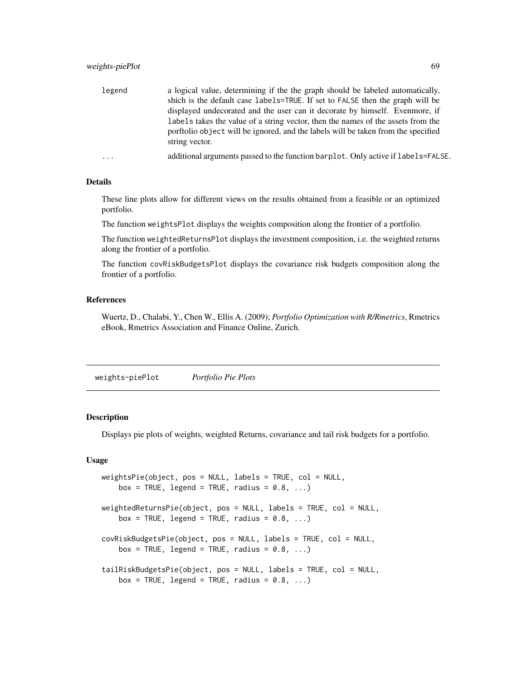| legend  | a logical value, determining if the the graph should be labeled automatically,    |
|---------|-----------------------------------------------------------------------------------|
|         | shich is the default case labels=TRUE. If set to FALSE then the graph will be     |
|         | displayed undecorated and the user can it decorate by himself. Evenmore, if       |
|         | labels takes the value of a string vector, then the names of the assets from the  |
|         | porftolio object will be ignored, and the labels will be taken from the specified |
|         | string vector.                                                                    |
| $\cdot$ | additional arguments passed to the function barplot. Only active if labels=FALSE. |

#### Details

These line plots allow for different views on the results obtained from a feasible or an optimized portfolio.

The function weightsPlot displays the weights composition along the frontier of a portfolio.

The function weightedReturnsPlot displays the investment composition, i.e. the weighted returns along the frontier of a portfolio.

The function covRiskBudgetsPlot displays the covariance risk budgets composition along the frontier of a portfolio.

#### References

Wuertz, D., Chalabi, Y., Chen W., Ellis A. (2009); *Portfolio Optimization with R/Rmetrics*, Rmetrics eBook, Rmetrics Association and Finance Online, Zurich.

weights-piePlot *Portfolio Pie Plots*

### Description

Displays pie plots of weights, weighted Returns, covariance and tail risk budgets for a portfolio.

```
weightsPie(object, pos = NULL, labels = TRUE, col = NULL,
   box = TRUE, legend = TRUE, radius = 0.8, ...)
weightedReturnsPie(object, pos = NULL, labels = TRUE, col = NULL,
   box = TRUE, legend = TRUE, radius = 0.8, ...)
covRiskBudgetsPie(object, pos = NULL, labels = TRUE, col = NULL,
   box = TRUE, legend = TRUE, radius = 0.8, ...)
tailRiskBudgetsPie(object, pos = NULL, labels = TRUE, col = NULL,
   box = TRUE, legend = TRUE, radius = 0.8, ...)
```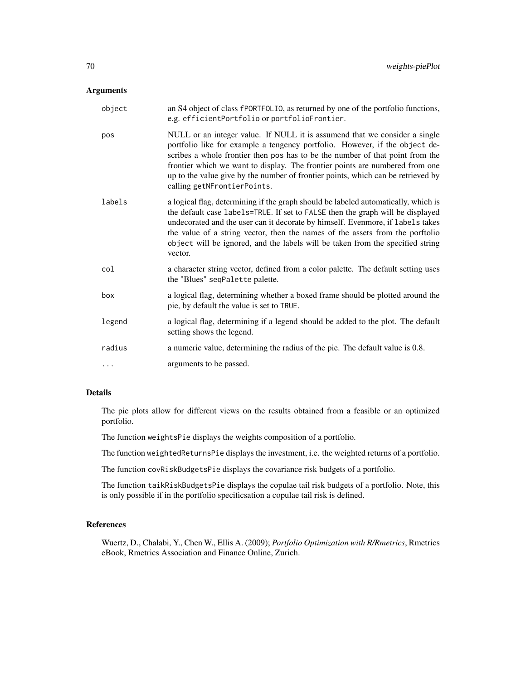### Arguments

| object | an S4 object of class fPORTFOLIO, as returned by one of the portfolio functions,<br>e.g. efficientPortfolio or portfolioFrontier.                                                                                                                                                                                                                                                                                                             |
|--------|-----------------------------------------------------------------------------------------------------------------------------------------------------------------------------------------------------------------------------------------------------------------------------------------------------------------------------------------------------------------------------------------------------------------------------------------------|
| pos    | NULL or an integer value. If NULL it is assumend that we consider a single<br>portfolio like for example a tengency portfolio. However, if the object de-<br>scribes a whole frontier then pos has to be the number of that point from the<br>frontier which we want to display. The frontier points are numbered from one<br>up to the value give by the number of frontier points, which can be retrieved by<br>calling getNFrontierPoints. |
| labels | a logical flag, determining if the graph should be labeled automatically, which is<br>the default case labels=TRUE. If set to FALSE then the graph will be displayed<br>undecorated and the user can it decorate by himself. Evenmore, if labels takes<br>the value of a string vector, then the names of the assets from the portfolio<br>object will be ignored, and the labels will be taken from the specified string<br>vector.          |
| col    | a character string vector, defined from a color palette. The default setting uses<br>the "Blues" seqPalette palette.                                                                                                                                                                                                                                                                                                                          |
| box    | a logical flag, determining whether a boxed frame should be plotted around the<br>pie, by default the value is set to TRUE.                                                                                                                                                                                                                                                                                                                   |
| legend | a logical flag, determining if a legend should be added to the plot. The default<br>setting shows the legend.                                                                                                                                                                                                                                                                                                                                 |
| radius | a numeric value, determining the radius of the pie. The default value is 0.8.                                                                                                                                                                                                                                                                                                                                                                 |
| .      | arguments to be passed.                                                                                                                                                                                                                                                                                                                                                                                                                       |

### Details

The pie plots allow for different views on the results obtained from a feasible or an optimized portfolio.

The function weightsPie displays the weights composition of a portfolio.

The function weightedReturnsPie displays the investment, i.e. the weighted returns of a portfolio.

The function covRiskBudgetsPie displays the covariance risk budgets of a portfolio.

The function taikRiskBudgetsPie displays the copulae tail risk budgets of a portfolio. Note, this is only possible if in the portfolio specificsation a copulae tail risk is defined.

# References

Wuertz, D., Chalabi, Y., Chen W., Ellis A. (2009); *Portfolio Optimization with R/Rmetrics*, Rmetrics eBook, Rmetrics Association and Finance Online, Zurich.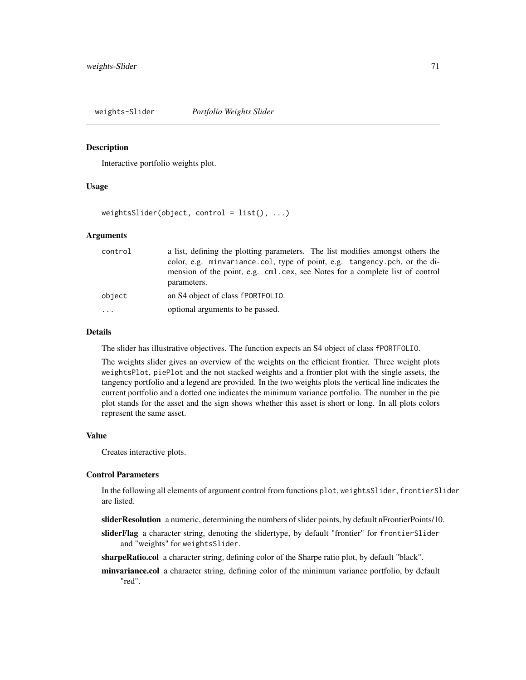weights-Slider *Portfolio Weights Slider*

#### **Description**

Interactive portfolio weights plot.

### Usage

 $weightsSlider(object, control = list(), ...)$ 

#### Arguments

| control  | a list, defining the plotting parameters. The list modifies amongst others the<br>color, e.g. minvariance.col, type of point, e.g. tangency.pch, or the di-<br>mension of the point, e.g. cml.cex, see Notes for a complete list of control<br>parameters. |
|----------|------------------------------------------------------------------------------------------------------------------------------------------------------------------------------------------------------------------------------------------------------------|
| object   | an S4 object of class fPORTFOLIO.                                                                                                                                                                                                                          |
| $\cdots$ | optional arguments to be passed.                                                                                                                                                                                                                           |

### Details

The slider has illustrative objectives. The function expects an S4 object of class fPORTFOLIO.

The weights slider gives an overview of the weights on the efficient frontier. Three weight plots weightsPlot, piePlot and the not stacked weights and a frontier plot with the single assets, the tangency portfolio and a legend are provided. In the two weights plots the vertical line indicates the current portfolio and a dotted one indicates the minimum variance portfolio. The number in the pie plot stands for the asset and the sign shows whether this asset is short or long. In all plots colors represent the same asset.

### Value

Creates interactive plots.

# Control Parameters

In the following all elements of argument control from functions plot, weightsSlider, frontierSlider are listed.

sliderResolution a numeric, determining the numbers of slider points, by default nFrontierPoints/10.

sliderFlag a character string, denoting the slidertype, by default "frontier" for frontierSlider and "weights" for weightsSlider.

sharpeRatio.col a character string, defining color of the Sharpe ratio plot, by default "black".

minvariance.col a character string, defining color of the minimum variance portfolio, by default "red".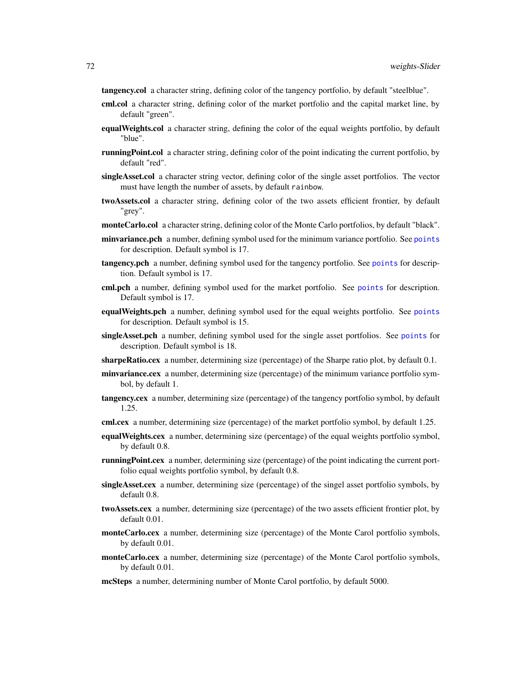tangency.col a character string, defining color of the tangency portfolio, by default "steelblue".

- cml.col a character string, defining color of the market portfolio and the capital market line, by default "green".
- **equalWeights.col** a character string, defining the color of the equal weights portfolio, by default "blue".
- **runningPoint.col** a character string, defining color of the point indicating the current portfolio, by default "red".
- singleAsset.col a character string vector, defining color of the single asset portfolios. The vector must have length the number of assets, by default rainbow.
- twoAssets.col a character string, defining color of the two assets efficient frontier, by default "grey".
- monteCarlo.col a character string, defining color of the Monte Carlo portfolios, by default "black".
- minvariance.pch a number, defining symbol used for the minimum variance portfolio. See [points](#page-0-0) for description. Default symbol is 17.
- tangency.pch a number, defining symbol used for the tangency portfolio. See [points](#page-0-0) for description. Default symbol is 17.
- cml.pch a number, defining symbol used for the market portfolio. See [points](#page-0-0) for description. Default symbol is 17.
- equalWeights.pch a number, defining symbol used for the equal weights portfolio. See [points](#page-0-0) for description. Default symbol is 15.
- singleAsset.pch a number, defining symbol used for the single asset portfolios. See [points](#page-0-0) for description. Default symbol is 18.
- **sharpeRatio.cex** a number, determining size (percentage) of the Sharpe ratio plot, by default  $0.1$ .
- **minvariance.cex** a number, determining size (percentage) of the minimum variance portfolio symbol, by default 1.
- **tangency.cex** a number, determining size (percentage) of the tangency portfolio symbol, by default 1.25.
- cml.cex a number, determining size (percentage) of the market portfolio symbol, by default 1.25.
- **equalWeights.cex** a number, determining size (percentage) of the equal weights portfolio symbol, by default 0.8.
- **runningPoint.cex** a number, determining size (percentage) of the point indicating the current portfolio equal weights portfolio symbol, by default 0.8.
- singleAsset.cex a number, determining size (percentage) of the singel asset portfolio symbols, by default 0.8.
- twoAssets.cex a number, determining size (percentage) of the two assets efficient frontier plot, by default 0.01.
- monteCarlo.cex a number, determining size (percentage) of the Monte Carol portfolio symbols, by default 0.01.
- monteCarlo.cex a number, determining size (percentage) of the Monte Carol portfolio symbols, by default 0.01.
- mcSteps a number, determining number of Monte Carol portfolio, by default 5000.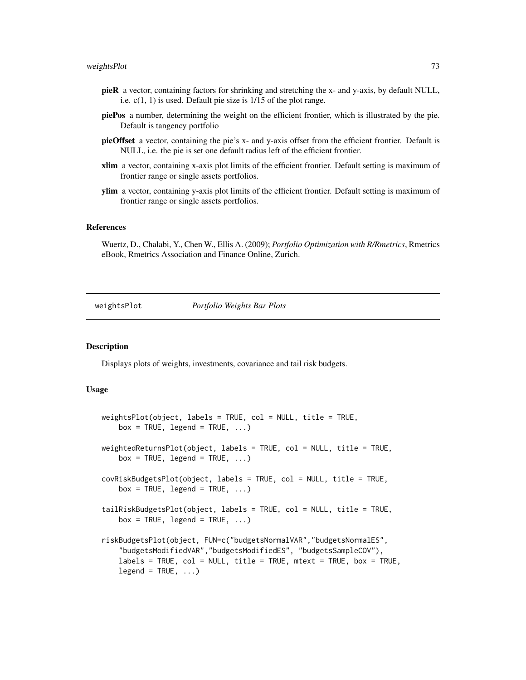#### <span id="page-72-0"></span>weightsPlot 73

- pieR a vector, containing factors for shrinking and stretching the x- and y-axis, by default NULL, i.e. c(1, 1) is used. Default pie size is 1/15 of the plot range.
- piePos a number, determining the weight on the efficient frontier, which is illustrated by the pie. Default is tangency portfolio
- pieOffset a vector, containing the pie's x- and y-axis offset from the efficient frontier. Default is NULL, i.e. the pie is set one default radius left of the efficient frontier.
- xlim a vector, containing x-axis plot limits of the efficient frontier. Default setting is maximum of frontier range or single assets portfolios.
- ylim a vector, containing y-axis plot limits of the efficient frontier. Default setting is maximum of frontier range or single assets portfolios.

### References

Wuertz, D., Chalabi, Y., Chen W., Ellis A. (2009); *Portfolio Optimization with R/Rmetrics*, Rmetrics eBook, Rmetrics Association and Finance Online, Zurich.

weightsPlot *Portfolio Weights Bar Plots*

## Description

Displays plots of weights, investments, covariance and tail risk budgets.

#### Usage

```
weightsPlot(object, labels = TRUE, col = NULL, title = TRUE,
   box = TRUE, legend = TRUE, ...)weightedReturnsPlot(object, labels = TRUE, col = NULL, title = TRUE,
    box = TRUE, legend = TRUE, ...)covRiskBudgetsPlot(object, labels = TRUE, col = NULL, title = TRUE,
   box = TRUE, legend = TRUE, ...)tailRiskBudgetsPlot(object, labels = TRUE, col = NULL, title = TRUE,
    box = TRUE, legend = TRUE, ...)riskBudgetsPlot(object, FUN=c("budgetsNormalVAR","budgetsNormalES",
    "budgetsModifiedVAR","budgetsModifiedES", "budgetsSampleCOV"),
    labels = TRUE, col = NULL, title = TRUE, met = TRUE, box = TRUE,legend = TRUE, ...
```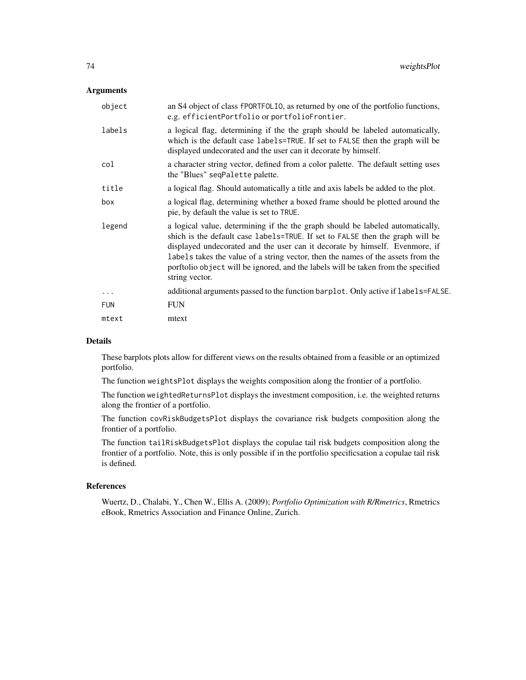### Arguments

| object     | an S4 object of class fPORTFOLIO, as returned by one of the portfolio functions,<br>e.g. efficientPortfolio or portfolioFrontier.                                                                                                                                                                                                                                                                                                         |
|------------|-------------------------------------------------------------------------------------------------------------------------------------------------------------------------------------------------------------------------------------------------------------------------------------------------------------------------------------------------------------------------------------------------------------------------------------------|
| labels     | a logical flag, determining if the the graph should be labeled automatically,<br>which is the default case labels=TRUE. If set to FALSE then the graph will be<br>displayed undecorated and the user can it decorate by himself.                                                                                                                                                                                                          |
| col        | a character string vector, defined from a color palette. The default setting uses<br>the "Blues" seqPalette palette.                                                                                                                                                                                                                                                                                                                      |
| title      | a logical flag. Should automatically a title and axis labels be added to the plot.                                                                                                                                                                                                                                                                                                                                                        |
| box        | a logical flag, determining whether a boxed frame should be plotted around the<br>pie, by default the value is set to TRUE.                                                                                                                                                                                                                                                                                                               |
| legend     | a logical value, determining if the the graph should be labeled automatically,<br>shich is the default case labels=TRUE. If set to FALSE then the graph will be<br>displayed undecorated and the user can it decorate by himself. Evenmore, if<br>labels takes the value of a string vector, then the names of the assets from the<br>porftolio object will be ignored, and the labels will be taken from the specified<br>string vector. |
| $\cdots$   | additional arguments passed to the function barplot. Only active if labels=FALSE.                                                                                                                                                                                                                                                                                                                                                         |
| <b>FUN</b> | <b>FUN</b>                                                                                                                                                                                                                                                                                                                                                                                                                                |
| mtext      | mtext                                                                                                                                                                                                                                                                                                                                                                                                                                     |

#### Details

These barplots plots allow for different views on the results obtained from a feasible or an optimized portfolio.

The function weightsPlot displays the weights composition along the frontier of a portfolio.

The function weightedReturnsPlot displays the investment composition, i.e. the weighted returns along the frontier of a portfolio.

The function covRiskBudgetsPlot displays the covariance risk budgets composition along the frontier of a portfolio.

The function tailRiskBudgetsPlot displays the copulae tail risk budgets composition along the frontier of a portfolio. Note, this is only possible if in the portfolio specificsation a copulae tail risk is defined.

### References

Wuertz, D., Chalabi, Y., Chen W., Ellis A. (2009); *Portfolio Optimization with R/Rmetrics*, Rmetrics eBook, Rmetrics Association and Finance Online, Zurich.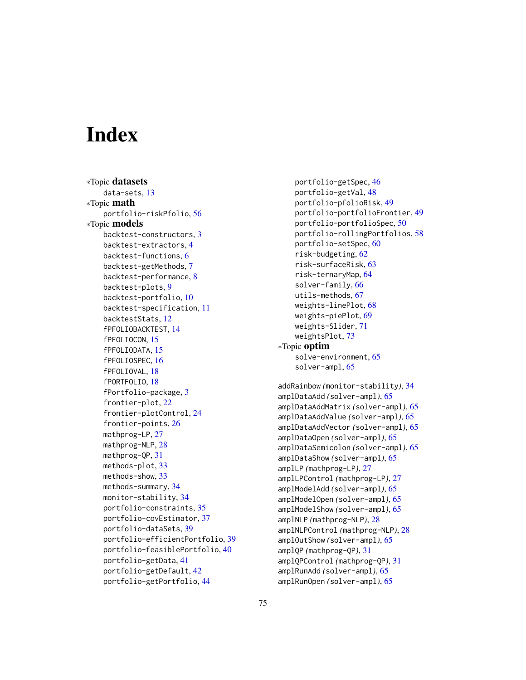# Index

∗Topic datasets data-sets, [13](#page-12-0) ∗Topic math portfolio-riskPfolio, [56](#page-55-0) ∗Topic models backtest-constructors, [3](#page-2-0) backtest-extractors, [4](#page-3-0) backtest-functions, [6](#page-5-0) backtest-getMethods, [7](#page-6-0) backtest-performance, [8](#page-7-0) backtest-plots, [9](#page-8-0) backtest-portfolio, [10](#page-9-0) backtest-specification, [11](#page-10-0) backtestStats, [12](#page-11-0) fPFOLIOBACKTEST, [14](#page-13-0) fPFOLIOCON, [15](#page-14-0) fPFOLIODATA, [15](#page-14-0) fPFOLIOSPEC, [16](#page-15-0) fPFOLIOVAL, [18](#page-17-0) fPORTFOLIO, [18](#page-17-0) fPortfolio-package, [3](#page-2-0) frontier-plot, [22](#page-21-0) frontier-plotControl, [24](#page-23-0) frontier-points, [26](#page-25-0) mathprog-LP, [27](#page-26-0) mathprog-NLP, [28](#page-27-0) mathprog-QP, [31](#page-30-0) methods-plot, [33](#page-32-0) methods-show, [33](#page-32-0) methods-summary, [34](#page-33-0) monitor-stability, [34](#page-33-0) portfolio-constraints, [35](#page-34-0) portfolio-covEstimator, [37](#page-36-0) portfolio-dataSets, [39](#page-38-0) portfolio-efficientPortfolio, [39](#page-38-0) portfolio-feasiblePortfolio, [40](#page-39-0) portfolio-getData, [41](#page-40-0) portfolio-getDefault, [42](#page-41-0) portfolio-getPortfolio, [44](#page-43-0)

```
portfolio-getSpec, 46
    portfolio-getVal, 48
    portfolio-pfolioRisk, 49
    portfolio-portfolioFrontier, 49
    portfolio-portfolioSpec, 50
    portfolio-rollingPortfolios, 58
    portfolio-setSpec, 60
    risk-budgeting, 62
    risk-surfaceRisk, 63
    risk-ternaryMap, 64
    solver-family, 66
    utils-methods, 67
    weights-linePlot, 68
    weights-piePlot, 69
    weights-Slider, 71
    weightsPlot, 73
∗Topic optim
    solve-environment, 65
    solver-ampl, 65
addRainbow (monitor-stability), 34
amplDataAdd (solver-ampl), 65
amplDataAddMatrix (solver-ampl), 65
amplDataAddValue (solver-ampl), 65
amplDataAddVector (solver-ampl), 65
amplDataOpen (solver-ampl), 65
amplDataSemicolon (solver-ampl), 65
amplDataShow (solver-ampl), 65
amplLP (mathprog-LP), 27
amplLPControl (mathprog-LP), 27
amplModelAdd (solver-ampl), 65
amplModelOpen (solver-ampl), 65
amplModelShow (solver-ampl), 65
amplNLP (mathprog-NLP), 28
amplNLPControl (mathprog-NLP), 28
amplOutShow (solver-ampl), 65
amplQP (mathprog-QP), 31
amplQPControl (mathprog-QP), 31
amplRunAdd (solver-ampl), 65
amplRunOpen (solver-ampl), 65
```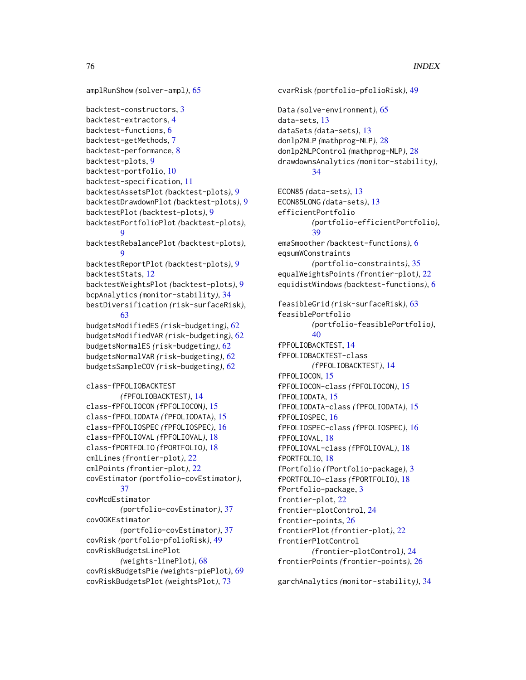```
amplRunShow (solver-ampl), 65
```

```
backtest-constructors, 3
backtest-extractors, 4
backtest-functions, 6
backtest-getMethods, 7
backtest-performance, 8
backtest-plots, 9
backtest-portfolio, 10
backtest-specification, 11
backtestAssetsPlot (backtest-plots), 9
backtestDrawdownPlot (backtest-plots), 9
backtestPlot (backtest-plots), 9
backtestPortfolioPlot (backtest-plots),
        9
backtestRebalancePlot (backtest-plots),
        9
backtestReportPlot (backtest-plots), 9
backtestStats, 12
backtestWeightsPlot (backtest-plots), 9
bcpAnalytics (monitor-stability), 34
bestDiversification (risk-surfaceRisk),
        63
budgetsModifiedES (risk-budgeting), 62
budgetsModifiedVAR (risk-budgeting), 62
budgetsNormalES (risk-budgeting), 62
budgetsNormalVAR (risk-budgeting), 62
budgetsSampleCOV (risk-budgeting), 62
class-fPFOLIOBACKTEST
        (fPFOLIOBACKTEST), 14
class-fPFOLIOCON (fPFOLIOCON), 15
class-fPFOLIODATA (fPFOLIODATA), 15
class-fPFOLIOSPEC (fPFOLIOSPEC), 16
class-fPFOLIOVAL (fPFOLIOVAL), 18
class-fPORTFOLIO (fPORTFOLIO), 18
cmlLines (frontier-plot), 22
cmlPoints (frontier-plot), 22
covEstimator (portfolio-covEstimator),
        37
covMcdEstimator
        (portfolio-covEstimator), 37
covOGKEstimator
        (portfolio-covEstimator), 37
covRisk (portfolio-pfolioRisk), 49
covRiskBudgetsLinePlot
        (weights-linePlot), 68
covRiskBudgetsPie (weights-piePlot), 69
covRiskBudgetsPlot (weightsPlot), 73
```

```
cvarRisk (portfolio-pfolioRisk), 49
Data (solve-environment), 65
data-sets, 13
dataSets (data-sets), 13
donlp2NLP (mathprog-NLP), 28
donlp2NLPControl (mathprog-NLP), 28
drawdownsAnalytics (monitor-stability),
        34
ECON85 (data-sets), 13
ECON85LONG (data-sets), 13
efficientPortfolio
        (portfolio-efficientPortfolio),
        39
emaSmoother (backtest-functions), 6
eqsumWConstraints
        (portfolio-constraints), 35
equalWeightsPoints (frontier-plot), 22
equidistWindows (backtest-functions), 6
feasibleGrid (risk-surfaceRisk), 63
feasiblePortfolio
        (portfolio-feasiblePortfolio),
        40
fPFOLIOBACKTEST, 14
fPFOLIOBACKTEST-class
        (fPFOLIOBACKTEST), 14
fPFOLIOCON, 15
fPFOLIOCON-class (fPFOLIOCON), 15
fPFOLIODATA, 15
fPFOLIODATA-class (fPFOLIODATA), 15
fPFOLIOSPEC, 16
fPFOLIOSPEC-class (fPFOLIOSPEC), 16
fPFOLIOVAL, 18
fPFOLIOVAL-class (fPFOLIOVAL), 18
fPORTFOLIO, 18
fPortfolio (fPortfolio-package), 3
fPORTFOLIO-class (fPORTFOLIO), 18
fPortfolio-package, 3
frontier-plot, 22
frontier-plotControl, 24
frontier-points, 26
frontierPlot (frontier-plot), 22
frontierPlotControl
        (frontier-plotControl), 24
frontierPoints (frontier-points), 26
```
garchAnalytics *(*monitor-stability*)*, [34](#page-33-0)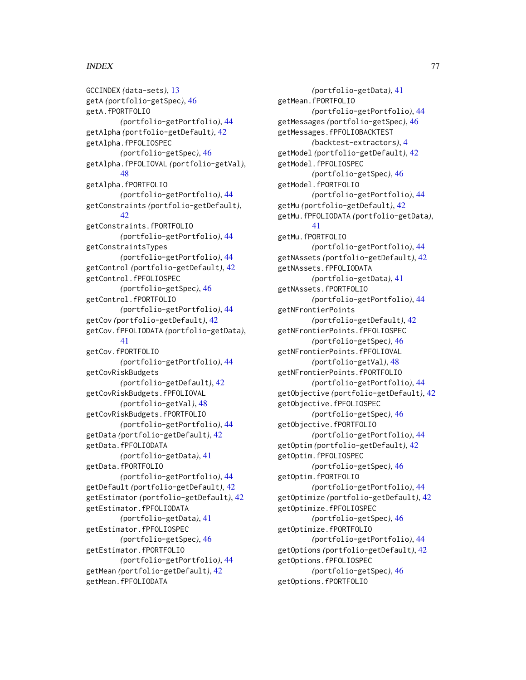GCCINDEX *(*data-sets*)*, [13](#page-12-0) getA *(*portfolio-getSpec*)*, [46](#page-45-0) getA.fPORTFOLIO *(*portfolio-getPortfolio*)*, [44](#page-43-0) getAlpha *(*portfolio-getDefault*)*, [42](#page-41-0) getAlpha.fPFOLIOSPEC *(*portfolio-getSpec*)*, [46](#page-45-0) getAlpha.fPFOLIOVAL *(*portfolio-getVal*)*, [48](#page-47-0) getAlpha.fPORTFOLIO *(*portfolio-getPortfolio*)*, [44](#page-43-0) getConstraints *(*portfolio-getDefault*)*,  $42$ getConstraints.fPORTFOLIO *(*portfolio-getPortfolio*)*, [44](#page-43-0) getConstraintsTypes *(*portfolio-getPortfolio*)*, [44](#page-43-0) getControl *(*portfolio-getDefault*)*, [42](#page-41-0) getControl.fPFOLIOSPEC *(*portfolio-getSpec*)*, [46](#page-45-0) getControl.fPORTFOLIO *(*portfolio-getPortfolio*)*, [44](#page-43-0) getCov *(*portfolio-getDefault*)*, [42](#page-41-0) getCov.fPFOLIODATA *(*portfolio-getData*)*, [41](#page-40-0) getCov.fPORTFOLIO *(*portfolio-getPortfolio*)*, [44](#page-43-0) getCovRiskBudgets *(*portfolio-getDefault*)*, [42](#page-41-0) getCovRiskBudgets.fPFOLIOVAL *(*portfolio-getVal*)*, [48](#page-47-0) getCovRiskBudgets.fPORTFOLIO *(*portfolio-getPortfolio*)*, [44](#page-43-0) getData *(*portfolio-getDefault*)*, [42](#page-41-0) getData.fPFOLIODATA *(*portfolio-getData*)*, [41](#page-40-0) getData.fPORTFOLIO *(*portfolio-getPortfolio*)*, [44](#page-43-0) getDefault *(*portfolio-getDefault*)*, [42](#page-41-0) getEstimator *(*portfolio-getDefault*)*, [42](#page-41-0) getEstimator.fPFOLIODATA *(*portfolio-getData*)*, [41](#page-40-0) getEstimator.fPFOLIOSPEC *(*portfolio-getSpec*)*, [46](#page-45-0) getEstimator.fPORTFOLIO *(*portfolio-getPortfolio*)*, [44](#page-43-0) getMean *(*portfolio-getDefault*)*, [42](#page-41-0) getMean.fPFOLIODATA

*(*portfolio-getData*)*, [41](#page-40-0) getMean.fPORTFOLIO *(*portfolio-getPortfolio*)*, [44](#page-43-0) getMessages *(*portfolio-getSpec*)*, [46](#page-45-0) getMessages.fPFOLIOBACKTEST *(*backtest-extractors*)*, [4](#page-3-0) getModel *(*portfolio-getDefault*)*, [42](#page-41-0) getModel.fPFOLIOSPEC *(*portfolio-getSpec*)*, [46](#page-45-0) getModel.fPORTFOLIO *(*portfolio-getPortfolio*)*, [44](#page-43-0) getMu *(*portfolio-getDefault*)*, [42](#page-41-0) getMu.fPFOLIODATA *(*portfolio-getData*)*, [41](#page-40-0) getMu.fPORTFOLIO *(*portfolio-getPortfolio*)*, [44](#page-43-0) getNAssets *(*portfolio-getDefault*)*, [42](#page-41-0) getNAssets.fPFOLIODATA *(*portfolio-getData*)*, [41](#page-40-0) getNAssets.fPORTFOLIO *(*portfolio-getPortfolio*)*, [44](#page-43-0) getNFrontierPoints *(*portfolio-getDefault*)*, [42](#page-41-0) getNFrontierPoints.fPFOLIOSPEC *(*portfolio-getSpec*)*, [46](#page-45-0) getNFrontierPoints.fPFOLIOVAL *(*portfolio-getVal*)*, [48](#page-47-0) getNFrontierPoints.fPORTFOLIO *(*portfolio-getPortfolio*)*, [44](#page-43-0) getObjective *(*portfolio-getDefault*)*, [42](#page-41-0) getObjective.fPFOLIOSPEC *(*portfolio-getSpec*)*, [46](#page-45-0) getObjective.fPORTFOLIO *(*portfolio-getPortfolio*)*, [44](#page-43-0) getOptim *(*portfolio-getDefault*)*, [42](#page-41-0) getOptim.fPFOLIOSPEC *(*portfolio-getSpec*)*, [46](#page-45-0) getOptim.fPORTFOLIO *(*portfolio-getPortfolio*)*, [44](#page-43-0) getOptimize *(*portfolio-getDefault*)*, [42](#page-41-0) getOptimize.fPFOLIOSPEC *(*portfolio-getSpec*)*, [46](#page-45-0) getOptimize.fPORTFOLIO *(*portfolio-getPortfolio*)*, [44](#page-43-0) getOptions *(*portfolio-getDefault*)*, [42](#page-41-0) getOptions.fPFOLIOSPEC *(*portfolio-getSpec*)*, [46](#page-45-0) getOptions.fPORTFOLIO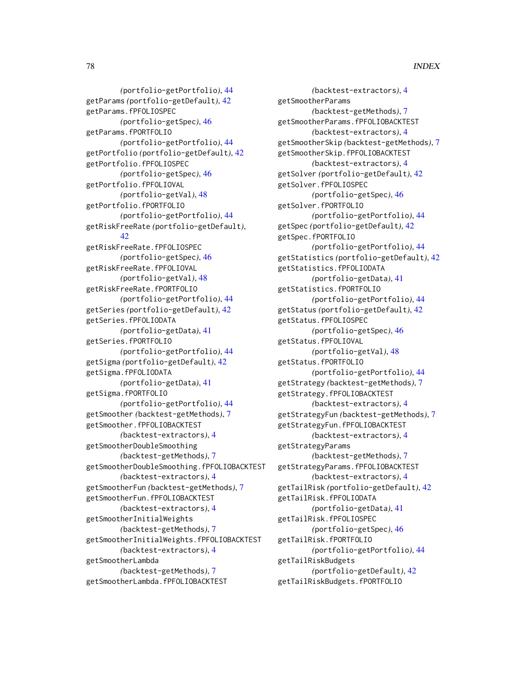*(*portfolio-getPortfolio*)*, [44](#page-43-0) getParams *(*portfolio-getDefault*)*, [42](#page-41-0) getParams.fPFOLIOSPEC *(*portfolio-getSpec*)*, [46](#page-45-0) getParams.fPORTFOLIO *(*portfolio-getPortfolio*)*, [44](#page-43-0) getPortfolio *(*portfolio-getDefault*)*, [42](#page-41-0) getPortfolio.fPFOLIOSPEC *(*portfolio-getSpec*)*, [46](#page-45-0) getPortfolio.fPFOLIOVAL *(*portfolio-getVal*)*, [48](#page-47-0) getPortfolio.fPORTFOLIO *(*portfolio-getPortfolio*)*, [44](#page-43-0) getRiskFreeRate *(*portfolio-getDefault*)*, [42](#page-41-0) getRiskFreeRate.fPFOLIOSPEC *(*portfolio-getSpec*)*, [46](#page-45-0) getRiskFreeRate.fPFOLIOVAL *(*portfolio-getVal*)*, [48](#page-47-0) getRiskFreeRate.fPORTFOLIO *(*portfolio-getPortfolio*)*, [44](#page-43-0) getSeries *(*portfolio-getDefault*)*, [42](#page-41-0) getSeries.fPFOLIODATA *(*portfolio-getData*)*, [41](#page-40-0) getSeries.fPORTFOLIO *(*portfolio-getPortfolio*)*, [44](#page-43-0) getSigma *(*portfolio-getDefault*)*, [42](#page-41-0) getSigma.fPFOLIODATA *(*portfolio-getData*)*, [41](#page-40-0) getSigma.fPORTFOLIO *(*portfolio-getPortfolio*)*, [44](#page-43-0) getSmoother *(*backtest-getMethods*)*, [7](#page-6-0) getSmoother.fPFOLIOBACKTEST *(*backtest-extractors*)*, [4](#page-3-0) getSmootherDoubleSmoothing *(*backtest-getMethods*)*, [7](#page-6-0) getSmootherDoubleSmoothing.fPFOLIOBACKTEST *(*backtest-extractors*)*, [4](#page-3-0) getSmootherFun *(*backtest-getMethods*)*, [7](#page-6-0) getSmootherFun.fPFOLIOBACKTEST *(*backtest-extractors*)*, [4](#page-3-0) getSmootherInitialWeights *(*backtest-getMethods*)*, [7](#page-6-0) getSmootherInitialWeights.fPFOLIOBACKTEST *(*backtest-extractors*)*, [4](#page-3-0) getSmootherLambda *(*backtest-getMethods*)*, [7](#page-6-0) getSmootherLambda.fPFOLIOBACKTEST

*(*backtest-extractors*)*, [4](#page-3-0) getSmootherParams *(*backtest-getMethods*)*, [7](#page-6-0) getSmootherParams.fPFOLIOBACKTEST *(*backtest-extractors*)*, [4](#page-3-0) getSmootherSkip *(*backtest-getMethods*)*, [7](#page-6-0) getSmootherSkip.fPFOLIOBACKTEST *(*backtest-extractors*)*, [4](#page-3-0) getSolver *(*portfolio-getDefault*)*, [42](#page-41-0) getSolver.fPFOLIOSPEC *(*portfolio-getSpec*)*, [46](#page-45-0) getSolver.fPORTFOLIO *(*portfolio-getPortfolio*)*, [44](#page-43-0) getSpec *(*portfolio-getDefault*)*, [42](#page-41-0) getSpec.fPORTFOLIO *(*portfolio-getPortfolio*)*, [44](#page-43-0) getStatistics *(*portfolio-getDefault*)*, [42](#page-41-0) getStatistics.fPFOLIODATA *(*portfolio-getData*)*, [41](#page-40-0) getStatistics.fPORTFOLIO *(*portfolio-getPortfolio*)*, [44](#page-43-0) getStatus *(*portfolio-getDefault*)*, [42](#page-41-0) getStatus.fPFOLIOSPEC *(*portfolio-getSpec*)*, [46](#page-45-0) getStatus.fPFOLIOVAL *(*portfolio-getVal*)*, [48](#page-47-0) getStatus.fPORTFOLIO *(*portfolio-getPortfolio*)*, [44](#page-43-0) getStrategy *(*backtest-getMethods*)*, [7](#page-6-0) getStrategy.fPFOLIOBACKTEST *(*backtest-extractors*)*, [4](#page-3-0) getStrategyFun *(*backtest-getMethods*)*, [7](#page-6-0) getStrategyFun.fPFOLIOBACKTEST *(*backtest-extractors*)*, [4](#page-3-0) getStrategyParams *(*backtest-getMethods*)*, [7](#page-6-0) getStrategyParams.fPFOLIOBACKTEST *(*backtest-extractors*)*, [4](#page-3-0) getTailRisk *(*portfolio-getDefault*)*, [42](#page-41-0) getTailRisk.fPFOLIODATA *(*portfolio-getData*)*, [41](#page-40-0) getTailRisk.fPFOLIOSPEC *(*portfolio-getSpec*)*, [46](#page-45-0) getTailRisk.fPORTFOLIO *(*portfolio-getPortfolio*)*, [44](#page-43-0) getTailRiskBudgets *(*portfolio-getDefault*)*, [42](#page-41-0) getTailRiskBudgets.fPORTFOLIO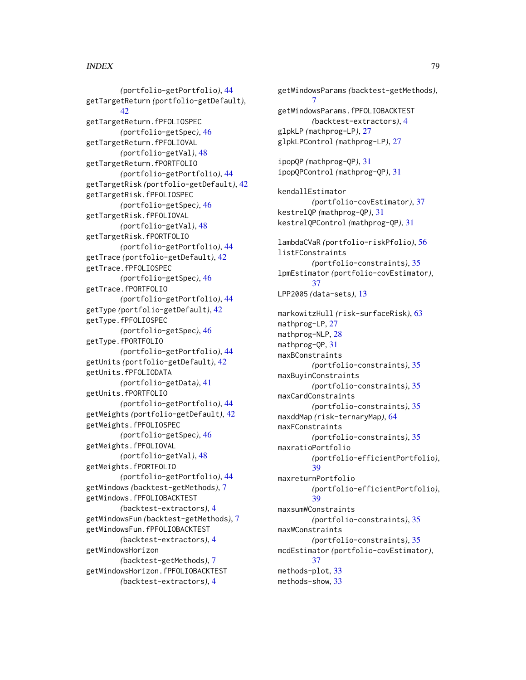*(*portfolio-getPortfolio*)*, [44](#page-43-0) getTargetReturn *(*portfolio-getDefault*)*, [42](#page-41-0) getTargetReturn.fPFOLIOSPEC *(*portfolio-getSpec*)*, [46](#page-45-0) getTargetReturn.fPFOLIOVAL *(*portfolio-getVal*)*, [48](#page-47-0) getTargetReturn.fPORTFOLIO *(*portfolio-getPortfolio*)*, [44](#page-43-0) getTargetRisk *(*portfolio-getDefault*)*, [42](#page-41-0) getTargetRisk.fPFOLIOSPEC *(*portfolio-getSpec*)*, [46](#page-45-0) getTargetRisk.fPFOLIOVAL *(*portfolio-getVal*)*, [48](#page-47-0) getTargetRisk.fPORTFOLIO *(*portfolio-getPortfolio*)*, [44](#page-43-0) getTrace *(*portfolio-getDefault*)*, [42](#page-41-0) getTrace.fPFOLIOSPEC *(*portfolio-getSpec*)*, [46](#page-45-0) getTrace.fPORTFOLIO *(*portfolio-getPortfolio*)*, [44](#page-43-0) getType *(*portfolio-getDefault*)*, [42](#page-41-0) getType.fPFOLIOSPEC *(*portfolio-getSpec*)*, [46](#page-45-0) getType.fPORTFOLIO *(*portfolio-getPortfolio*)*, [44](#page-43-0) getUnits *(*portfolio-getDefault*)*, [42](#page-41-0) getUnits.fPFOLIODATA *(*portfolio-getData*)*, [41](#page-40-0) getUnits.fPORTFOLIO *(*portfolio-getPortfolio*)*, [44](#page-43-0) getWeights *(*portfolio-getDefault*)*, [42](#page-41-0) getWeights.fPFOLIOSPEC *(*portfolio-getSpec*)*, [46](#page-45-0) getWeights.fPFOLIOVAL *(*portfolio-getVal*)*, [48](#page-47-0) getWeights.fPORTFOLIO *(*portfolio-getPortfolio*)*, [44](#page-43-0) getWindows *(*backtest-getMethods*)*, [7](#page-6-0) getWindows.fPFOLIOBACKTEST *(*backtest-extractors*)*, [4](#page-3-0) getWindowsFun *(*backtest-getMethods*)*, [7](#page-6-0) getWindowsFun.fPFOLIOBACKTEST *(*backtest-extractors*)*, [4](#page-3-0) getWindowsHorizon *(*backtest-getMethods*)*, [7](#page-6-0) getWindowsHorizon.fPFOLIOBACKTEST *(*backtest-extractors*)*, [4](#page-3-0)

getWindowsParams *(*backtest-getMethods*)*, [7](#page-6-0) getWindowsParams.fPFOLIOBACKTEST *(*backtest-extractors*)*, [4](#page-3-0) glpkLP *(*mathprog-LP*)*, [27](#page-26-0) glpkLPControl *(*mathprog-LP*)*, [27](#page-26-0) ipopQP *(*mathprog-QP*)*, [31](#page-30-0) ipopQPControl *(*mathprog-QP*)*, [31](#page-30-0) kendallEstimator *(*portfolio-covEstimator*)*, [37](#page-36-0) kestrelQP *(*mathprog-QP*)*, [31](#page-30-0) kestrelQPControl *(*mathprog-QP*)*, [31](#page-30-0) lambdaCVaR *(*portfolio-riskPfolio*)*, [56](#page-55-0) listFConstraints *(*portfolio-constraints*)*, [35](#page-34-0) lpmEstimator *(*portfolio-covEstimator*)*, [37](#page-36-0) LPP2005 *(*data-sets*)*, [13](#page-12-0) markowitzHull *(*risk-surfaceRisk*)*, [63](#page-62-0) mathprog-LP, [27](#page-26-0) mathprog-NLP, [28](#page-27-0) mathprog-QP, [31](#page-30-0) maxBConstraints *(*portfolio-constraints*)*, [35](#page-34-0) maxBuyinConstraints *(*portfolio-constraints*)*, [35](#page-34-0) maxCardConstraints *(*portfolio-constraints*)*, [35](#page-34-0) maxddMap *(*risk-ternaryMap*)*, [64](#page-63-0) maxFConstraints *(*portfolio-constraints*)*, [35](#page-34-0) maxratioPortfolio *(*portfolio-efficientPortfolio*)*, [39](#page-38-0) maxreturnPortfolio *(*portfolio-efficientPortfolio*)*, [39](#page-38-0) maxsumWConstraints *(*portfolio-constraints*)*, [35](#page-34-0) maxWConstraints *(*portfolio-constraints*)*, [35](#page-34-0) mcdEstimator *(*portfolio-covEstimator*)*, [37](#page-36-0) methods-plot, [33](#page-32-0) methods-show, [33](#page-32-0)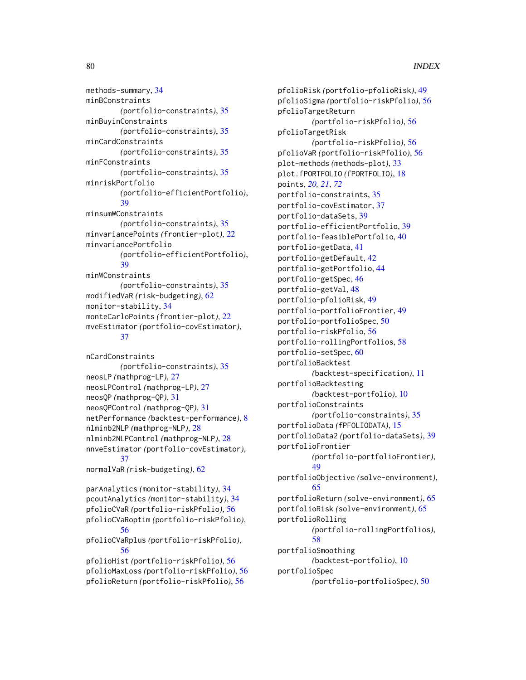methods-summary, [34](#page-33-0) minBConstraints *(*portfolio-constraints*)*, [35](#page-34-0) minBuyinConstraints *(*portfolio-constraints*)*, [35](#page-34-0) minCardConstraints *(*portfolio-constraints*)*, [35](#page-34-0) minFConstraints *(*portfolio-constraints*)*, [35](#page-34-0) minriskPortfolio *(*portfolio-efficientPortfolio*)*, [39](#page-38-0) minsumWConstraints *(*portfolio-constraints*)*, [35](#page-34-0) minvariancePoints *(*frontier-plot*)*, [22](#page-21-0) minvariancePortfolio *(*portfolio-efficientPortfolio*)*, [39](#page-38-0) minWConstraints *(*portfolio-constraints*)*, [35](#page-34-0) modifiedVaR *(*risk-budgeting*)*, [62](#page-61-0) monitor-stability, [34](#page-33-0) monteCarloPoints *(*frontier-plot*)*, [22](#page-21-0) mveEstimator *(*portfolio-covEstimator*)*, [37](#page-36-0)

```
nCardConstraints
        (portfolio-constraints), 35
neosLP (mathprog-LP), 27
neosLPControl (mathprog-LP), 27
neosQP (mathprog-QP), 31
neosQPControl (mathprog-QP), 31
netPerformance (backtest-performance), 8
nlminb2NLP (mathprog-NLP), 28
nlminb2NLPControl (mathprog-NLP), 28
nnveEstimator (portfolio-covEstimator),
        37
normalVaR (risk-budgeting), 62
parAnalytics (monitor-stability), 34
```
pcoutAnalytics *(*monitor-stability*)*, [34](#page-33-0) pfolioCVaR *(*portfolio-riskPfolio*)*, [56](#page-55-0) pfolioCVaRoptim *(*portfolio-riskPfolio*)*, [56](#page-55-0) pfolioCVaRplus *(*portfolio-riskPfolio*)*, [56](#page-55-0) pfolioHist *(*portfolio-riskPfolio*)*, [56](#page-55-0) pfolioMaxLoss *(*portfolio-riskPfolio*)*, [56](#page-55-0) pfolioReturn *(*portfolio-riskPfolio*)*, [56](#page-55-0)

pfolioRisk *(*portfolio-pfolioRisk*)*, [49](#page-48-0) pfolioSigma *(*portfolio-riskPfolio*)*, [56](#page-55-0) pfolioTargetReturn *(*portfolio-riskPfolio*)*, [56](#page-55-0) pfolioTargetRisk *(*portfolio-riskPfolio*)*, [56](#page-55-0) pfolioVaR *(*portfolio-riskPfolio*)*, [56](#page-55-0) plot-methods *(*methods-plot*)*, [33](#page-32-0) plot.fPORTFOLIO *(*fPORTFOLIO*)*, [18](#page-17-0) points, *[20,](#page-19-0) [21](#page-20-0)*, *[72](#page-71-0)* portfolio-constraints, [35](#page-34-0) portfolio-covEstimator, [37](#page-36-0) portfolio-dataSets, [39](#page-38-0) portfolio-efficientPortfolio, [39](#page-38-0) portfolio-feasiblePortfolio, [40](#page-39-0) portfolio-getData, [41](#page-40-0) portfolio-getDefault, [42](#page-41-0) portfolio-getPortfolio, [44](#page-43-0) portfolio-getSpec, [46](#page-45-0) portfolio-getVal, [48](#page-47-0) portfolio-pfolioRisk, [49](#page-48-0) portfolio-portfolioFrontier, [49](#page-48-0) portfolio-portfolioSpec, [50](#page-49-0) portfolio-riskPfolio, [56](#page-55-0) portfolio-rollingPortfolios, [58](#page-57-0) portfolio-setSpec, [60](#page-59-0) portfolioBacktest *(*backtest-specification*)*, [11](#page-10-0) portfolioBacktesting *(*backtest-portfolio*)*, [10](#page-9-0) portfolioConstraints *(*portfolio-constraints*)*, [35](#page-34-0) portfolioData *(*fPFOLIODATA*)*, [15](#page-14-0) portfolioData2 *(*portfolio-dataSets*)*, [39](#page-38-0) portfolioFrontier *(*portfolio-portfolioFrontier*)*, [49](#page-48-0) portfolioObjective *(*solve-environment*)*, [65](#page-64-0) portfolioReturn *(*solve-environment*)*, [65](#page-64-0) portfolioRisk *(*solve-environment*)*, [65](#page-64-0) portfolioRolling *(*portfolio-rollingPortfolios*)*, [58](#page-57-0) portfolioSmoothing *(*backtest-portfolio*)*, [10](#page-9-0) portfolioSpec *(*portfolio-portfolioSpec*)*, [50](#page-49-0)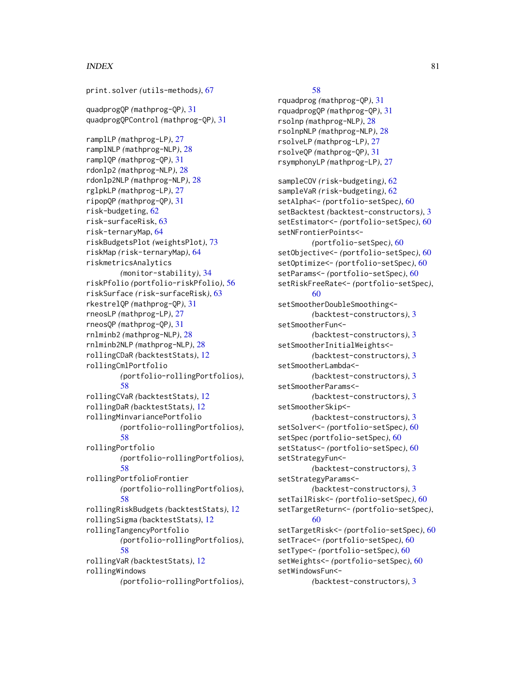print.solver *(*utils-methods*)*, [67](#page-66-0)

quadprogQP *(*mathprog-QP*)*, [31](#page-30-0) quadprogQPControl *(*mathprog-QP*)*, [31](#page-30-0)

ramplLP *(*mathprog-LP*)*, [27](#page-26-0) ramplNLP *(*mathprog-NLP*)*, [28](#page-27-0) ramplQP *(*mathprog-QP*)*, [31](#page-30-0) rdonlp2 *(*mathprog-NLP*)*, [28](#page-27-0) rdonlp2NLP *(*mathprog-NLP*)*, [28](#page-27-0) rglpkLP *(*mathprog-LP*)*, [27](#page-26-0) ripopQP *(*mathprog-QP*)*, [31](#page-30-0) risk-budgeting, [62](#page-61-0) risk-surfaceRisk, [63](#page-62-0) risk-ternaryMap, [64](#page-63-0) riskBudgetsPlot *(*weightsPlot*)*, [73](#page-72-0) riskMap *(*risk-ternaryMap*)*, [64](#page-63-0) riskmetricsAnalytics *(*monitor-stability*)*, [34](#page-33-0) riskPfolio *(*portfolio-riskPfolio*)*, [56](#page-55-0) riskSurface *(*risk-surfaceRisk*)*, [63](#page-62-0) rkestrelQP *(*mathprog-QP*)*, [31](#page-30-0) rneosLP *(*mathprog-LP*)*, [27](#page-26-0) rneosQP *(*mathprog-QP*)*, [31](#page-30-0) rnlminb2 *(*mathprog-NLP*)*, [28](#page-27-0) rnlminb2NLP *(*mathprog-NLP*)*, [28](#page-27-0) rollingCDaR *(*backtestStats*)*, [12](#page-11-0) rollingCmlPortfolio *(*portfolio-rollingPortfolios*)*, [58](#page-57-0) rollingCVaR *(*backtestStats*)*, [12](#page-11-0) rollingDaR *(*backtestStats*)*, [12](#page-11-0) rollingMinvariancePortfolio *(*portfolio-rollingPortfolios*)*, [58](#page-57-0) rollingPortfolio *(*portfolio-rollingPortfolios*)*, [58](#page-57-0) rollingPortfolioFrontier *(*portfolio-rollingPortfolios*)*, [58](#page-57-0) rollingRiskBudgets *(*backtestStats*)*, [12](#page-11-0) rollingSigma *(*backtestStats*)*, [12](#page-11-0) rollingTangencyPortfolio *(*portfolio-rollingPortfolios*)*, [58](#page-57-0) rollingVaR *(*backtestStats*)*, [12](#page-11-0) rollingWindows *(*portfolio-rollingPortfolios*)*,

#### [58](#page-57-0)

rquadprog *(*mathprog-QP*)*, [31](#page-30-0) rquadprogQP *(*mathprog-QP*)*, [31](#page-30-0) rsolnp *(*mathprog-NLP*)*, [28](#page-27-0) rsolnpNLP *(*mathprog-NLP*)*, [28](#page-27-0) rsolveLP *(*mathprog-LP*)*, [27](#page-26-0) rsolveQP *(*mathprog-QP*)*, [31](#page-30-0) rsymphonyLP *(*mathprog-LP*)*, [27](#page-26-0)

sampleCOV *(*risk-budgeting*)*, [62](#page-61-0) sampleVaR *(*risk-budgeting*)*, [62](#page-61-0) setAlpha<- *(*portfolio-setSpec*)*, [60](#page-59-0) setBacktest *(*backtest-constructors*)*, [3](#page-2-0) setEstimator<- *(*portfolio-setSpec*)*, [60](#page-59-0) setNFrontierPoints<- *(*portfolio-setSpec*)*, [60](#page-59-0) setObjective<- *(*portfolio-setSpec*)*, [60](#page-59-0) setOptimize<- *(*portfolio-setSpec*)*, [60](#page-59-0) setParams<- *(*portfolio-setSpec*)*, [60](#page-59-0) setRiskFreeRate<- *(*portfolio-setSpec*)*, [60](#page-59-0) setSmootherDoubleSmoothing<- *(*backtest-constructors*)*, [3](#page-2-0) setSmootherFun<- *(*backtest-constructors*)*, [3](#page-2-0) setSmootherInitialWeights<- *(*backtest-constructors*)*, [3](#page-2-0) setSmootherLambda<- *(*backtest-constructors*)*, [3](#page-2-0) setSmootherParams<- *(*backtest-constructors*)*, [3](#page-2-0) setSmootherSkip<- *(*backtest-constructors*)*, [3](#page-2-0) setSolver<- *(*portfolio-setSpec*)*, [60](#page-59-0) setSpec *(*portfolio-setSpec*)*, [60](#page-59-0) setStatus<- *(*portfolio-setSpec*)*, [60](#page-59-0) setStrategyFun<- *(*backtest-constructors*)*, [3](#page-2-0) setStrategyParams<- *(*backtest-constructors*)*, [3](#page-2-0) setTailRisk<- *(*portfolio-setSpec*)*, [60](#page-59-0) setTargetReturn<- *(*portfolio-setSpec*)*, [60](#page-59-0) setTargetRisk<- *(*portfolio-setSpec*)*, [60](#page-59-0) setTrace<- *(*portfolio-setSpec*)*, [60](#page-59-0) setType<- *(*portfolio-setSpec*)*, [60](#page-59-0) setWeights<- *(*portfolio-setSpec*)*, [60](#page-59-0) setWindowsFun<- *(*backtest-constructors*)*, [3](#page-2-0)